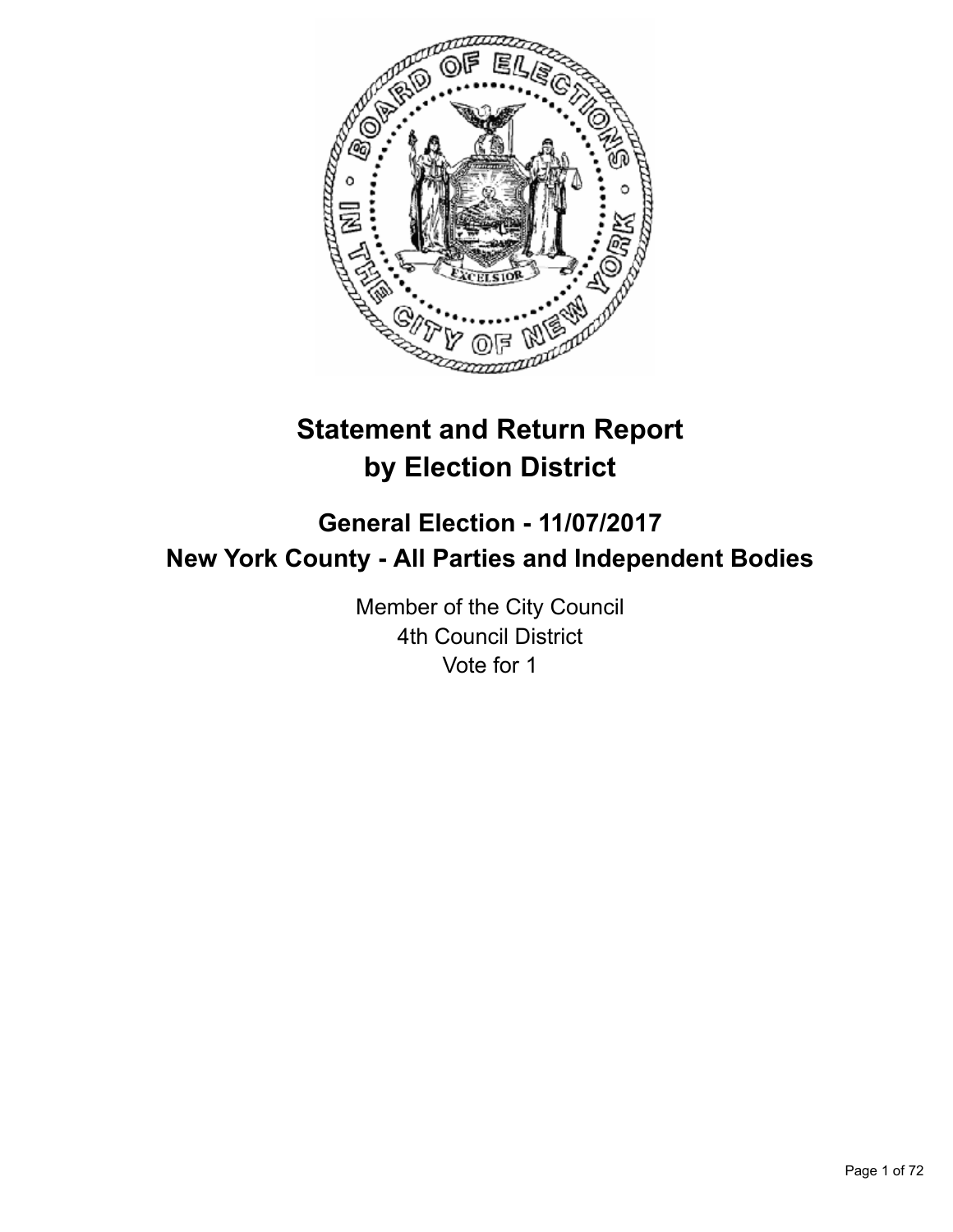

# **Statement and Return Report by Election District**

## **General Election - 11/07/2017 New York County - All Parties and Independent Bodies**

Member of the City Council 4th Council District Vote for 1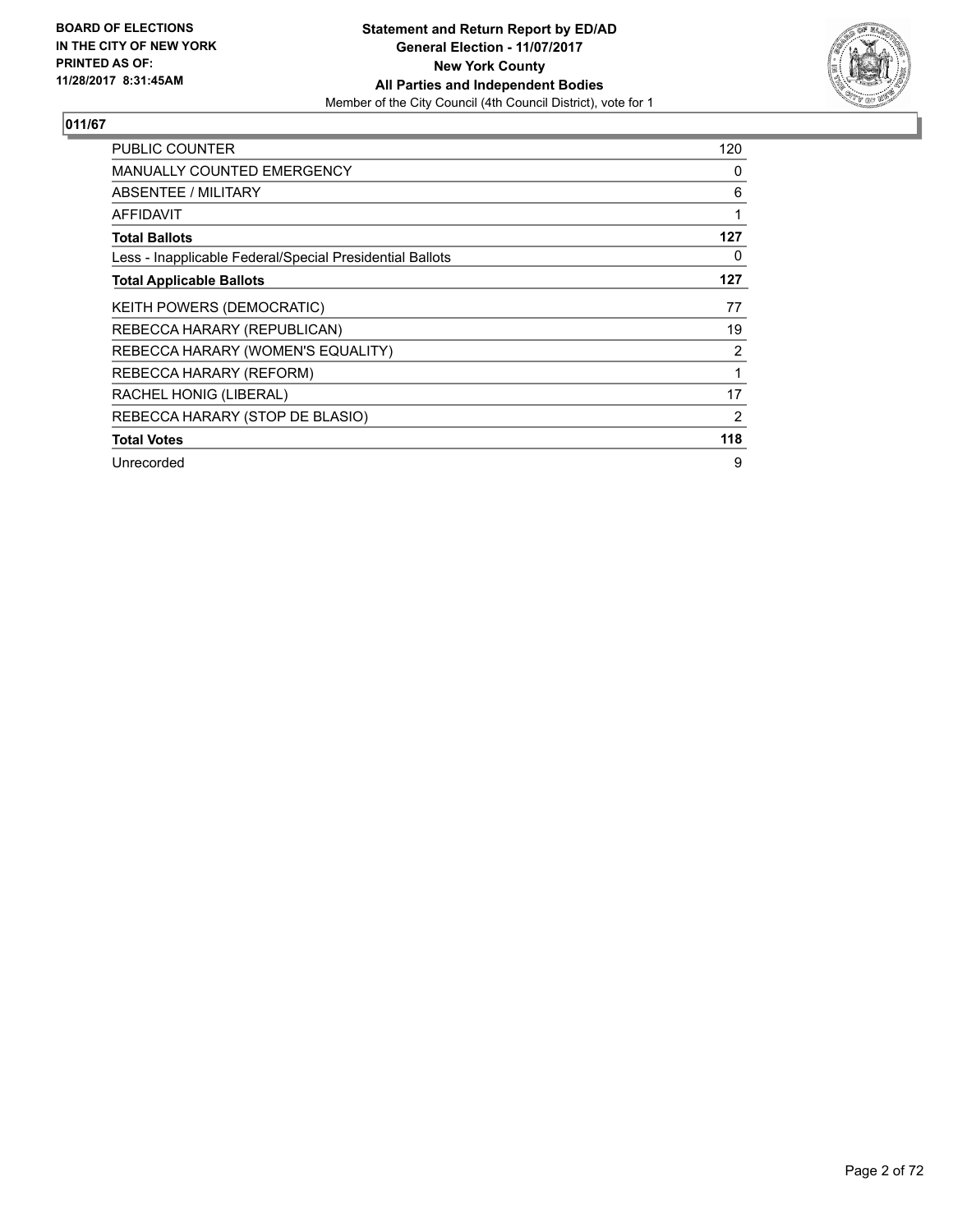

| PUBLIC COUNTER                                           | 120 |
|----------------------------------------------------------|-----|
| MANUALLY COUNTED EMERGENCY                               | 0   |
| <b>ABSENTEE / MILITARY</b>                               | 6   |
| AFFIDAVIT                                                | 1   |
| <b>Total Ballots</b>                                     | 127 |
| Less - Inapplicable Federal/Special Presidential Ballots | 0   |
| <b>Total Applicable Ballots</b>                          | 127 |
| KEITH POWERS (DEMOCRATIC)                                | 77  |
| REBECCA HARARY (REPUBLICAN)                              | 19  |
| REBECCA HARARY (WOMEN'S EQUALITY)                        | 2   |
| REBECCA HARARY (REFORM)                                  | 1   |
| RACHEL HONIG (LIBERAL)                                   | 17  |
| REBECCA HARARY (STOP DE BLASIO)                          | 2   |
| <b>Total Votes</b>                                       | 118 |
| Unrecorded                                               | 9   |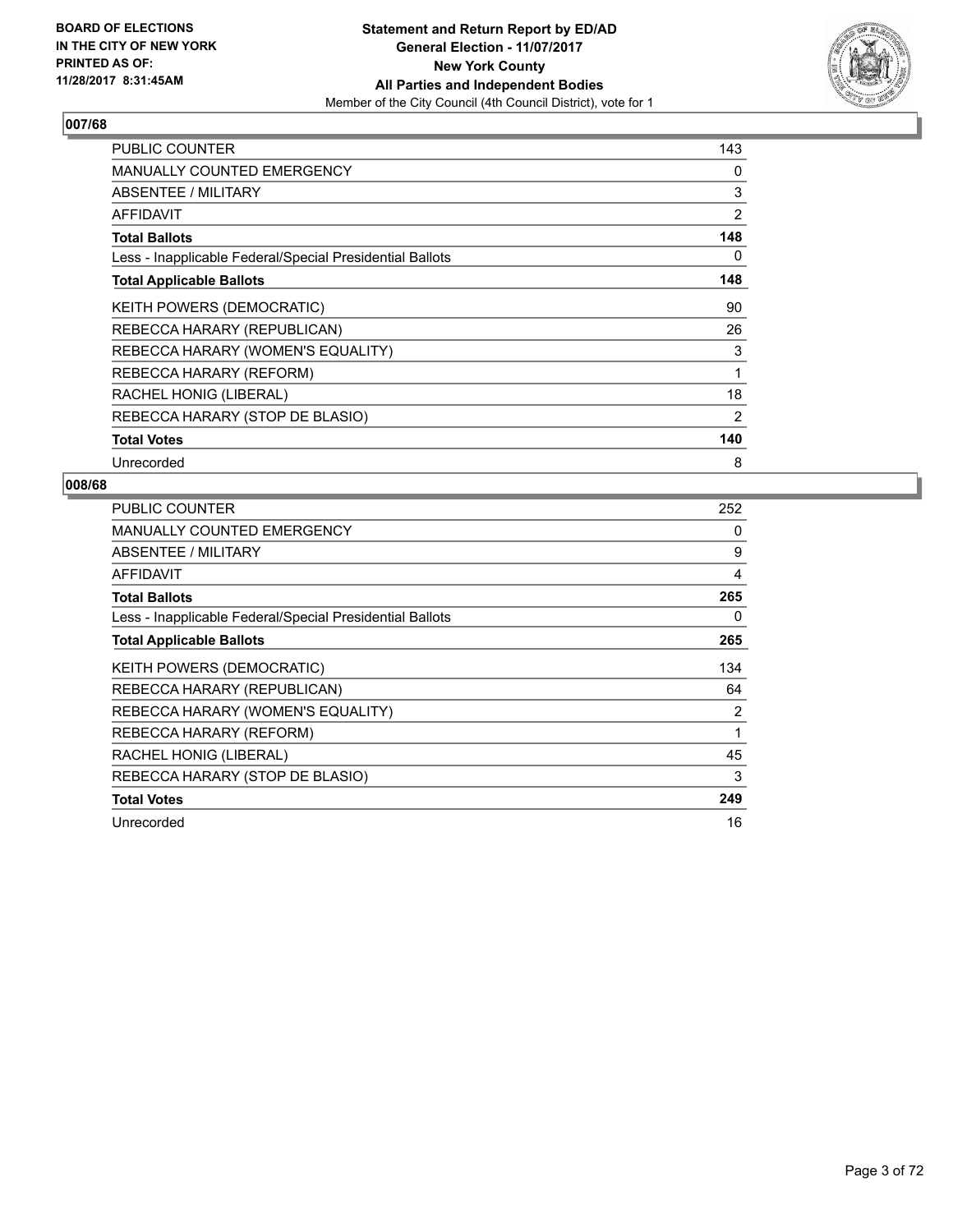

| PUBLIC COUNTER                                           | 143 |
|----------------------------------------------------------|-----|
| <b>MANUALLY COUNTED EMERGENCY</b>                        | 0   |
| <b>ABSENTEE / MILITARY</b>                               | 3   |
| <b>AFFIDAVIT</b>                                         | 2   |
| <b>Total Ballots</b>                                     | 148 |
| Less - Inapplicable Federal/Special Presidential Ballots | 0   |
| <b>Total Applicable Ballots</b>                          | 148 |
| KEITH POWERS (DEMOCRATIC)                                | 90  |
| REBECCA HARARY (REPUBLICAN)                              | 26  |
| REBECCA HARARY (WOMEN'S EQUALITY)                        | 3   |
| REBECCA HARARY (REFORM)                                  | 1   |
| RACHEL HONIG (LIBERAL)                                   | 18  |
| REBECCA HARARY (STOP DE BLASIO)                          | 2   |
| <b>Total Votes</b>                                       | 140 |
| Unrecorded                                               | 8   |

| <b>PUBLIC COUNTER</b>                                    | 252            |
|----------------------------------------------------------|----------------|
| <b>MANUALLY COUNTED EMERGENCY</b>                        | 0              |
| ABSENTEE / MILITARY                                      | 9              |
| AFFIDAVIT                                                | 4              |
| <b>Total Ballots</b>                                     | 265            |
| Less - Inapplicable Federal/Special Presidential Ballots | 0              |
| <b>Total Applicable Ballots</b>                          | 265            |
| <b>KEITH POWERS (DEMOCRATIC)</b>                         | 134            |
| REBECCA HARARY (REPUBLICAN)                              | 64             |
| REBECCA HARARY (WOMEN'S EQUALITY)                        | $\overline{2}$ |
| REBECCA HARARY (REFORM)                                  | 1              |
| RACHEL HONIG (LIBERAL)                                   | 45             |
| REBECCA HARARY (STOP DE BLASIO)                          | 3              |
| <b>Total Votes</b>                                       | 249            |
| Unrecorded                                               | 16             |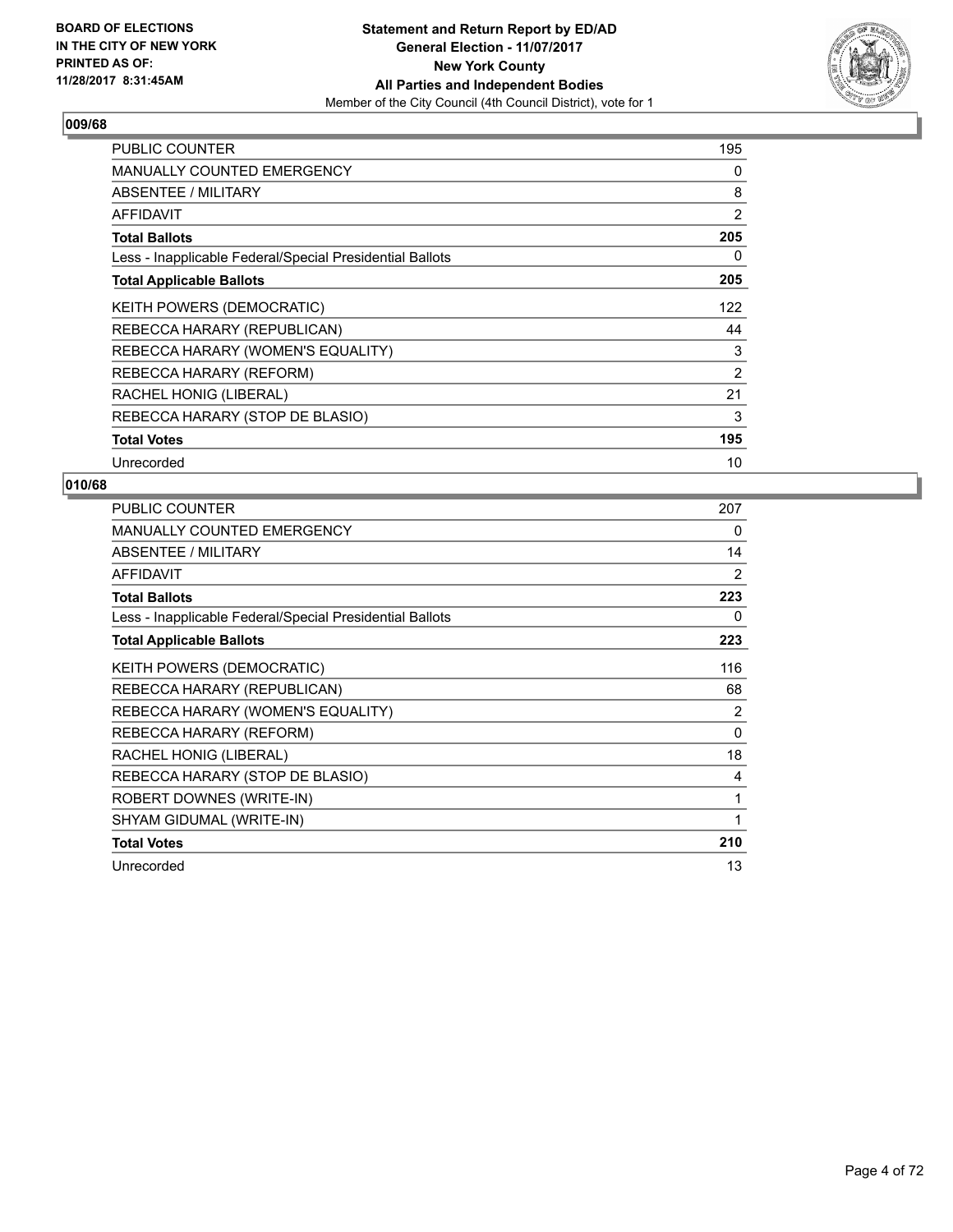

| <b>PUBLIC COUNTER</b>                                    | 195 |
|----------------------------------------------------------|-----|
| <b>MANUALLY COUNTED EMERGENCY</b>                        | 0   |
| <b>ABSENTEE / MILITARY</b>                               | 8   |
| <b>AFFIDAVIT</b>                                         | 2   |
| <b>Total Ballots</b>                                     | 205 |
| Less - Inapplicable Federal/Special Presidential Ballots | 0   |
| <b>Total Applicable Ballots</b>                          | 205 |
| <b>KEITH POWERS (DEMOCRATIC)</b>                         | 122 |
| REBECCA HARARY (REPUBLICAN)                              | 44  |
| REBECCA HARARY (WOMEN'S EQUALITY)                        | 3   |
| REBECCA HARARY (REFORM)                                  | 2   |
| RACHEL HONIG (LIBERAL)                                   | 21  |
| REBECCA HARARY (STOP DE BLASIO)                          | 3   |
| <b>Total Votes</b>                                       | 195 |
| Unrecorded                                               | 10  |

| <b>PUBLIC COUNTER</b>                                    | 207            |
|----------------------------------------------------------|----------------|
| <b>MANUALLY COUNTED EMERGENCY</b>                        | 0              |
| ABSENTEE / MILITARY                                      | 14             |
| <b>AFFIDAVIT</b>                                         | 2              |
| <b>Total Ballots</b>                                     | 223            |
| Less - Inapplicable Federal/Special Presidential Ballots | 0              |
| <b>Total Applicable Ballots</b>                          | 223            |
| KEITH POWERS (DEMOCRATIC)                                | 116            |
| REBECCA HARARY (REPUBLICAN)                              | 68             |
| REBECCA HARARY (WOMEN'S EQUALITY)                        | $\overline{2}$ |
| REBECCA HARARY (REFORM)                                  | 0              |
| RACHEL HONIG (LIBERAL)                                   | 18             |
| REBECCA HARARY (STOP DE BLASIO)                          | 4              |
| ROBERT DOWNES (WRITE-IN)                                 | 1              |
| SHYAM GIDUMAL (WRITE-IN)                                 | 1              |
| <b>Total Votes</b>                                       | 210            |
| Unrecorded                                               | 13             |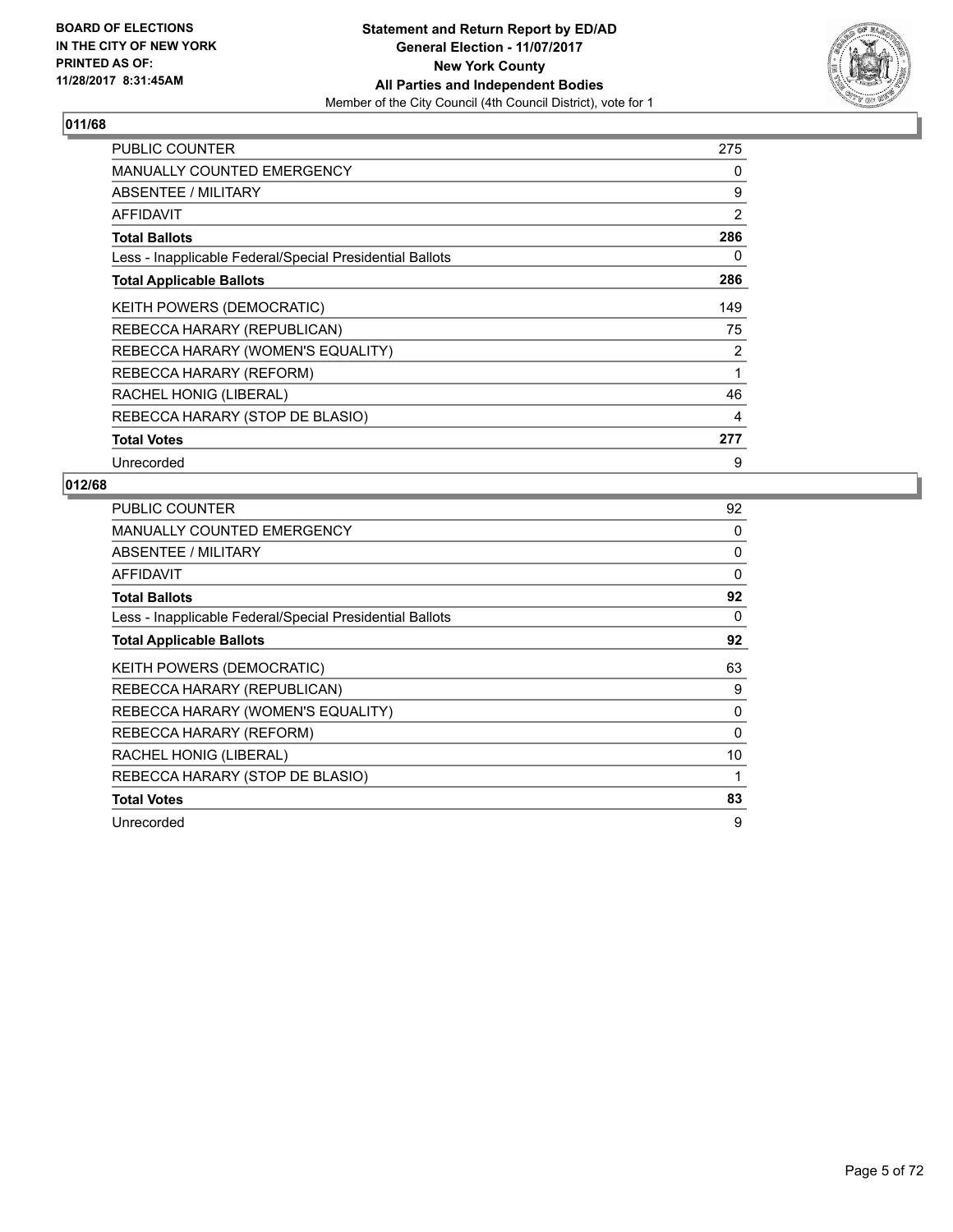

| <b>PUBLIC COUNTER</b>                                    | 275 |
|----------------------------------------------------------|-----|
| <b>MANUALLY COUNTED EMERGENCY</b>                        | 0   |
| <b>ABSENTEE / MILITARY</b>                               | 9   |
| AFFIDAVIT                                                | 2   |
| <b>Total Ballots</b>                                     | 286 |
| Less - Inapplicable Federal/Special Presidential Ballots | 0   |
| <b>Total Applicable Ballots</b>                          | 286 |
| KEITH POWERS (DEMOCRATIC)                                | 149 |
| REBECCA HARARY (REPUBLICAN)                              | 75  |
| REBECCA HARARY (WOMEN'S EQUALITY)                        | 2   |
| REBECCA HARARY (REFORM)                                  | 1   |
| RACHEL HONIG (LIBERAL)                                   | 46  |
| REBECCA HARARY (STOP DE BLASIO)                          | 4   |
| <b>Total Votes</b>                                       | 277 |
| Unrecorded                                               | 9   |

| <b>PUBLIC COUNTER</b>                                    | 92       |
|----------------------------------------------------------|----------|
| <b>MANUALLY COUNTED EMERGENCY</b>                        | 0        |
| ABSENTEE / MILITARY                                      | 0        |
| <b>AFFIDAVIT</b>                                         | 0        |
| <b>Total Ballots</b>                                     | 92       |
| Less - Inapplicable Federal/Special Presidential Ballots | 0        |
| <b>Total Applicable Ballots</b>                          | 92       |
| KEITH POWERS (DEMOCRATIC)                                | 63       |
| REBECCA HARARY (REPUBLICAN)                              | 9        |
| REBECCA HARARY (WOMEN'S EQUALITY)                        | 0        |
| REBECCA HARARY (REFORM)                                  | $\Omega$ |
| RACHEL HONIG (LIBERAL)                                   | 10       |
| REBECCA HARARY (STOP DE BLASIO)                          |          |
| <b>Total Votes</b>                                       | 83       |
| Unrecorded                                               | 9        |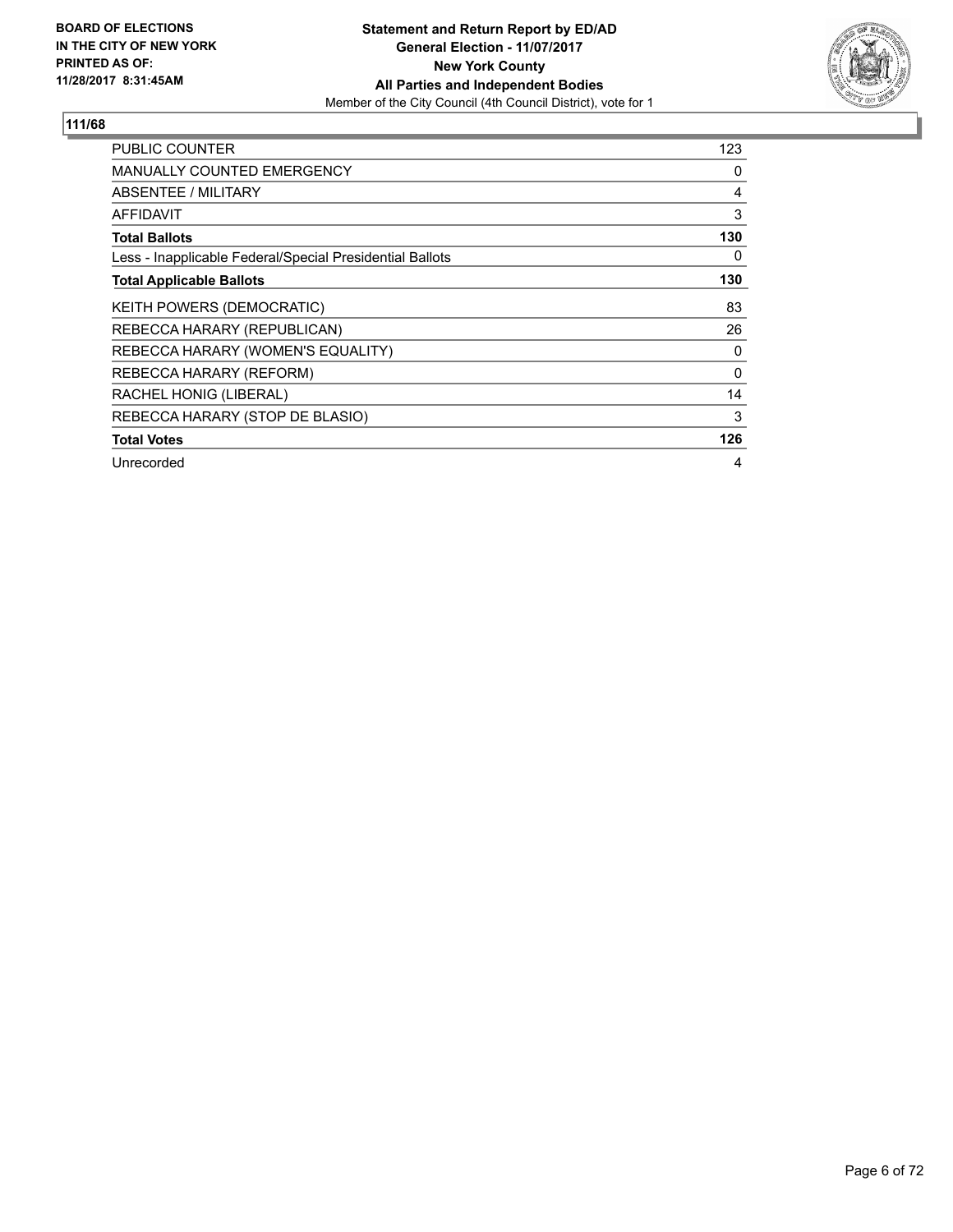

| <b>PUBLIC COUNTER</b>                                    | 123 |
|----------------------------------------------------------|-----|
| <b>MANUALLY COUNTED EMERGENCY</b>                        | 0   |
| <b>ABSENTEE / MILITARY</b>                               | 4   |
| <b>AFFIDAVIT</b>                                         | 3   |
| <b>Total Ballots</b>                                     | 130 |
| Less - Inapplicable Federal/Special Presidential Ballots | 0   |
| <b>Total Applicable Ballots</b>                          | 130 |
| KEITH POWERS (DEMOCRATIC)                                | 83  |
| REBECCA HARARY (REPUBLICAN)                              | 26  |
| REBECCA HARARY (WOMEN'S EQUALITY)                        | 0   |
| REBECCA HARARY (REFORM)                                  | 0   |
| RACHEL HONIG (LIBERAL)                                   | 14  |
| REBECCA HARARY (STOP DE BLASIO)                          | 3   |
| <b>Total Votes</b>                                       | 126 |
| Unrecorded                                               | 4   |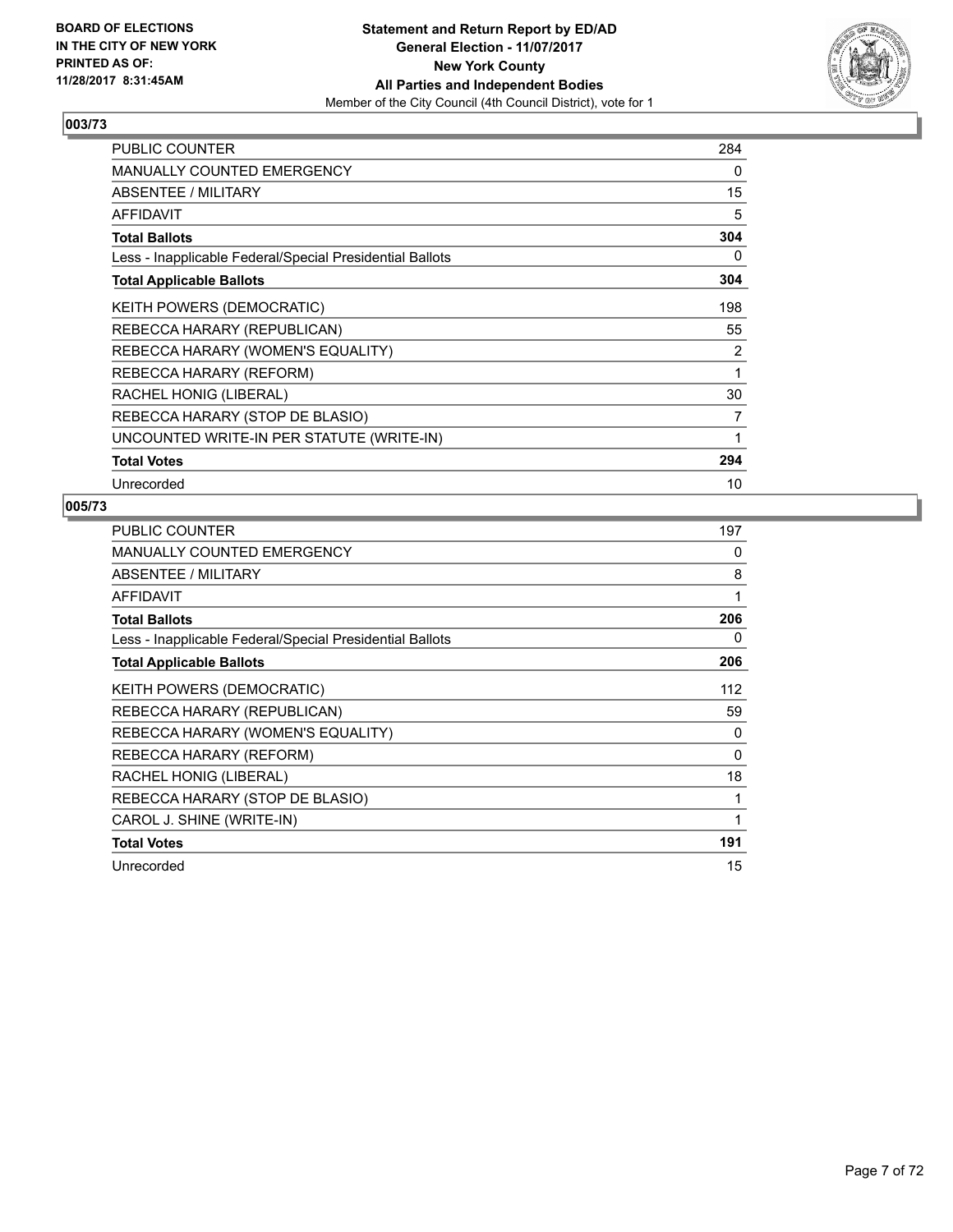

| <b>PUBLIC COUNTER</b>                                    | 284 |
|----------------------------------------------------------|-----|
| <b>MANUALLY COUNTED EMERGENCY</b>                        | 0   |
| ABSENTEE / MILITARY                                      | 15  |
| <b>AFFIDAVIT</b>                                         | 5   |
| <b>Total Ballots</b>                                     | 304 |
| Less - Inapplicable Federal/Special Presidential Ballots | 0   |
| <b>Total Applicable Ballots</b>                          | 304 |
| <b>KEITH POWERS (DEMOCRATIC)</b>                         | 198 |
| REBECCA HARARY (REPUBLICAN)                              | 55  |
| REBECCA HARARY (WOMEN'S EQUALITY)                        | 2   |
| REBECCA HARARY (REFORM)                                  | 1   |
| RACHEL HONIG (LIBERAL)                                   | 30  |
| REBECCA HARARY (STOP DE BLASIO)                          | 7   |
| UNCOUNTED WRITE-IN PER STATUTE (WRITE-IN)                | 1   |
| <b>Total Votes</b>                                       | 294 |
| Unrecorded                                               | 10  |

| <b>PUBLIC COUNTER</b>                                    | 197 |
|----------------------------------------------------------|-----|
| <b>MANUALLY COUNTED EMERGENCY</b>                        | 0   |
| ABSENTEE / MILITARY                                      | 8   |
| AFFIDAVIT                                                | 1   |
| <b>Total Ballots</b>                                     | 206 |
| Less - Inapplicable Federal/Special Presidential Ballots | 0   |
| <b>Total Applicable Ballots</b>                          | 206 |
| KEITH POWERS (DEMOCRATIC)                                | 112 |
| REBECCA HARARY (REPUBLICAN)                              | 59  |
| REBECCA HARARY (WOMEN'S EQUALITY)                        | 0   |
| REBECCA HARARY (REFORM)                                  | 0   |
| RACHEL HONIG (LIBERAL)                                   | 18  |
| REBECCA HARARY (STOP DE BLASIO)                          | 1   |
| CAROL J. SHINE (WRITE-IN)                                | 1   |
| <b>Total Votes</b>                                       | 191 |
| Unrecorded                                               | 15  |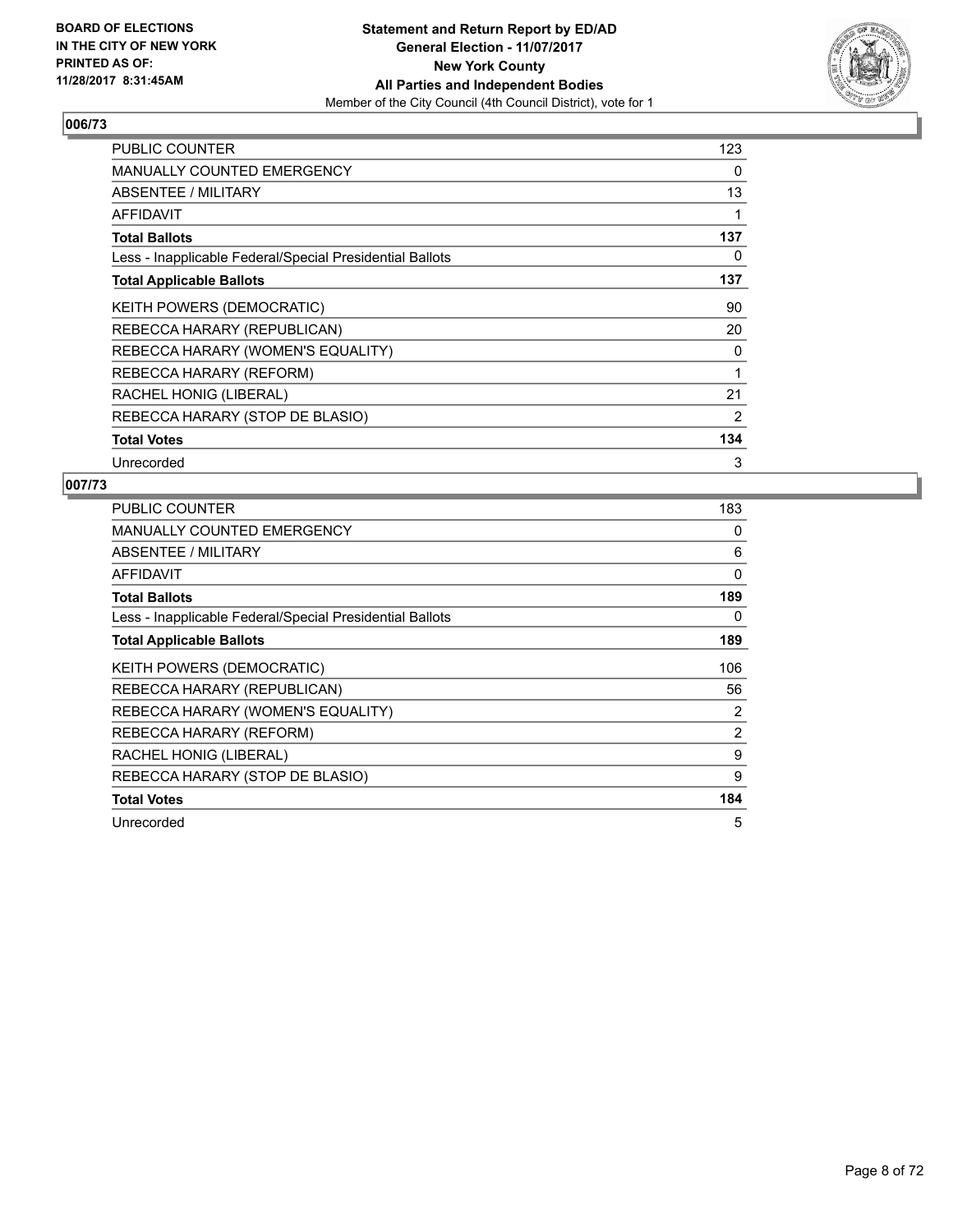

| PUBLIC COUNTER                                           | 123 |
|----------------------------------------------------------|-----|
| <b>MANUALLY COUNTED EMERGENCY</b>                        | 0   |
| <b>ABSENTEE / MILITARY</b>                               | 13  |
| AFFIDAVIT                                                | 1   |
| <b>Total Ballots</b>                                     | 137 |
| Less - Inapplicable Federal/Special Presidential Ballots | 0   |
| <b>Total Applicable Ballots</b>                          | 137 |
| KEITH POWERS (DEMOCRATIC)                                | 90  |
| REBECCA HARARY (REPUBLICAN)                              | 20  |
| REBECCA HARARY (WOMEN'S EQUALITY)                        | 0   |
| REBECCA HARARY (REFORM)                                  | 1   |
| RACHEL HONIG (LIBERAL)                                   | 21  |
| REBECCA HARARY (STOP DE BLASIO)                          | 2   |
| <b>Total Votes</b>                                       | 134 |
| Unrecorded                                               | 3   |

| <b>PUBLIC COUNTER</b>                                    | 183            |
|----------------------------------------------------------|----------------|
| <b>MANUALLY COUNTED EMERGENCY</b>                        | 0              |
| ABSENTEE / MILITARY                                      | 6              |
| <b>AFFIDAVIT</b>                                         | $\Omega$       |
| <b>Total Ballots</b>                                     | 189            |
| Less - Inapplicable Federal/Special Presidential Ballots | 0              |
| <b>Total Applicable Ballots</b>                          | 189            |
| KEITH POWERS (DEMOCRATIC)                                | 106            |
| REBECCA HARARY (REPUBLICAN)                              | 56             |
| REBECCA HARARY (WOMEN'S EQUALITY)                        | 2              |
| REBECCA HARARY (REFORM)                                  | $\overline{2}$ |
| RACHEL HONIG (LIBERAL)                                   | 9              |
| REBECCA HARARY (STOP DE BLASIO)                          | 9              |
| <b>Total Votes</b>                                       | 184            |
| Unrecorded                                               | 5              |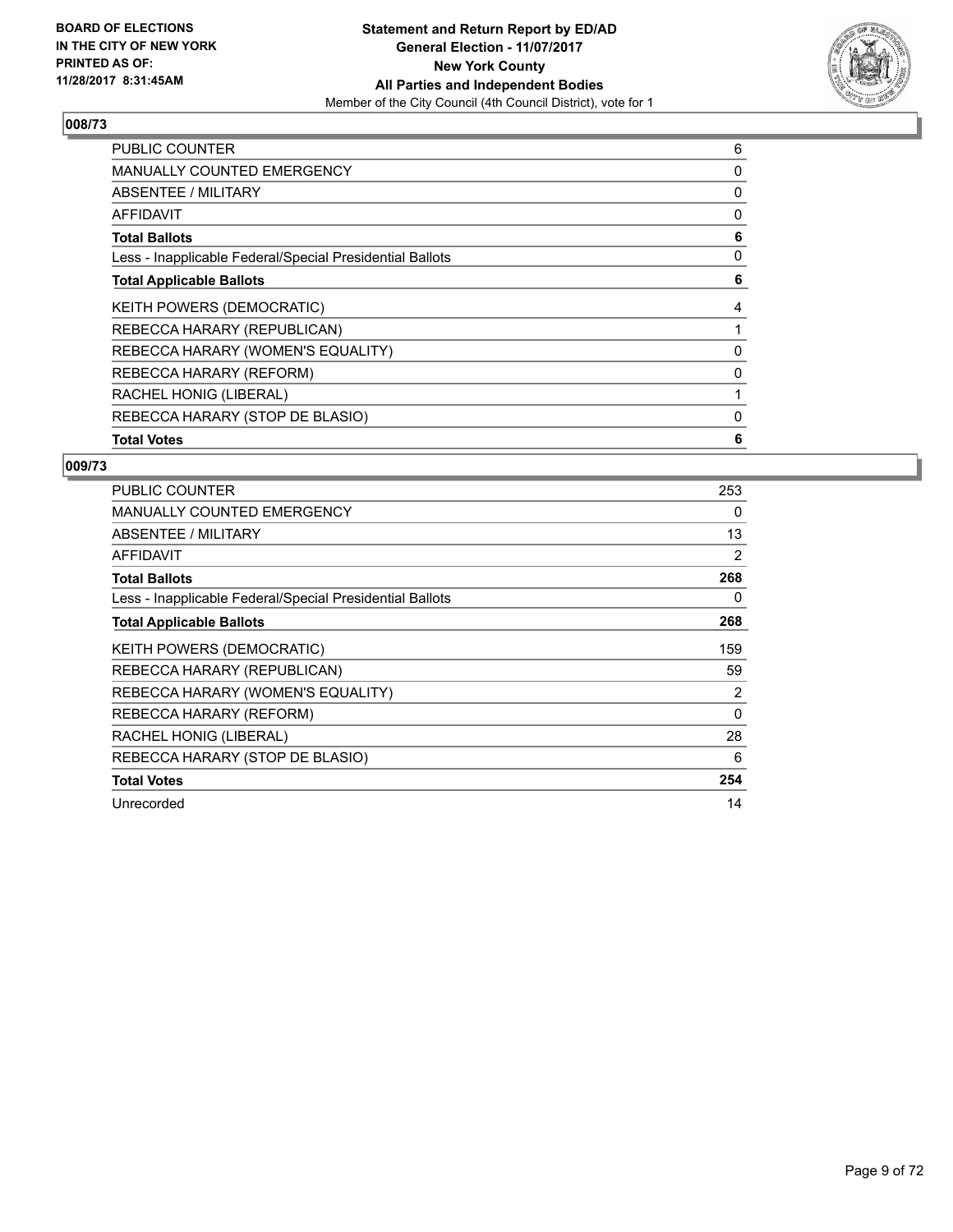

| <b>PUBLIC COUNTER</b>                                    | 6 |
|----------------------------------------------------------|---|
| <b>MANUALLY COUNTED EMERGENCY</b>                        | 0 |
| <b>ABSENTEE / MILITARY</b>                               | 0 |
| AFFIDAVIT                                                | 0 |
| <b>Total Ballots</b>                                     | 6 |
| Less - Inapplicable Federal/Special Presidential Ballots | 0 |
| <b>Total Applicable Ballots</b>                          | 6 |
| <b>KEITH POWERS (DEMOCRATIC)</b>                         | 4 |
| REBECCA HARARY (REPUBLICAN)                              |   |
| REBECCA HARARY (WOMEN'S EQUALITY)                        | 0 |
| REBECCA HARARY (REFORM)                                  | 0 |
| RACHEL HONIG (LIBERAL)                                   |   |
| REBECCA HARARY (STOP DE BLASIO)                          | 0 |
| <b>Total Votes</b>                                       | 6 |

| <b>PUBLIC COUNTER</b>                                    | 253            |
|----------------------------------------------------------|----------------|
| <b>MANUALLY COUNTED EMERGENCY</b>                        | 0              |
| ABSENTEE / MILITARY                                      | 13             |
| <b>AFFIDAVIT</b>                                         | 2              |
| <b>Total Ballots</b>                                     | 268            |
| Less - Inapplicable Federal/Special Presidential Ballots | 0              |
| <b>Total Applicable Ballots</b>                          | 268            |
| <b>KEITH POWERS (DEMOCRATIC)</b>                         | 159            |
| REBECCA HARARY (REPUBLICAN)                              | 59             |
| REBECCA HARARY (WOMEN'S EQUALITY)                        | $\overline{2}$ |
| REBECCA HARARY (REFORM)                                  | $\Omega$       |
| RACHEL HONIG (LIBERAL)                                   | 28             |
| REBECCA HARARY (STOP DE BLASIO)                          | 6              |
| <b>Total Votes</b>                                       | 254            |
| Unrecorded                                               | 14             |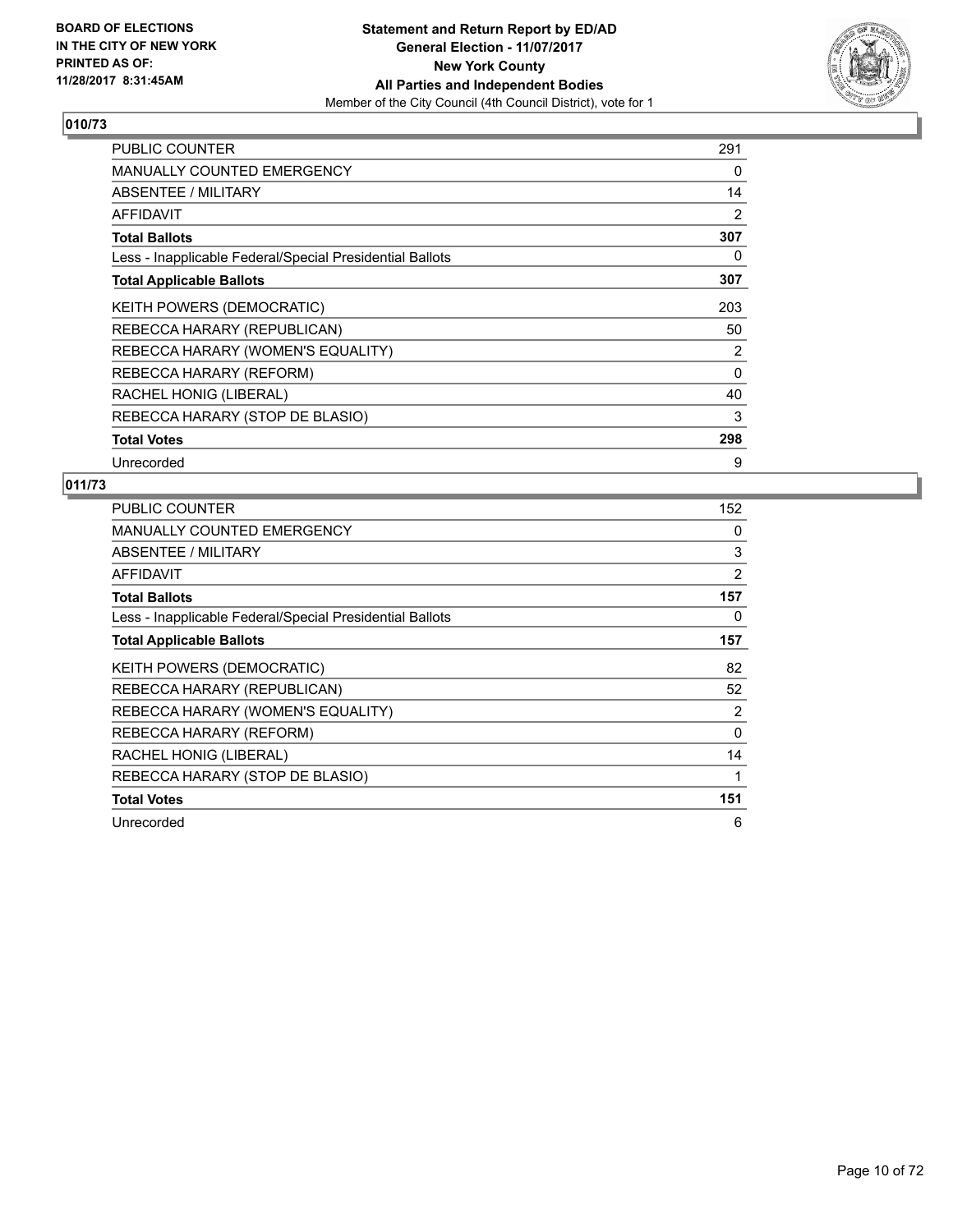

| <b>PUBLIC COUNTER</b>                                    | 291 |
|----------------------------------------------------------|-----|
| <b>MANUALLY COUNTED EMERGENCY</b>                        | 0   |
| ABSENTEE / MILITARY                                      | 14  |
| <b>AFFIDAVIT</b>                                         | 2   |
| <b>Total Ballots</b>                                     | 307 |
| Less - Inapplicable Federal/Special Presidential Ballots | 0   |
| <b>Total Applicable Ballots</b>                          | 307 |
| KEITH POWERS (DEMOCRATIC)                                | 203 |
| REBECCA HARARY (REPUBLICAN)                              | 50  |
| REBECCA HARARY (WOMEN'S EQUALITY)                        | 2   |
| REBECCA HARARY (REFORM)                                  | 0   |
| RACHEL HONIG (LIBERAL)                                   | 40  |
| REBECCA HARARY (STOP DE BLASIO)                          | 3   |
| <b>Total Votes</b>                                       | 298 |
| Unrecorded                                               | 9   |

| PUBLIC COUNTER                                           | 152            |
|----------------------------------------------------------|----------------|
| <b>MANUALLY COUNTED EMERGENCY</b>                        | 0              |
| ABSENTEE / MILITARY                                      | 3              |
| AFFIDAVIT                                                | 2              |
| <b>Total Ballots</b>                                     | 157            |
| Less - Inapplicable Federal/Special Presidential Ballots | 0              |
| <b>Total Applicable Ballots</b>                          | 157            |
| KEITH POWERS (DEMOCRATIC)                                | 82             |
| REBECCA HARARY (REPUBLICAN)                              | 52             |
| REBECCA HARARY (WOMEN'S EQUALITY)                        | $\overline{2}$ |
| REBECCA HARARY (REFORM)                                  | $\Omega$       |
| RACHEL HONIG (LIBERAL)                                   | 14             |
| REBECCA HARARY (STOP DE BLASIO)                          | 1              |
| <b>Total Votes</b>                                       | 151            |
| Unrecorded                                               | 6              |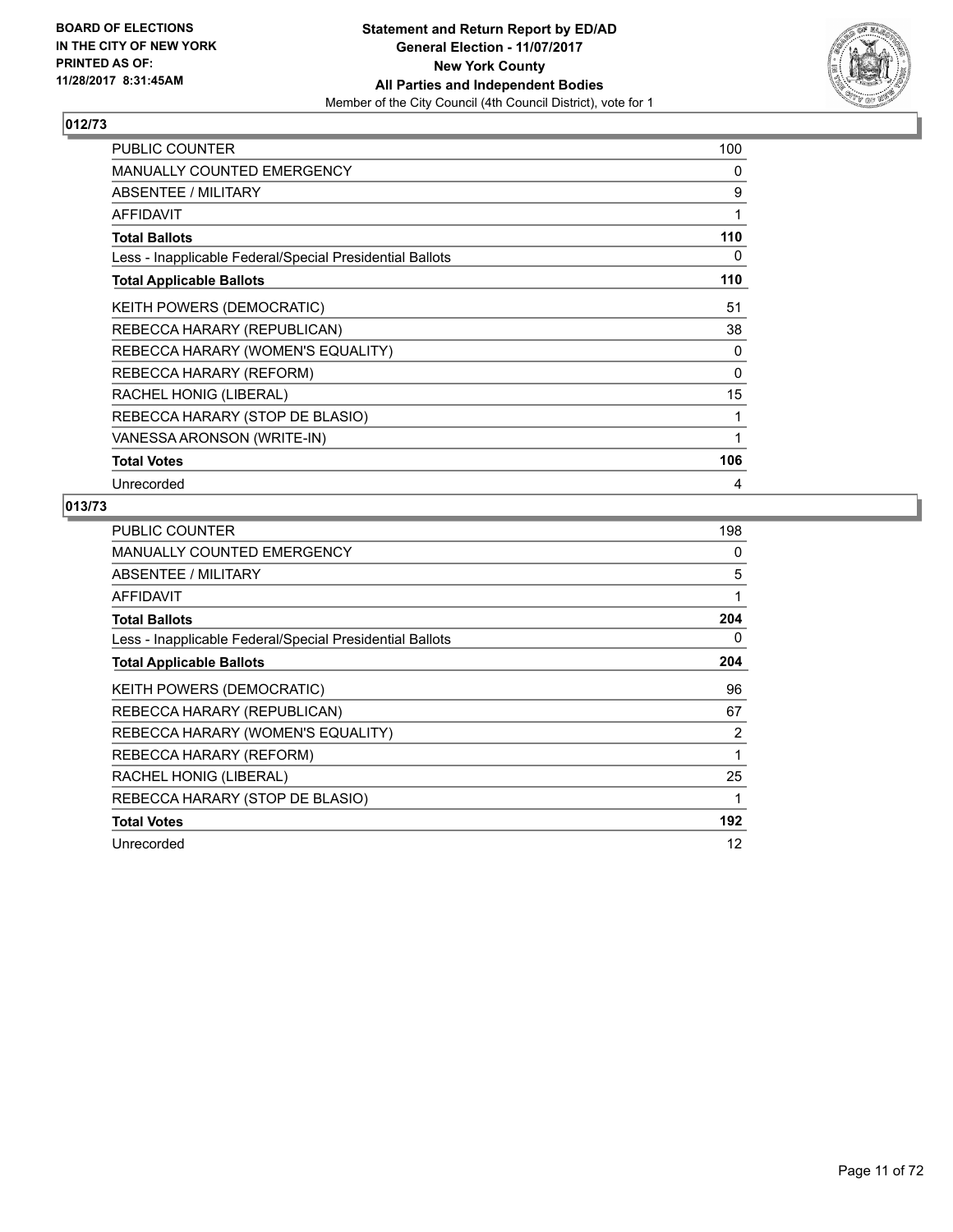

| <b>PUBLIC COUNTER</b>                                    | 100 |
|----------------------------------------------------------|-----|
| <b>MANUALLY COUNTED EMERGENCY</b>                        | 0   |
| ABSENTEE / MILITARY                                      | 9   |
| <b>AFFIDAVIT</b>                                         | 1   |
| <b>Total Ballots</b>                                     | 110 |
| Less - Inapplicable Federal/Special Presidential Ballots | 0   |
| <b>Total Applicable Ballots</b>                          | 110 |
| KEITH POWERS (DEMOCRATIC)                                | 51  |
| REBECCA HARARY (REPUBLICAN)                              | 38  |
| REBECCA HARARY (WOMEN'S EQUALITY)                        | 0   |
| REBECCA HARARY (REFORM)                                  | 0   |
| RACHEL HONIG (LIBERAL)                                   | 15  |
| REBECCA HARARY (STOP DE BLASIO)                          | 1   |
| VANESSA ARONSON (WRITE-IN)                               | 1   |
| <b>Total Votes</b>                                       | 106 |
| Unrecorded                                               | 4   |

| <b>PUBLIC COUNTER</b>                                    | 198 |
|----------------------------------------------------------|-----|
| <b>MANUALLY COUNTED EMERGENCY</b>                        | 0   |
| ABSENTEE / MILITARY                                      | 5   |
| <b>AFFIDAVIT</b>                                         | 1   |
| <b>Total Ballots</b>                                     | 204 |
| Less - Inapplicable Federal/Special Presidential Ballots | 0   |
| <b>Total Applicable Ballots</b>                          | 204 |
| KEITH POWERS (DEMOCRATIC)                                | 96  |
| REBECCA HARARY (REPUBLICAN)                              | 67  |
| REBECCA HARARY (WOMEN'S EQUALITY)                        | 2   |
| REBECCA HARARY (REFORM)                                  | 1   |
| RACHEL HONIG (LIBERAL)                                   | 25  |
| REBECCA HARARY (STOP DE BLASIO)                          | 1   |
| <b>Total Votes</b>                                       | 192 |
| Unrecorded                                               | 12  |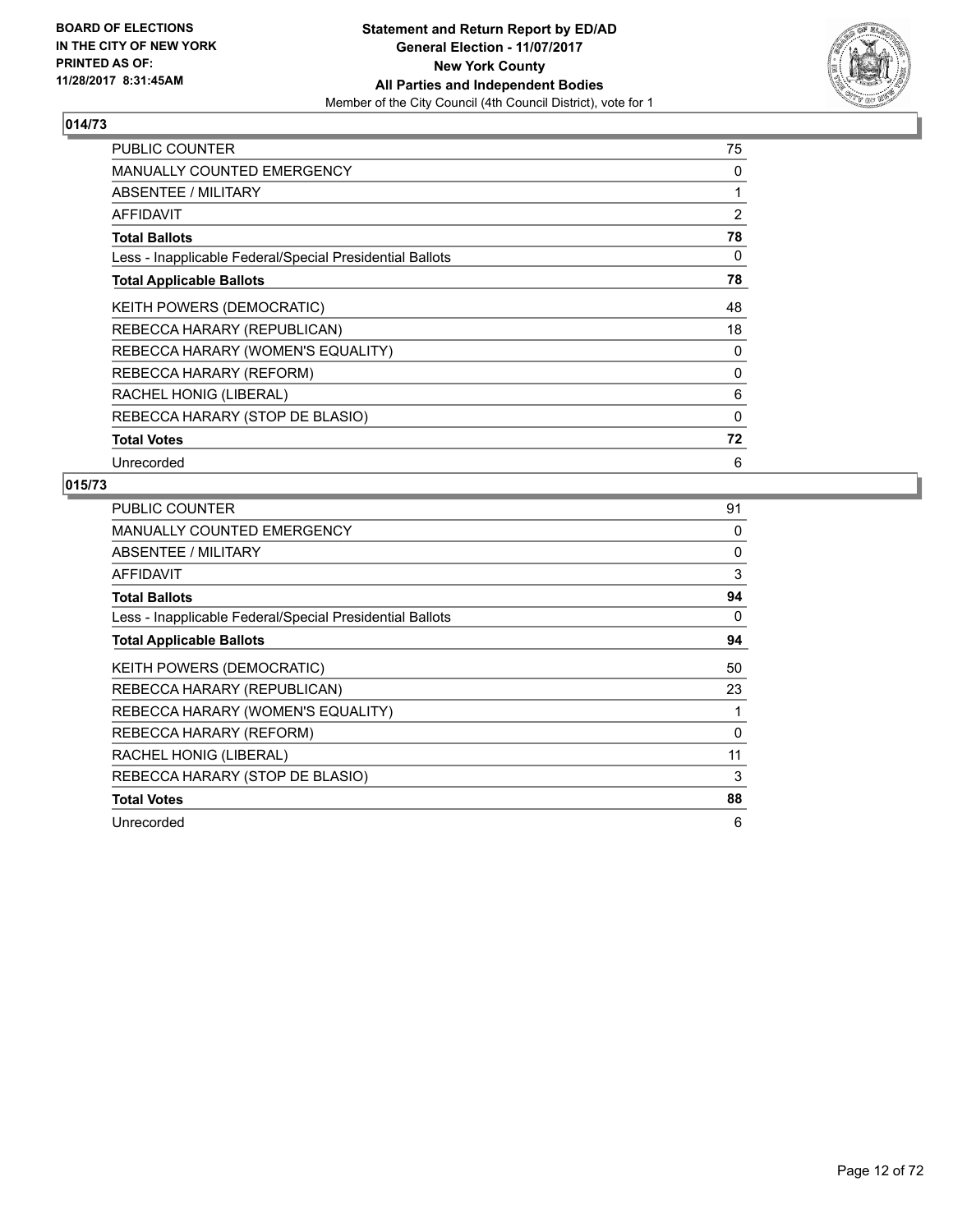

| <b>PUBLIC COUNTER</b>                                    | 75       |
|----------------------------------------------------------|----------|
| <b>MANUALLY COUNTED EMERGENCY</b>                        | 0        |
| ABSENTEE / MILITARY                                      | 1        |
| AFFIDAVIT                                                | 2        |
| <b>Total Ballots</b>                                     | 78       |
| Less - Inapplicable Federal/Special Presidential Ballots | 0        |
| <b>Total Applicable Ballots</b>                          | 78       |
| KEITH POWERS (DEMOCRATIC)                                | 48       |
| REBECCA HARARY (REPUBLICAN)                              | 18       |
| REBECCA HARARY (WOMEN'S EQUALITY)                        | 0        |
| REBECCA HARARY (REFORM)                                  | 0        |
| RACHEL HONIG (LIBERAL)                                   | 6        |
| REBECCA HARARY (STOP DE BLASIO)                          | $\Omega$ |
| <b>Total Votes</b>                                       | 72       |
| Unrecorded                                               | 6        |

| <b>PUBLIC COUNTER</b>                                    | 91       |
|----------------------------------------------------------|----------|
| <b>MANUALLY COUNTED EMERGENCY</b>                        | 0        |
| ABSENTEE / MILITARY                                      | 0        |
| AFFIDAVIT                                                | 3        |
| <b>Total Ballots</b>                                     | 94       |
| Less - Inapplicable Federal/Special Presidential Ballots | 0        |
| <b>Total Applicable Ballots</b>                          | 94       |
| KEITH POWERS (DEMOCRATIC)                                | 50       |
| REBECCA HARARY (REPUBLICAN)                              | 23       |
| REBECCA HARARY (WOMEN'S EQUALITY)                        |          |
| REBECCA HARARY (REFORM)                                  | $\Omega$ |
| RACHEL HONIG (LIBERAL)                                   | 11       |
| REBECCA HARARY (STOP DE BLASIO)                          | 3        |
| <b>Total Votes</b>                                       | 88       |
| Unrecorded                                               | 6        |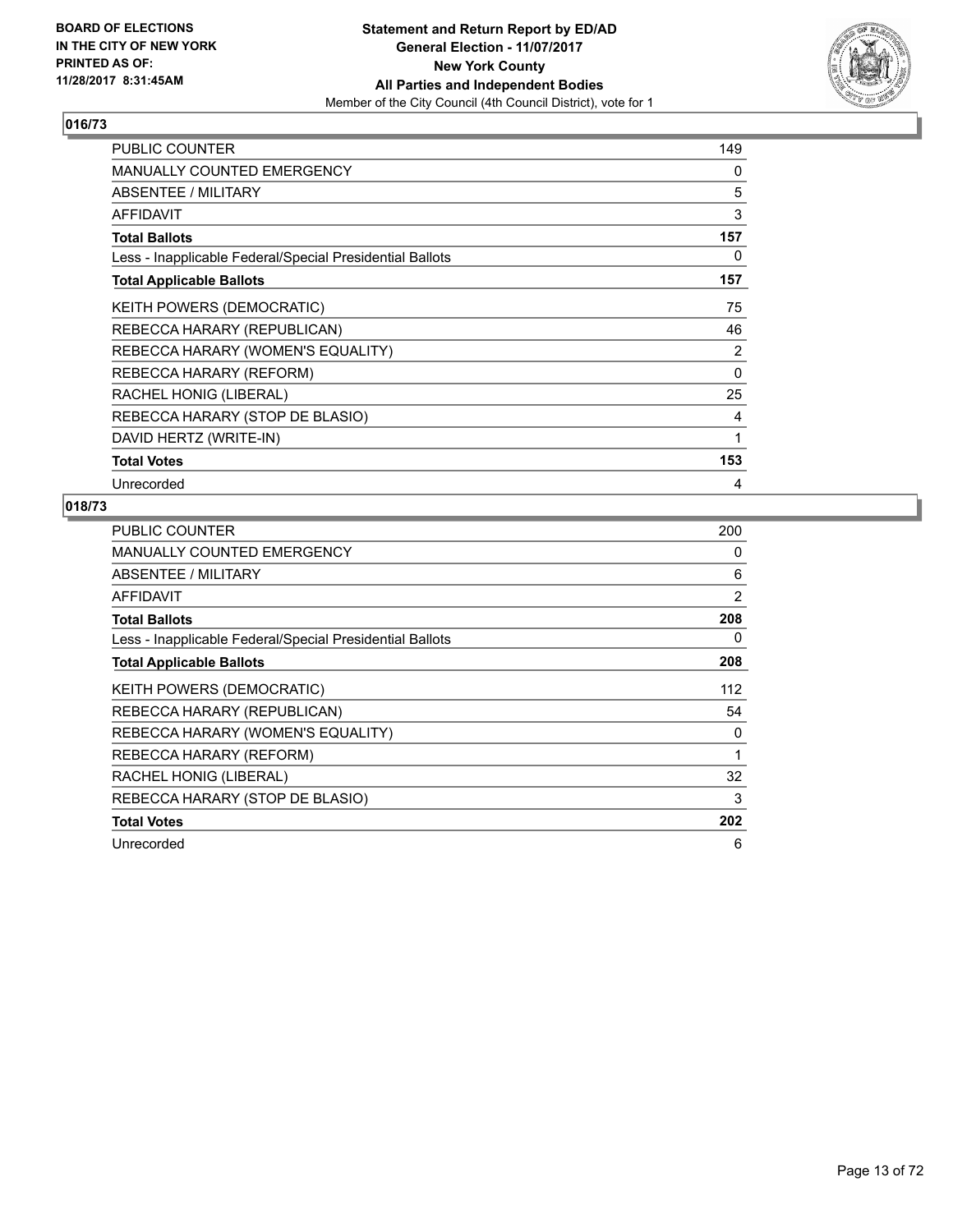

| PUBLIC COUNTER                                           | 149 |
|----------------------------------------------------------|-----|
| <b>MANUALLY COUNTED EMERGENCY</b>                        | 0   |
| <b>ABSENTEE / MILITARY</b>                               | 5   |
| <b>AFFIDAVIT</b>                                         | 3   |
| <b>Total Ballots</b>                                     | 157 |
| Less - Inapplicable Federal/Special Presidential Ballots | 0   |
| <b>Total Applicable Ballots</b>                          | 157 |
| KEITH POWERS (DEMOCRATIC)                                | 75  |
| REBECCA HARARY (REPUBLICAN)                              | 46  |
| REBECCA HARARY (WOMEN'S EQUALITY)                        | 2   |
| REBECCA HARARY (REFORM)                                  | 0   |
| RACHEL HONIG (LIBERAL)                                   | 25  |
| REBECCA HARARY (STOP DE BLASIO)                          | 4   |
| DAVID HERTZ (WRITE-IN)                                   | 1   |
| <b>Total Votes</b>                                       | 153 |
| Unrecorded                                               | 4   |

| <b>PUBLIC COUNTER</b>                                    | 200          |
|----------------------------------------------------------|--------------|
| <b>MANUALLY COUNTED EMERGENCY</b>                        | 0            |
| ABSENTEE / MILITARY                                      | 6            |
| AFFIDAVIT                                                | 2            |
| <b>Total Ballots</b>                                     | 208          |
| Less - Inapplicable Federal/Special Presidential Ballots | 0            |
| <b>Total Applicable Ballots</b>                          | 208          |
| <b>KEITH POWERS (DEMOCRATIC)</b>                         | 112          |
| REBECCA HARARY (REPUBLICAN)                              | 54           |
| REBECCA HARARY (WOMEN'S EQUALITY)                        | 0            |
| REBECCA HARARY (REFORM)                                  | $\mathbf{1}$ |
| RACHEL HONIG (LIBERAL)                                   | 32           |
| REBECCA HARARY (STOP DE BLASIO)                          | 3            |
| <b>Total Votes</b>                                       | 202          |
| Unrecorded                                               | 6            |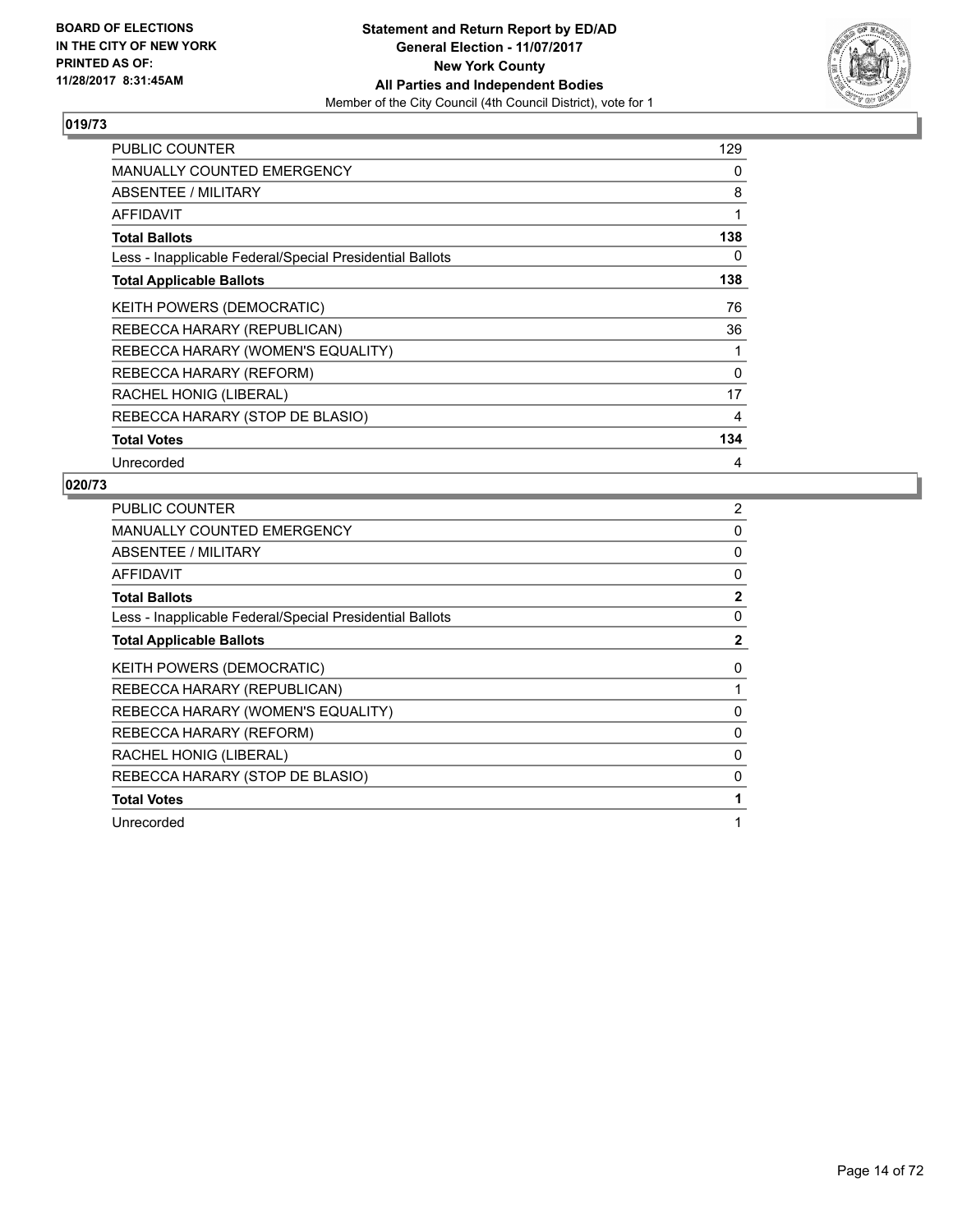

| <b>PUBLIC COUNTER</b>                                    | 129      |
|----------------------------------------------------------|----------|
| <b>MANUALLY COUNTED EMERGENCY</b>                        | 0        |
| ABSENTEE / MILITARY                                      | 8        |
| AFFIDAVIT                                                | 1        |
| <b>Total Ballots</b>                                     | 138      |
| Less - Inapplicable Federal/Special Presidential Ballots | 0        |
| <b>Total Applicable Ballots</b>                          | 138      |
| KEITH POWERS (DEMOCRATIC)                                | 76       |
| REBECCA HARARY (REPUBLICAN)                              | 36       |
| REBECCA HARARY (WOMEN'S EQUALITY)                        | 1        |
| REBECCA HARARY (REFORM)                                  | $\Omega$ |
| RACHEL HONIG (LIBERAL)                                   | 17       |
| REBECCA HARARY (STOP DE BLASIO)                          | 4        |
| <b>Total Votes</b>                                       | 134      |
| Unrecorded                                               | 4        |

| <b>PUBLIC COUNTER</b>                                    | 2            |
|----------------------------------------------------------|--------------|
| <b>MANUALLY COUNTED EMERGENCY</b>                        | 0            |
| ABSENTEE / MILITARY                                      | 0            |
| AFFIDAVIT                                                | 0            |
| <b>Total Ballots</b>                                     | $\mathbf{2}$ |
| Less - Inapplicable Federal/Special Presidential Ballots | 0            |
| <b>Total Applicable Ballots</b>                          | $\mathbf{2}$ |
| KEITH POWERS (DEMOCRATIC)                                | 0            |
| REBECCA HARARY (REPUBLICAN)                              |              |
| REBECCA HARARY (WOMEN'S EQUALITY)                        | 0            |
| REBECCA HARARY (REFORM)                                  | 0            |
| RACHEL HONIG (LIBERAL)                                   | 0            |
| REBECCA HARARY (STOP DE BLASIO)                          | 0            |
| <b>Total Votes</b>                                       | 1            |
| Unrecorded                                               | 1            |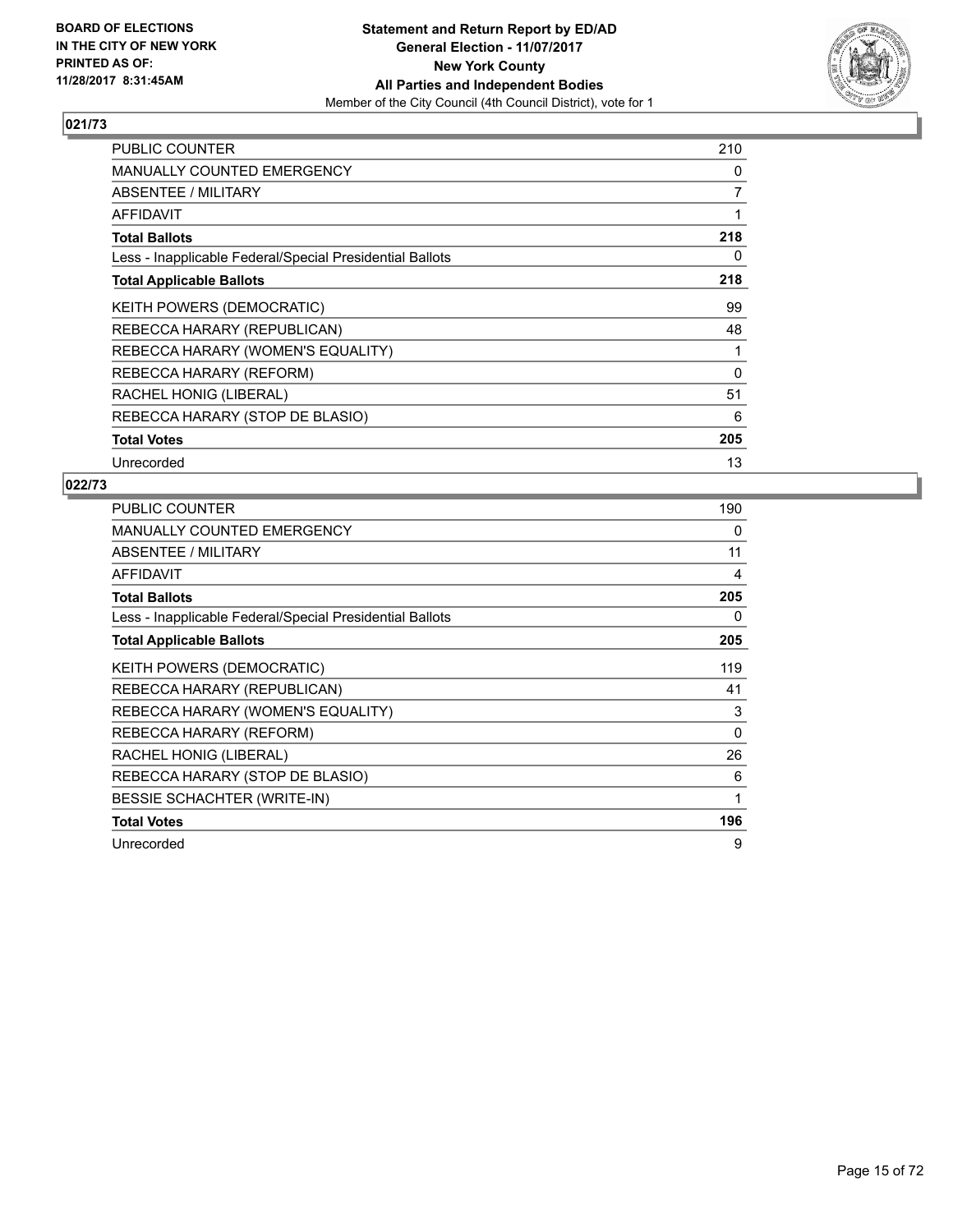

| <b>PUBLIC COUNTER</b>                                    | 210      |
|----------------------------------------------------------|----------|
| <b>MANUALLY COUNTED EMERGENCY</b>                        | 0        |
| ABSENTEE / MILITARY                                      | 7        |
| AFFIDAVIT                                                | 1        |
| <b>Total Ballots</b>                                     | 218      |
| Less - Inapplicable Federal/Special Presidential Ballots | 0        |
| <b>Total Applicable Ballots</b>                          | 218      |
| KEITH POWERS (DEMOCRATIC)                                | 99       |
| REBECCA HARARY (REPUBLICAN)                              | 48       |
| REBECCA HARARY (WOMEN'S EQUALITY)                        | 1        |
| REBECCA HARARY (REFORM)                                  | $\Omega$ |
| RACHEL HONIG (LIBERAL)                                   | 51       |
| REBECCA HARARY (STOP DE BLASIO)                          | 6        |
| <b>Total Votes</b>                                       | 205      |
| Unrecorded                                               | 13       |

| <b>PUBLIC COUNTER</b>                                    | 190 |
|----------------------------------------------------------|-----|
| <b>MANUALLY COUNTED EMERGENCY</b>                        | 0   |
| ABSENTEE / MILITARY                                      | 11  |
| <b>AFFIDAVIT</b>                                         | 4   |
| <b>Total Ballots</b>                                     | 205 |
| Less - Inapplicable Federal/Special Presidential Ballots | 0   |
| <b>Total Applicable Ballots</b>                          | 205 |
| <b>KEITH POWERS (DEMOCRATIC)</b>                         | 119 |
| REBECCA HARARY (REPUBLICAN)                              | 41  |
| REBECCA HARARY (WOMEN'S EQUALITY)                        | 3   |
| REBECCA HARARY (REFORM)                                  | 0   |
| RACHEL HONIG (LIBERAL)                                   | 26  |
| REBECCA HARARY (STOP DE BLASIO)                          | 6   |
| <b>BESSIE SCHACHTER (WRITE-IN)</b>                       | 1   |
| <b>Total Votes</b>                                       | 196 |
| Unrecorded                                               | 9   |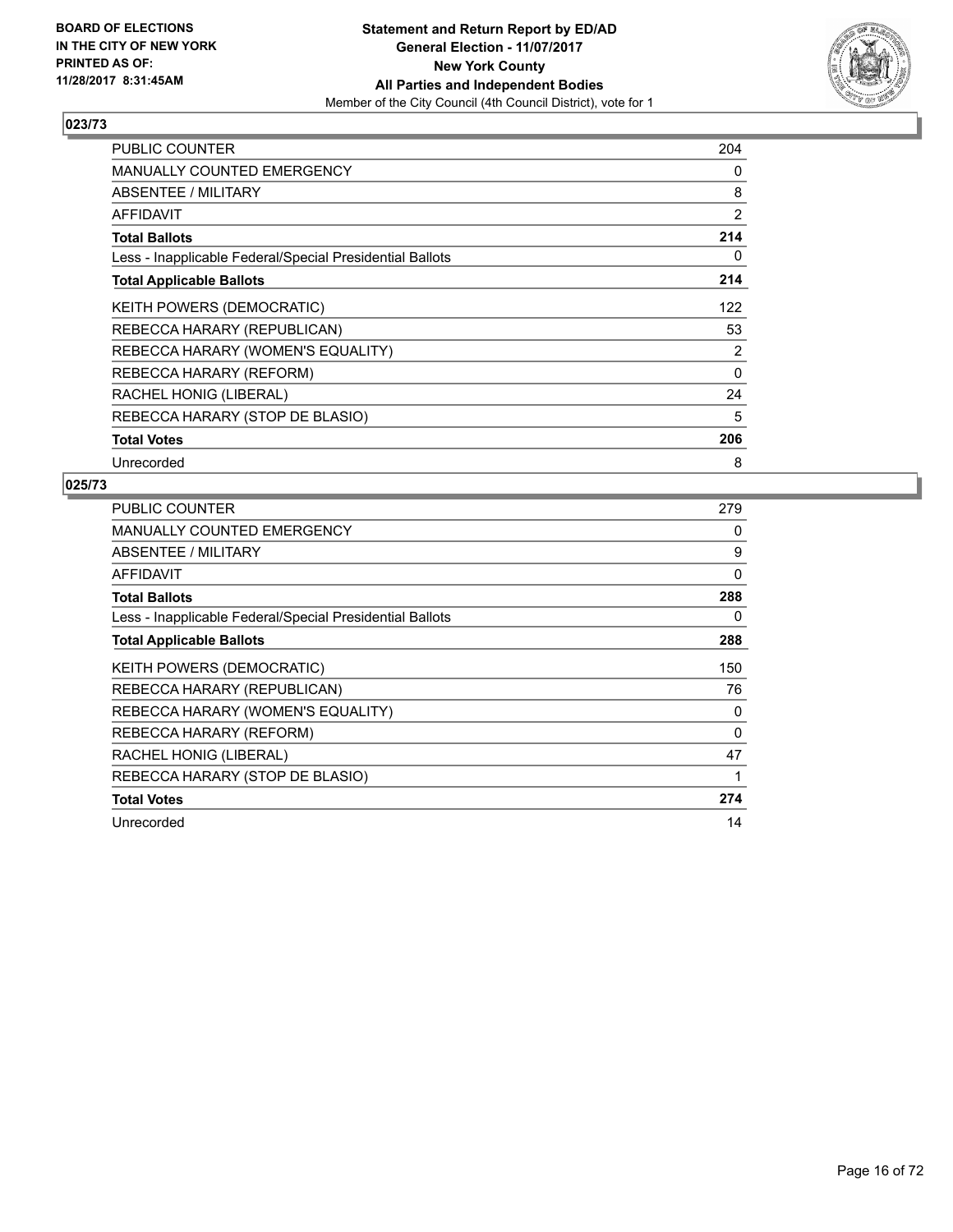

| PUBLIC COUNTER                                           | 204 |
|----------------------------------------------------------|-----|
| <b>MANUALLY COUNTED EMERGENCY</b>                        | 0   |
| <b>ABSENTEE / MILITARY</b>                               | 8   |
| <b>AFFIDAVIT</b>                                         | 2   |
| <b>Total Ballots</b>                                     | 214 |
| Less - Inapplicable Federal/Special Presidential Ballots | 0   |
| <b>Total Applicable Ballots</b>                          | 214 |
| KEITH POWERS (DEMOCRATIC)                                | 122 |
| REBECCA HARARY (REPUBLICAN)                              | 53  |
| REBECCA HARARY (WOMEN'S EQUALITY)                        | 2   |
| REBECCA HARARY (REFORM)                                  | 0   |
| RACHEL HONIG (LIBERAL)                                   | 24  |
| REBECCA HARARY (STOP DE BLASIO)                          | 5   |
| <b>Total Votes</b>                                       | 206 |
| Unrecorded                                               | 8   |

| <b>PUBLIC COUNTER</b>                                    | 279      |
|----------------------------------------------------------|----------|
| <b>MANUALLY COUNTED EMERGENCY</b>                        | 0        |
| ABSENTEE / MILITARY                                      | 9        |
| AFFIDAVIT                                                | 0        |
| <b>Total Ballots</b>                                     | 288      |
| Less - Inapplicable Federal/Special Presidential Ballots | 0        |
| <b>Total Applicable Ballots</b>                          | 288      |
| <b>KEITH POWERS (DEMOCRATIC)</b>                         | 150      |
| REBECCA HARARY (REPUBLICAN)                              | 76       |
| REBECCA HARARY (WOMEN'S EQUALITY)                        | 0        |
| REBECCA HARARY (REFORM)                                  | $\Omega$ |
| RACHEL HONIG (LIBERAL)                                   | 47       |
| REBECCA HARARY (STOP DE BLASIO)                          | 1        |
| <b>Total Votes</b>                                       | 274      |
| Unrecorded                                               | 14       |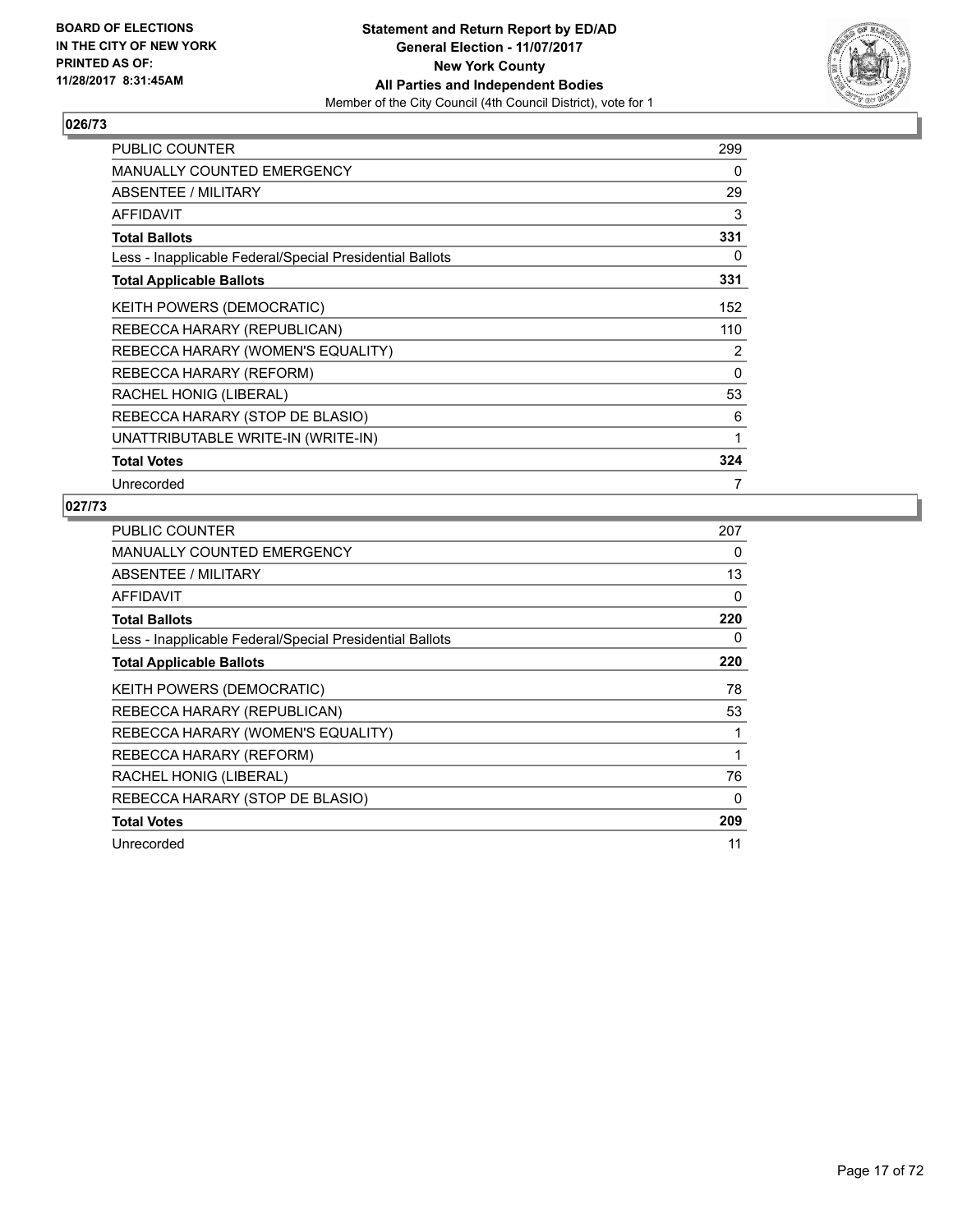

| <b>PUBLIC COUNTER</b>                                    | 299 |
|----------------------------------------------------------|-----|
| <b>MANUALLY COUNTED EMERGENCY</b>                        | 0   |
| ABSENTEE / MILITARY                                      | 29  |
| <b>AFFIDAVIT</b>                                         | 3   |
| <b>Total Ballots</b>                                     | 331 |
| Less - Inapplicable Federal/Special Presidential Ballots | 0   |
| <b>Total Applicable Ballots</b>                          | 331 |
| <b>KEITH POWERS (DEMOCRATIC)</b>                         | 152 |
| REBECCA HARARY (REPUBLICAN)                              | 110 |
| REBECCA HARARY (WOMEN'S EQUALITY)                        | 2   |
| REBECCA HARARY (REFORM)                                  | 0   |
| RACHEL HONIG (LIBERAL)                                   | 53  |
| REBECCA HARARY (STOP DE BLASIO)                          | 6   |
| UNATTRIBUTABLE WRITE-IN (WRITE-IN)                       | 1   |
| <b>Total Votes</b>                                       | 324 |
| Unrecorded                                               | 7   |

| <b>PUBLIC COUNTER</b>                                    | 207 |
|----------------------------------------------------------|-----|
| <b>MANUALLY COUNTED EMERGENCY</b>                        | 0   |
| ABSENTEE / MILITARY                                      | 13  |
| AFFIDAVIT                                                | 0   |
| <b>Total Ballots</b>                                     | 220 |
| Less - Inapplicable Federal/Special Presidential Ballots | 0   |
| <b>Total Applicable Ballots</b>                          | 220 |
| <b>KEITH POWERS (DEMOCRATIC)</b>                         | 78  |
| REBECCA HARARY (REPUBLICAN)                              | 53  |
| REBECCA HARARY (WOMEN'S EQUALITY)                        |     |
| REBECCA HARARY (REFORM)                                  | 1   |
| RACHEL HONIG (LIBERAL)                                   | 76  |
| REBECCA HARARY (STOP DE BLASIO)                          | 0   |
| <b>Total Votes</b>                                       | 209 |
| Unrecorded                                               | 11  |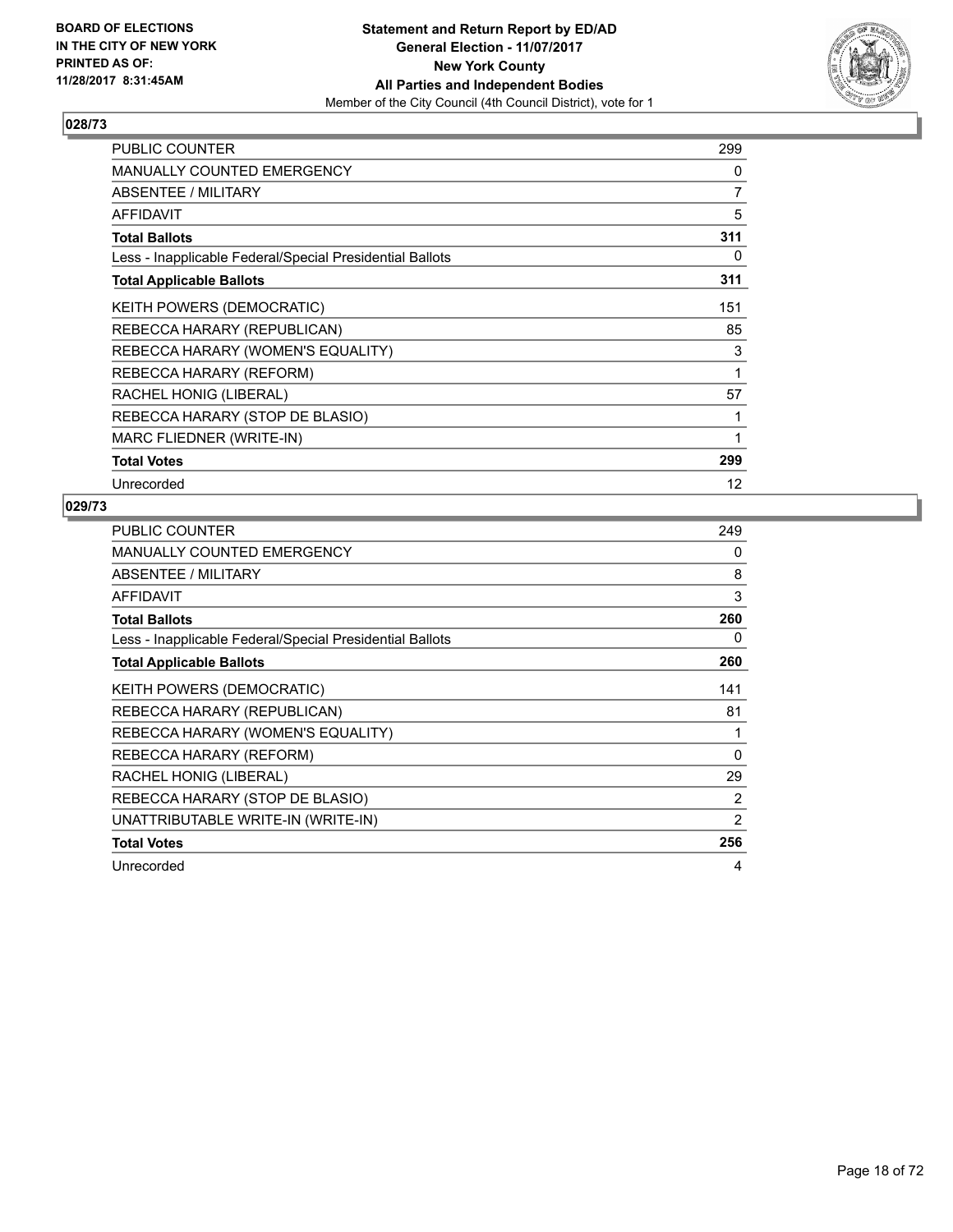

| <b>PUBLIC COUNTER</b>                                    | 299 |
|----------------------------------------------------------|-----|
| <b>MANUALLY COUNTED EMERGENCY</b>                        | 0   |
| ABSENTEE / MILITARY                                      | 7   |
| <b>AFFIDAVIT</b>                                         | 5   |
| <b>Total Ballots</b>                                     | 311 |
| Less - Inapplicable Federal/Special Presidential Ballots | 0   |
| <b>Total Applicable Ballots</b>                          | 311 |
| <b>KEITH POWERS (DEMOCRATIC)</b>                         | 151 |
| REBECCA HARARY (REPUBLICAN)                              | 85  |
| REBECCA HARARY (WOMEN'S EQUALITY)                        | 3   |
| REBECCA HARARY (REFORM)                                  | 1   |
| RACHEL HONIG (LIBERAL)                                   | 57  |
| REBECCA HARARY (STOP DE BLASIO)                          | 1   |
| MARC FLIEDNER (WRITE-IN)                                 | 1   |
| <b>Total Votes</b>                                       | 299 |
| Unrecorded                                               | 12  |

| <b>PUBLIC COUNTER</b>                                    | 249 |
|----------------------------------------------------------|-----|
| <b>MANUALLY COUNTED EMERGENCY</b>                        | 0   |
| ABSENTEE / MILITARY                                      | 8   |
| <b>AFFIDAVIT</b>                                         | 3   |
| <b>Total Ballots</b>                                     | 260 |
| Less - Inapplicable Federal/Special Presidential Ballots | 0   |
| <b>Total Applicable Ballots</b>                          | 260 |
| KEITH POWERS (DEMOCRATIC)                                | 141 |
| REBECCA HARARY (REPUBLICAN)                              | 81  |
| REBECCA HARARY (WOMEN'S EQUALITY)                        | 1   |
| REBECCA HARARY (REFORM)                                  | 0   |
| RACHEL HONIG (LIBERAL)                                   | 29  |
| REBECCA HARARY (STOP DE BLASIO)                          | 2   |
| UNATTRIBUTABLE WRITE-IN (WRITE-IN)                       | 2   |
| <b>Total Votes</b>                                       | 256 |
| Unrecorded                                               | 4   |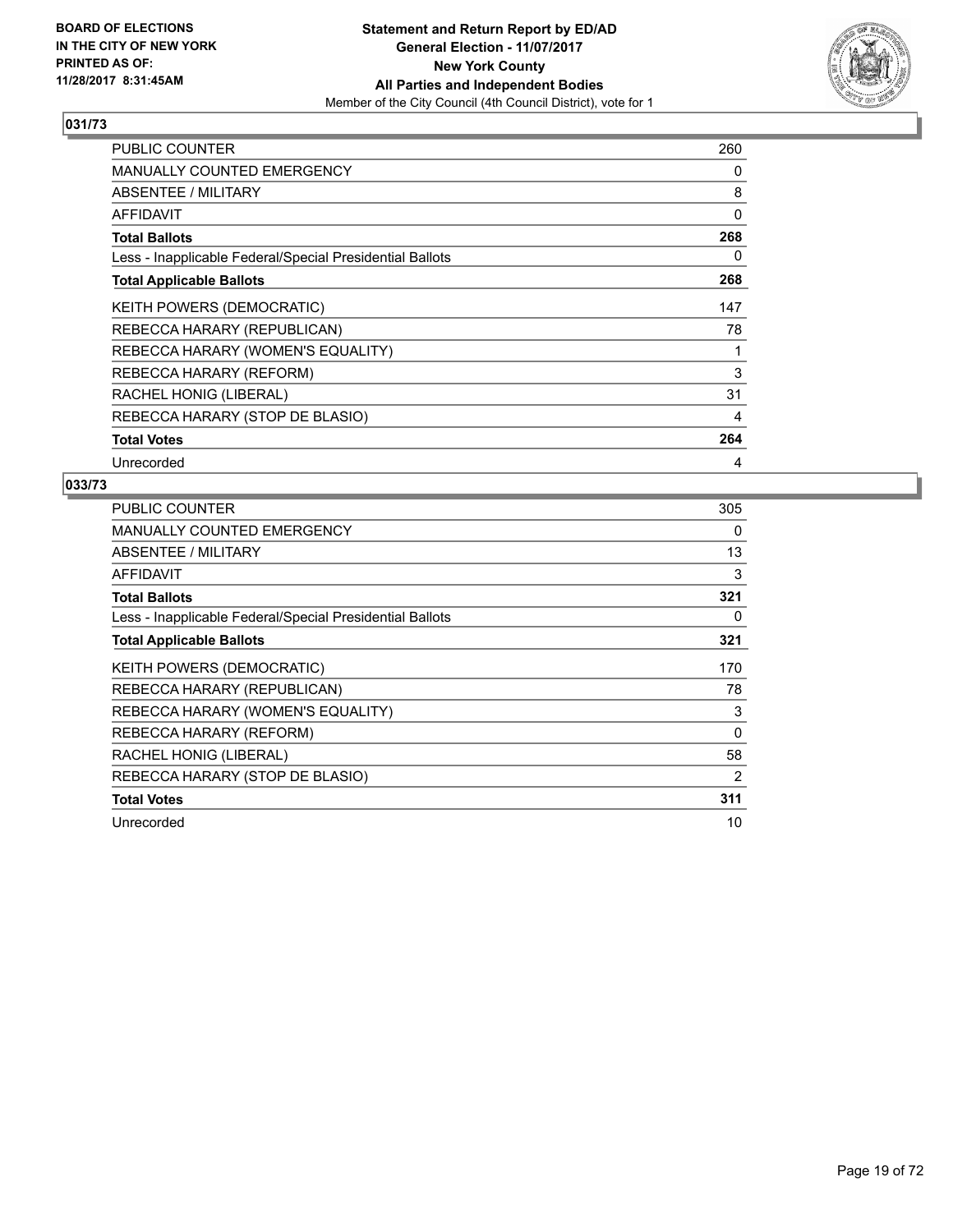

| PUBLIC COUNTER                                           | 260 |
|----------------------------------------------------------|-----|
| <b>MANUALLY COUNTED EMERGENCY</b>                        | 0   |
| ABSENTEE / MILITARY                                      | 8   |
| <b>AFFIDAVIT</b>                                         | 0   |
| <b>Total Ballots</b>                                     | 268 |
| Less - Inapplicable Federal/Special Presidential Ballots | 0   |
| <b>Total Applicable Ballots</b>                          | 268 |
| KEITH POWERS (DEMOCRATIC)                                | 147 |
| REBECCA HARARY (REPUBLICAN)                              | 78  |
| REBECCA HARARY (WOMEN'S EQUALITY)                        | 1   |
| REBECCA HARARY (REFORM)                                  | 3   |
| RACHEL HONIG (LIBERAL)                                   | 31  |
| REBECCA HARARY (STOP DE BLASIO)                          | 4   |
| <b>Total Votes</b>                                       | 264 |
| Unrecorded                                               | 4   |

| <b>PUBLIC COUNTER</b>                                    | 305      |
|----------------------------------------------------------|----------|
| <b>MANUALLY COUNTED EMERGENCY</b>                        | 0        |
| ABSENTEE / MILITARY                                      | 13       |
| AFFIDAVIT                                                | 3        |
| <b>Total Ballots</b>                                     | 321      |
| Less - Inapplicable Federal/Special Presidential Ballots | 0        |
| <b>Total Applicable Ballots</b>                          | 321      |
| <b>KEITH POWERS (DEMOCRATIC)</b>                         | 170      |
| REBECCA HARARY (REPUBLICAN)                              | 78       |
| REBECCA HARARY (WOMEN'S EQUALITY)                        | 3        |
| REBECCA HARARY (REFORM)                                  | $\Omega$ |
| RACHEL HONIG (LIBERAL)                                   | 58       |
| REBECCA HARARY (STOP DE BLASIO)                          | 2        |
| <b>Total Votes</b>                                       | 311      |
| Unrecorded                                               | 10       |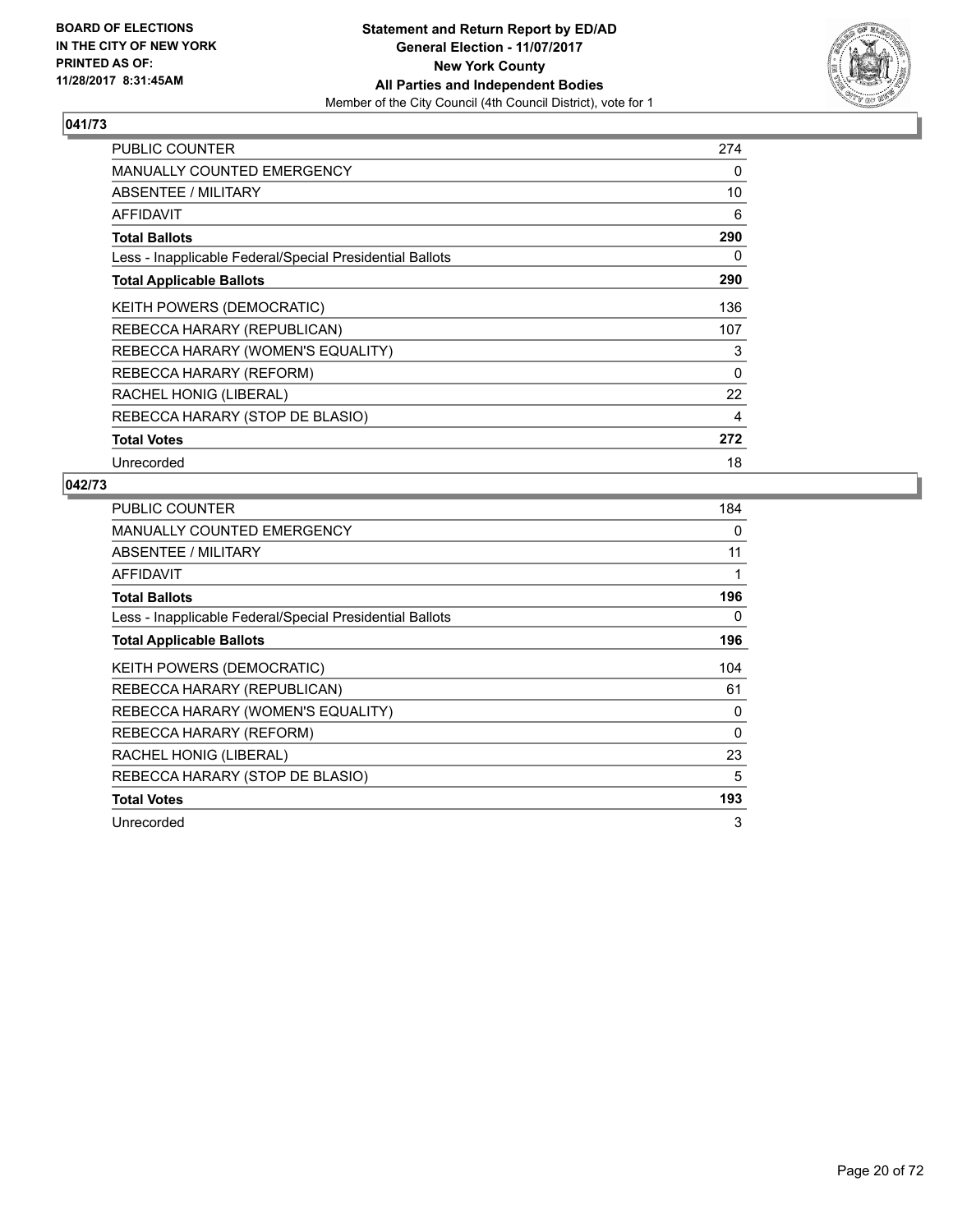

| <b>PUBLIC COUNTER</b>                                    | 274 |
|----------------------------------------------------------|-----|
| <b>MANUALLY COUNTED EMERGENCY</b>                        | 0   |
| ABSENTEE / MILITARY                                      | 10  |
| <b>AFFIDAVIT</b>                                         | 6   |
| <b>Total Ballots</b>                                     | 290 |
| Less - Inapplicable Federal/Special Presidential Ballots | 0   |
| <b>Total Applicable Ballots</b>                          | 290 |
| KEITH POWERS (DEMOCRATIC)                                | 136 |
| REBECCA HARARY (REPUBLICAN)                              | 107 |
| REBECCA HARARY (WOMEN'S EQUALITY)                        | 3   |
| REBECCA HARARY (REFORM)                                  | 0   |
| RACHEL HONIG (LIBERAL)                                   | 22  |
| REBECCA HARARY (STOP DE BLASIO)                          | 4   |
| <b>Total Votes</b>                                       | 272 |
| Unrecorded                                               | 18  |

| <b>PUBLIC COUNTER</b>                                    | 184      |
|----------------------------------------------------------|----------|
| <b>MANUALLY COUNTED EMERGENCY</b>                        | 0        |
| ABSENTEE / MILITARY                                      | 11       |
| AFFIDAVIT                                                | 1        |
| <b>Total Ballots</b>                                     | 196      |
| Less - Inapplicable Federal/Special Presidential Ballots | 0        |
| <b>Total Applicable Ballots</b>                          | 196      |
| <b>KEITH POWERS (DEMOCRATIC)</b>                         | 104      |
| REBECCA HARARY (REPUBLICAN)                              | 61       |
| REBECCA HARARY (WOMEN'S EQUALITY)                        | 0        |
| REBECCA HARARY (REFORM)                                  | $\Omega$ |
| RACHEL HONIG (LIBERAL)                                   | 23       |
| REBECCA HARARY (STOP DE BLASIO)                          | 5        |
| <b>Total Votes</b>                                       | 193      |
| Unrecorded                                               | 3        |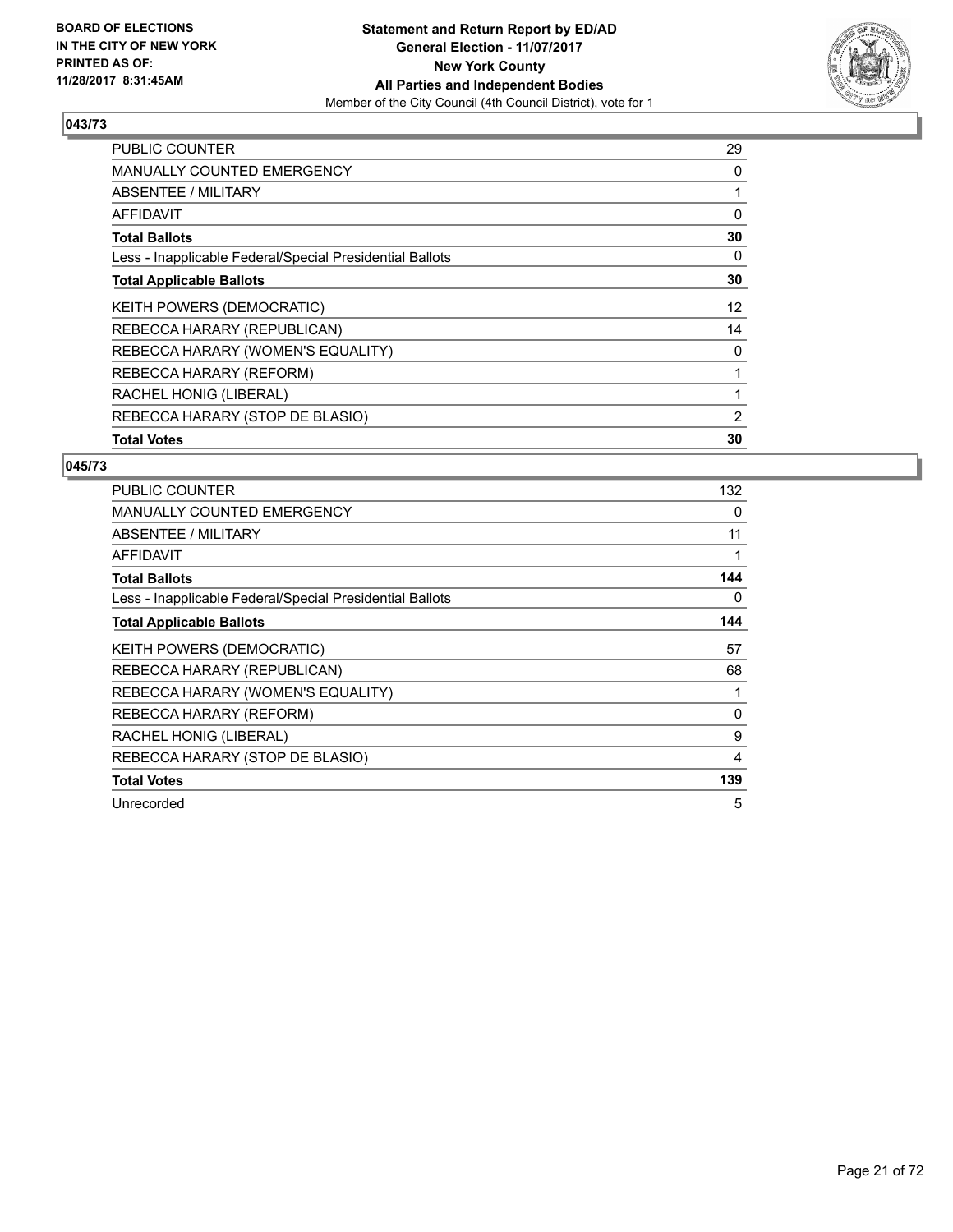

| <b>PUBLIC COUNTER</b>                                    | 29 |
|----------------------------------------------------------|----|
| <b>MANUALLY COUNTED EMERGENCY</b>                        | 0  |
| <b>ABSENTEE / MILITARY</b>                               | 1  |
| AFFIDAVIT                                                | 0  |
| <b>Total Ballots</b>                                     | 30 |
| Less - Inapplicable Federal/Special Presidential Ballots | 0  |
| <b>Total Applicable Ballots</b>                          | 30 |
| KEITH POWERS (DEMOCRATIC)                                | 12 |
| REBECCA HARARY (REPUBLICAN)                              | 14 |
| REBECCA HARARY (WOMEN'S EQUALITY)                        | 0  |
| REBECCA HARARY (REFORM)                                  |    |
| RACHEL HONIG (LIBERAL)                                   |    |
| REBECCA HARARY (STOP DE BLASIO)                          | 2  |
| <b>Total Votes</b>                                       | 30 |

| <b>PUBLIC COUNTER</b>                                    | 132 |
|----------------------------------------------------------|-----|
| <b>MANUALLY COUNTED EMERGENCY</b>                        | 0   |
| ABSENTEE / MILITARY                                      | 11  |
| AFFIDAVIT                                                | 1   |
| <b>Total Ballots</b>                                     | 144 |
| Less - Inapplicable Federal/Special Presidential Ballots | 0   |
| <b>Total Applicable Ballots</b>                          | 144 |
| <b>KEITH POWERS (DEMOCRATIC)</b>                         | 57  |
| REBECCA HARARY (REPUBLICAN)                              | 68  |
| REBECCA HARARY (WOMEN'S EQUALITY)                        |     |
| REBECCA HARARY (REFORM)                                  | 0   |
| RACHEL HONIG (LIBERAL)                                   | 9   |
| REBECCA HARARY (STOP DE BLASIO)                          | 4   |
| <b>Total Votes</b>                                       | 139 |
| Unrecorded                                               | 5   |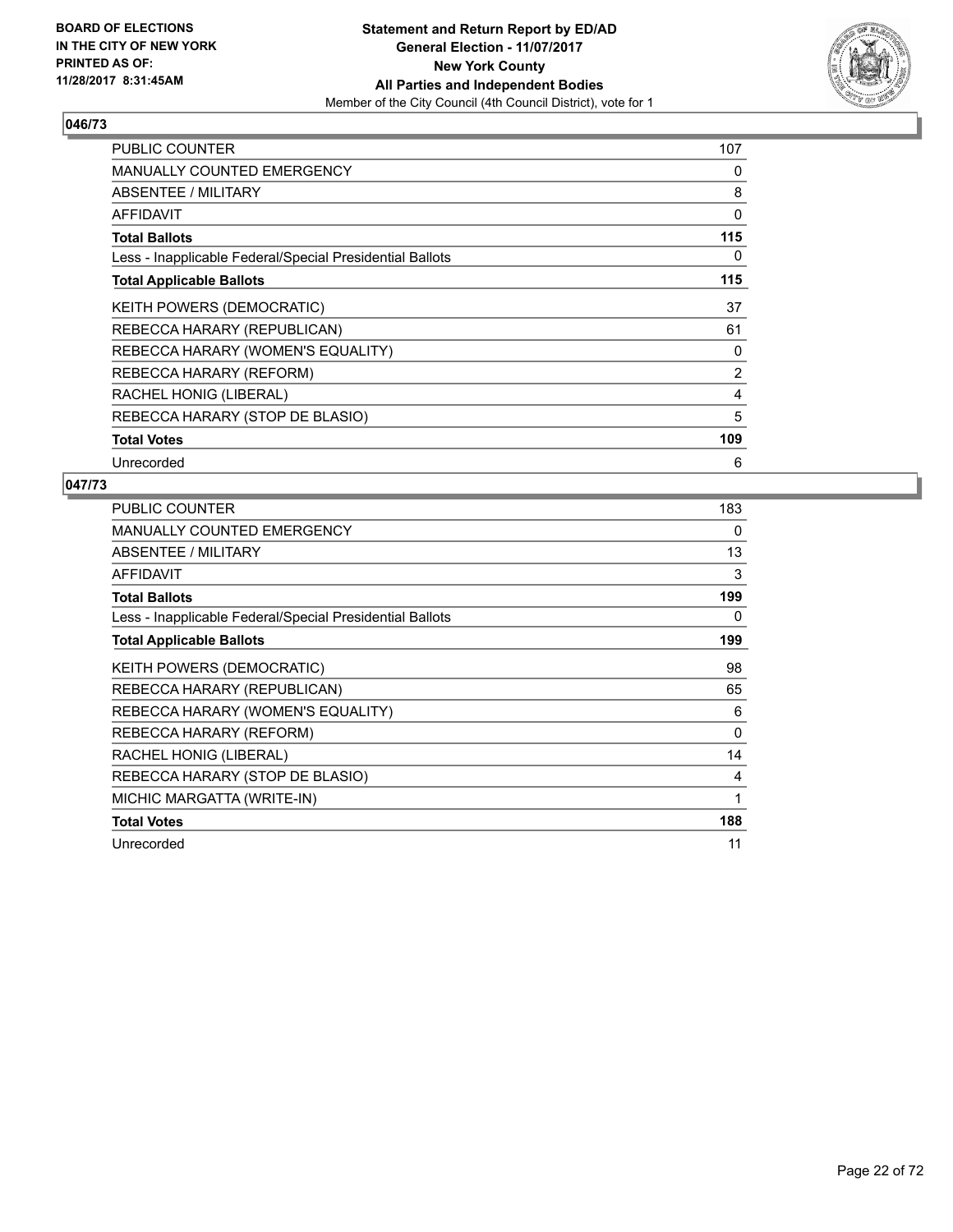

| <b>PUBLIC COUNTER</b>                                    | 107            |
|----------------------------------------------------------|----------------|
| <b>MANUALLY COUNTED EMERGENCY</b>                        | 0              |
| ABSENTEE / MILITARY                                      | 8              |
| AFFIDAVIT                                                | 0              |
| <b>Total Ballots</b>                                     | 115            |
| Less - Inapplicable Federal/Special Presidential Ballots | 0              |
| <b>Total Applicable Ballots</b>                          | 115            |
| <b>KEITH POWERS (DEMOCRATIC)</b>                         | 37             |
| REBECCA HARARY (REPUBLICAN)                              | 61             |
| REBECCA HARARY (WOMEN'S EQUALITY)                        | 0              |
| REBECCA HARARY (REFORM)                                  | $\overline{2}$ |
| RACHEL HONIG (LIBERAL)                                   | 4              |
| REBECCA HARARY (STOP DE BLASIO)                          | 5              |
| <b>Total Votes</b>                                       | 109            |
| Unrecorded                                               | 6              |

| <b>PUBLIC COUNTER</b>                                    | 183 |
|----------------------------------------------------------|-----|
| MANUALLY COUNTED EMERGENCY                               | 0   |
| ABSENTEE / MILITARY                                      | 13  |
| <b>AFFIDAVIT</b>                                         | 3   |
| <b>Total Ballots</b>                                     | 199 |
| Less - Inapplicable Federal/Special Presidential Ballots | 0   |
| <b>Total Applicable Ballots</b>                          | 199 |
| <b>KEITH POWERS (DEMOCRATIC)</b>                         | 98  |
| REBECCA HARARY (REPUBLICAN)                              | 65  |
| REBECCA HARARY (WOMEN'S EQUALITY)                        | 6   |
| REBECCA HARARY (REFORM)                                  | 0   |
| RACHEL HONIG (LIBERAL)                                   | 14  |
| REBECCA HARARY (STOP DE BLASIO)                          | 4   |
| MICHIC MARGATTA (WRITE-IN)                               | 1   |
| <b>Total Votes</b>                                       | 188 |
| Unrecorded                                               | 11  |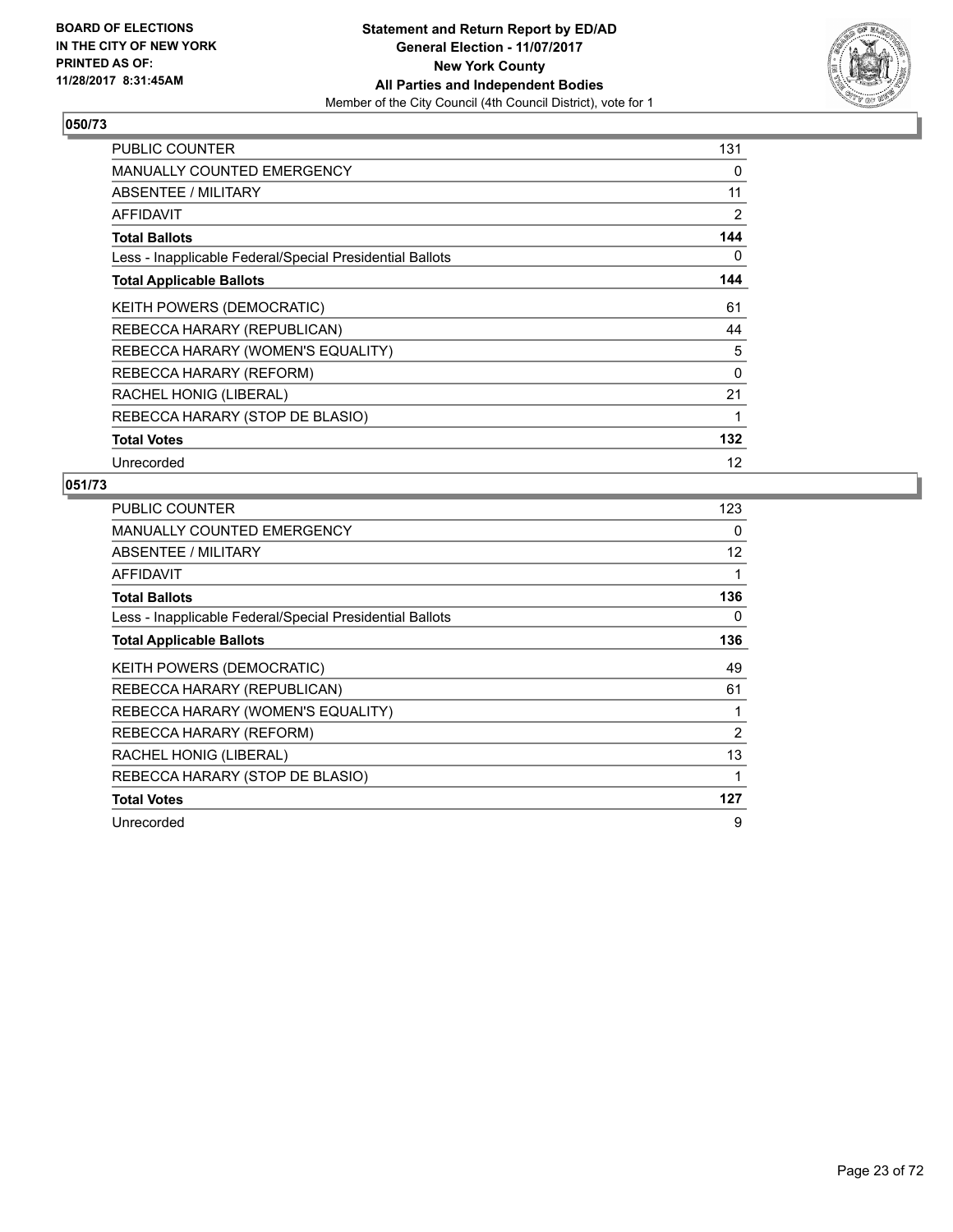

| <b>PUBLIC COUNTER</b>                                    | 131      |
|----------------------------------------------------------|----------|
| <b>MANUALLY COUNTED EMERGENCY</b>                        | 0        |
| ABSENTEE / MILITARY                                      | 11       |
| <b>AFFIDAVIT</b>                                         | 2        |
| <b>Total Ballots</b>                                     | 144      |
| Less - Inapplicable Federal/Special Presidential Ballots | 0        |
| <b>Total Applicable Ballots</b>                          | 144      |
| KEITH POWERS (DEMOCRATIC)                                | 61       |
| REBECCA HARARY (REPUBLICAN)                              | 44       |
| REBECCA HARARY (WOMEN'S EQUALITY)                        | 5        |
| REBECCA HARARY (REFORM)                                  | $\Omega$ |
| RACHEL HONIG (LIBERAL)                                   | 21       |
| REBECCA HARARY (STOP DE BLASIO)                          | 1        |
| <b>Total Votes</b>                                       | 132      |
| Unrecorded                                               | 12       |

| PUBLIC COUNTER                                           | 123 |
|----------------------------------------------------------|-----|
| <b>MANUALLY COUNTED EMERGENCY</b>                        | 0   |
| ABSENTEE / MILITARY                                      | 12  |
| AFFIDAVIT                                                | 1   |
| <b>Total Ballots</b>                                     | 136 |
| Less - Inapplicable Federal/Special Presidential Ballots | 0   |
| <b>Total Applicable Ballots</b>                          | 136 |
| KEITH POWERS (DEMOCRATIC)                                | 49  |
| REBECCA HARARY (REPUBLICAN)                              | 61  |
| REBECCA HARARY (WOMEN'S EQUALITY)                        |     |
| REBECCA HARARY (REFORM)                                  | 2   |
| RACHEL HONIG (LIBERAL)                                   | 13  |
| REBECCA HARARY (STOP DE BLASIO)                          | 1   |
| <b>Total Votes</b>                                       | 127 |
| Unrecorded                                               | 9   |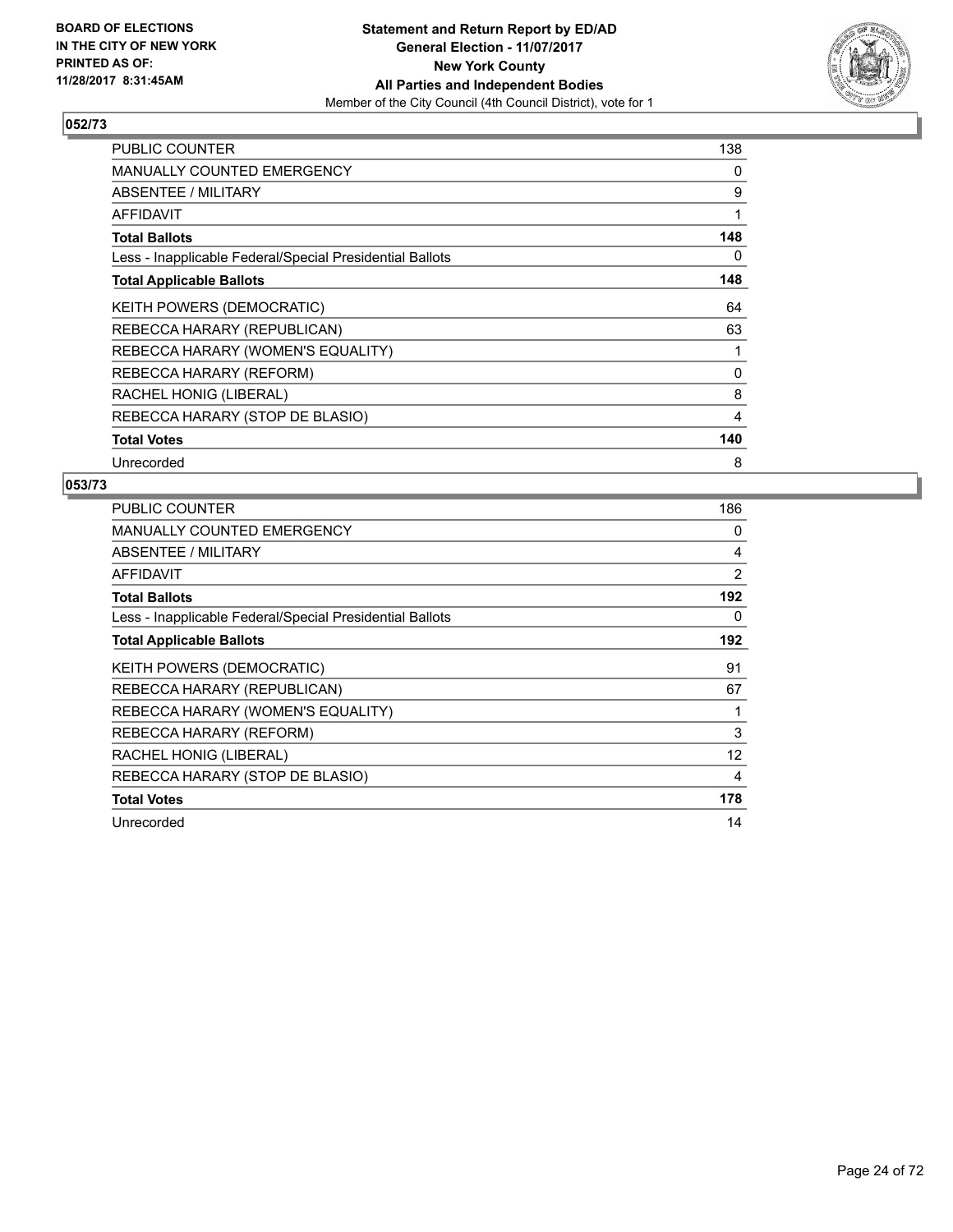

| <b>PUBLIC COUNTER</b>                                    | 138 |
|----------------------------------------------------------|-----|
| <b>MANUALLY COUNTED EMERGENCY</b>                        | 0   |
| ABSENTEE / MILITARY                                      | 9   |
| <b>AFFIDAVIT</b>                                         | 1   |
| <b>Total Ballots</b>                                     | 148 |
| Less - Inapplicable Federal/Special Presidential Ballots | 0   |
| <b>Total Applicable Ballots</b>                          | 148 |
| KEITH POWERS (DEMOCRATIC)                                | 64  |
| REBECCA HARARY (REPUBLICAN)                              | 63  |
| REBECCA HARARY (WOMEN'S EQUALITY)                        | 1   |
| REBECCA HARARY (REFORM)                                  | 0   |
| RACHEL HONIG (LIBERAL)                                   | 8   |
| REBECCA HARARY (STOP DE BLASIO)                          | 4   |
| <b>Total Votes</b>                                       | 140 |
| Unrecorded                                               | 8   |

| PUBLIC COUNTER                                           | 186 |
|----------------------------------------------------------|-----|
| <b>MANUALLY COUNTED EMERGENCY</b>                        | 0   |
| <b>ABSENTEE / MILITARY</b>                               | 4   |
| AFFIDAVIT                                                | 2   |
| <b>Total Ballots</b>                                     | 192 |
| Less - Inapplicable Federal/Special Presidential Ballots | 0   |
| <b>Total Applicable Ballots</b>                          | 192 |
| KEITH POWERS (DEMOCRATIC)                                | 91  |
| REBECCA HARARY (REPUBLICAN)                              | 67  |
| REBECCA HARARY (WOMEN'S EQUALITY)                        | 1   |
| REBECCA HARARY (REFORM)                                  | 3   |
| RACHEL HONIG (LIBERAL)                                   | 12  |
| REBECCA HARARY (STOP DE BLASIO)                          | 4   |
| <b>Total Votes</b>                                       | 178 |
| Unrecorded                                               | 14  |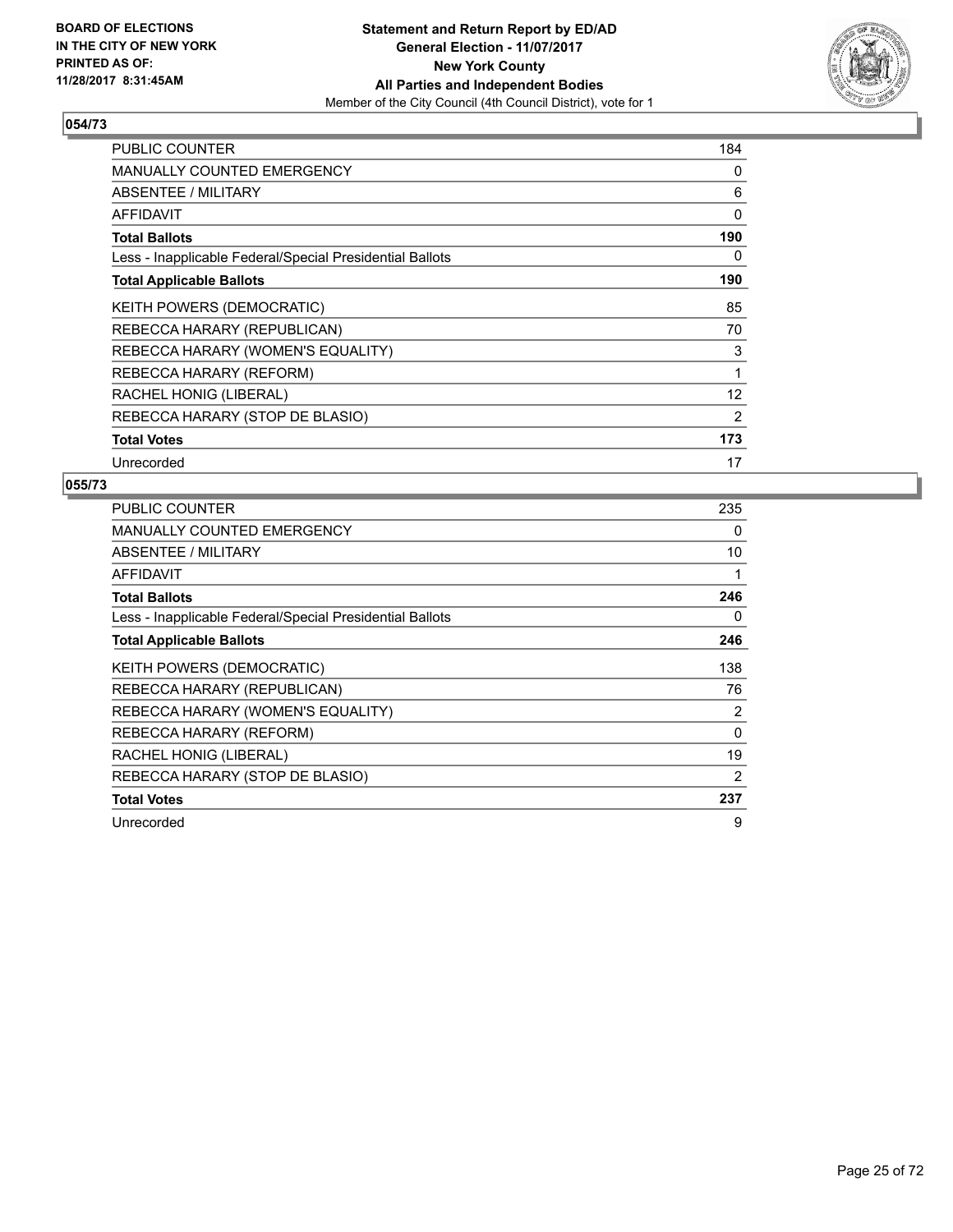

| PUBLIC COUNTER                                           | 184 |
|----------------------------------------------------------|-----|
| <b>MANUALLY COUNTED EMERGENCY</b>                        | 0   |
| ABSENTEE / MILITARY                                      | 6   |
| AFFIDAVIT                                                | 0   |
| <b>Total Ballots</b>                                     | 190 |
| Less - Inapplicable Federal/Special Presidential Ballots | 0   |
| <b>Total Applicable Ballots</b>                          | 190 |
| <b>KEITH POWERS (DEMOCRATIC)</b>                         | 85  |
| REBECCA HARARY (REPUBLICAN)                              | 70  |
| REBECCA HARARY (WOMEN'S EQUALITY)                        | 3   |
| REBECCA HARARY (REFORM)                                  | 1   |
| RACHEL HONIG (LIBERAL)                                   | 12  |
| REBECCA HARARY (STOP DE BLASIO)                          | 2   |
| <b>Total Votes</b>                                       | 173 |
| Unrecorded                                               | 17  |

| PUBLIC COUNTER                                           | 235            |
|----------------------------------------------------------|----------------|
| <b>MANUALLY COUNTED EMERGENCY</b>                        | 0              |
| <b>ABSENTEE / MILITARY</b>                               | 10             |
| AFFIDAVIT                                                | 1              |
| <b>Total Ballots</b>                                     | 246            |
| Less - Inapplicable Federal/Special Presidential Ballots | 0              |
| <b>Total Applicable Ballots</b>                          | 246            |
| KEITH POWERS (DEMOCRATIC)                                | 138            |
| REBECCA HARARY (REPUBLICAN)                              | 76             |
| REBECCA HARARY (WOMEN'S EQUALITY)                        | $\overline{2}$ |
| REBECCA HARARY (REFORM)                                  | $\Omega$       |
| RACHEL HONIG (LIBERAL)                                   | 19             |
| REBECCA HARARY (STOP DE BLASIO)                          | 2              |
| <b>Total Votes</b>                                       | 237            |
| Unrecorded                                               | 9              |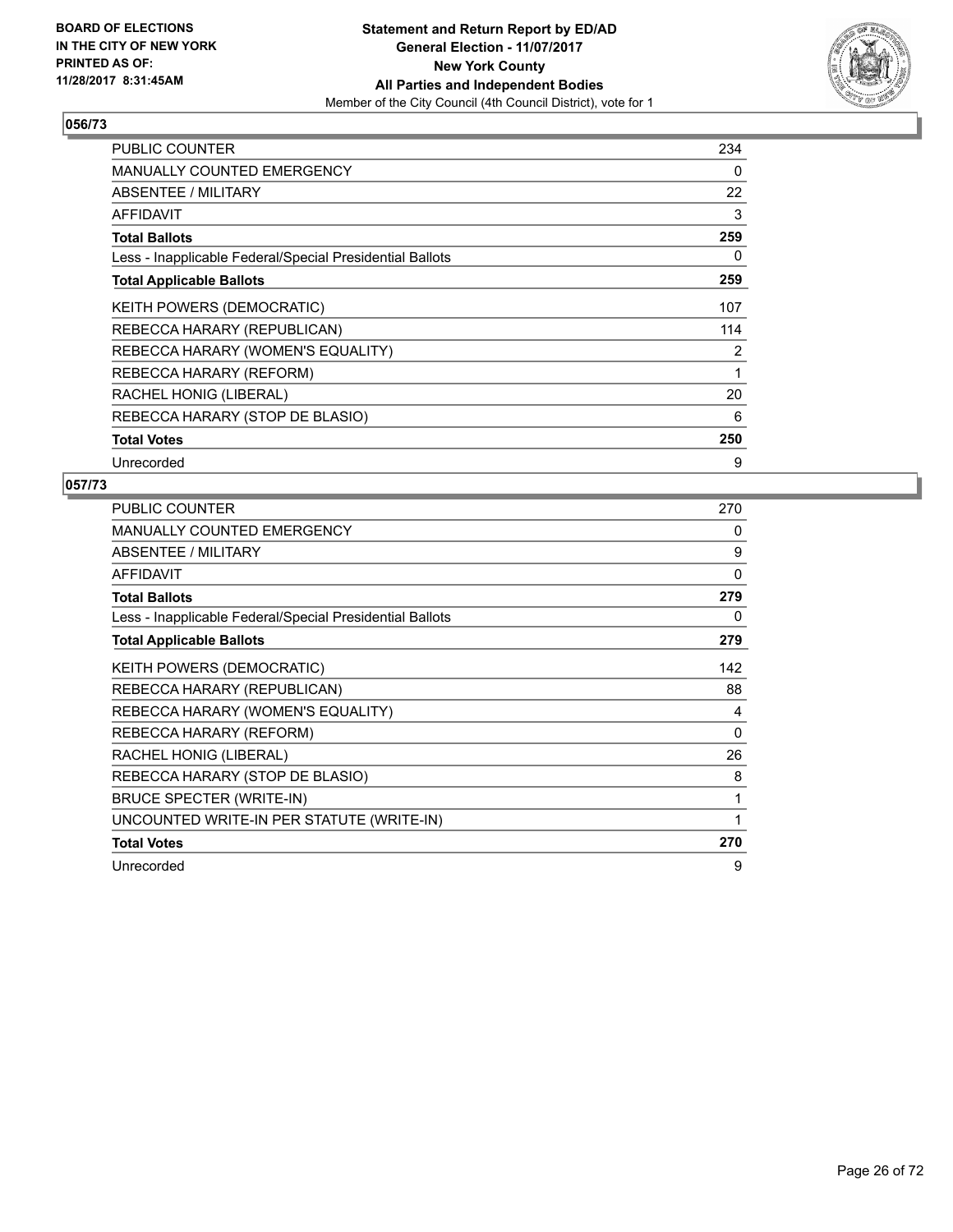

| <b>PUBLIC COUNTER</b>                                    | 234 |
|----------------------------------------------------------|-----|
| <b>MANUALLY COUNTED EMERGENCY</b>                        | 0   |
| ABSENTEE / MILITARY                                      | 22  |
| AFFIDAVIT                                                | 3   |
| <b>Total Ballots</b>                                     | 259 |
| Less - Inapplicable Federal/Special Presidential Ballots | 0   |
| <b>Total Applicable Ballots</b>                          | 259 |
| KEITH POWERS (DEMOCRATIC)                                | 107 |
| REBECCA HARARY (REPUBLICAN)                              | 114 |
| REBECCA HARARY (WOMEN'S EQUALITY)                        | 2   |
| REBECCA HARARY (REFORM)                                  | 1   |
| RACHEL HONIG (LIBERAL)                                   | 20  |
| REBECCA HARARY (STOP DE BLASIO)                          | 6   |
| <b>Total Votes</b>                                       | 250 |
| Unrecorded                                               | 9   |

| <b>PUBLIC COUNTER</b>                                    | 270 |
|----------------------------------------------------------|-----|
| <b>MANUALLY COUNTED EMERGENCY</b>                        | 0   |
| ABSENTEE / MILITARY                                      | 9   |
| <b>AFFIDAVIT</b>                                         | 0   |
| <b>Total Ballots</b>                                     | 279 |
| Less - Inapplicable Federal/Special Presidential Ballots | 0   |
| <b>Total Applicable Ballots</b>                          | 279 |
| KEITH POWERS (DEMOCRATIC)                                | 142 |
| REBECCA HARARY (REPUBLICAN)                              | 88  |
| REBECCA HARARY (WOMEN'S EQUALITY)                        | 4   |
| REBECCA HARARY (REFORM)                                  | 0   |
| RACHEL HONIG (LIBERAL)                                   | 26  |
| REBECCA HARARY (STOP DE BLASIO)                          | 8   |
| BRUCE SPECTER (WRITE-IN)                                 | 1   |
| UNCOUNTED WRITE-IN PER STATUTE (WRITE-IN)                | 1   |
| <b>Total Votes</b>                                       | 270 |
| Unrecorded                                               | 9   |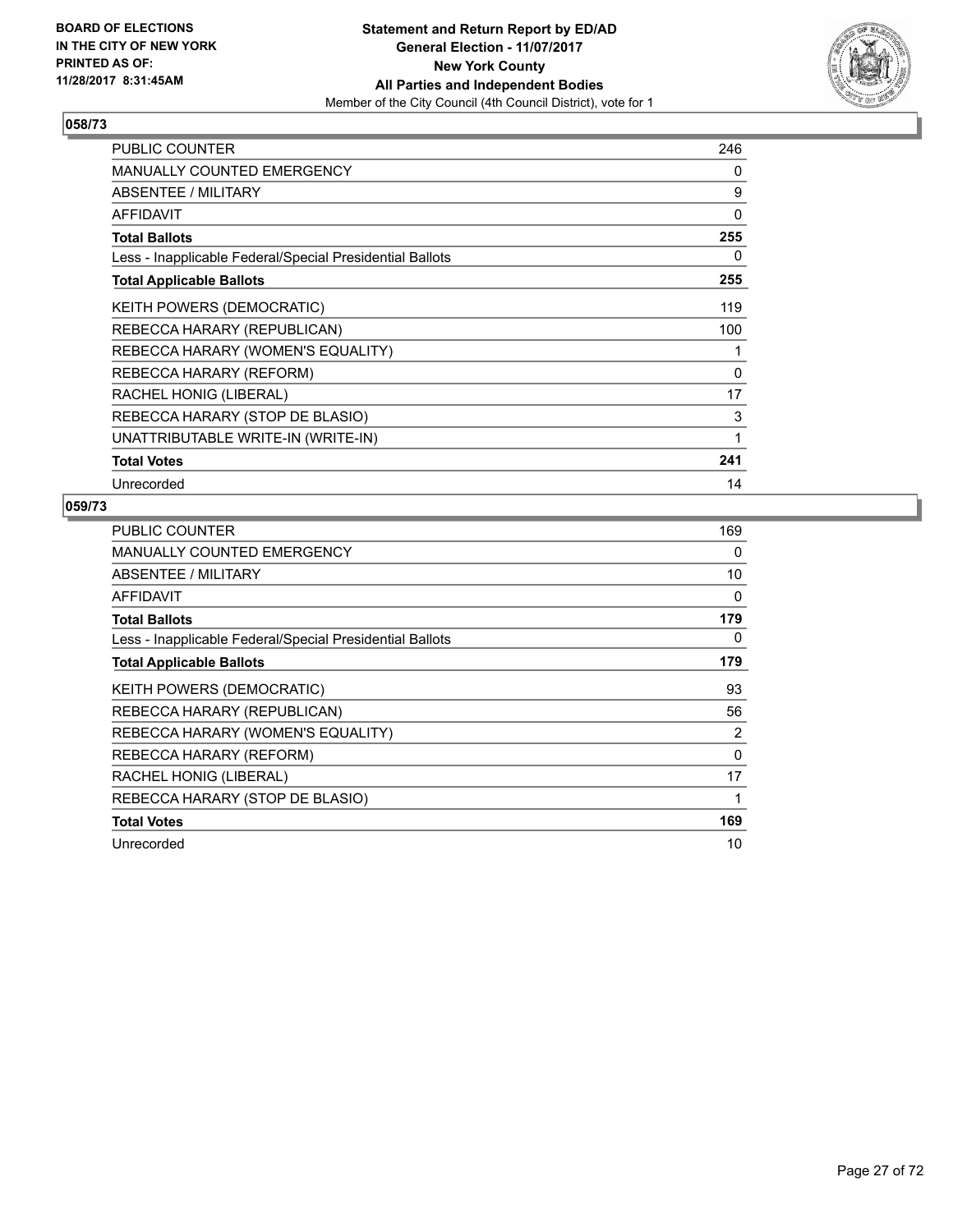

| <b>PUBLIC COUNTER</b>                                    | 246 |
|----------------------------------------------------------|-----|
| <b>MANUALLY COUNTED EMERGENCY</b>                        | 0   |
| ABSENTEE / MILITARY                                      | 9   |
| <b>AFFIDAVIT</b>                                         | 0   |
| <b>Total Ballots</b>                                     | 255 |
| Less - Inapplicable Federal/Special Presidential Ballots | 0   |
| <b>Total Applicable Ballots</b>                          | 255 |
| <b>KEITH POWERS (DEMOCRATIC)</b>                         | 119 |
| REBECCA HARARY (REPUBLICAN)                              | 100 |
| REBECCA HARARY (WOMEN'S EQUALITY)                        | 1   |
| REBECCA HARARY (REFORM)                                  | 0   |
| RACHEL HONIG (LIBERAL)                                   | 17  |
| REBECCA HARARY (STOP DE BLASIO)                          | 3   |
| UNATTRIBUTABLE WRITE-IN (WRITE-IN)                       | 1   |
| <b>Total Votes</b>                                       | 241 |
| Unrecorded                                               | 14  |

| PUBLIC COUNTER                                           | 169      |
|----------------------------------------------------------|----------|
| <b>MANUALLY COUNTED EMERGENCY</b>                        | 0        |
| ABSENTEE / MILITARY                                      | 10       |
| AFFIDAVIT                                                | 0        |
| <b>Total Ballots</b>                                     | 179      |
| Less - Inapplicable Federal/Special Presidential Ballots | 0        |
| <b>Total Applicable Ballots</b>                          | 179      |
| <b>KEITH POWERS (DEMOCRATIC)</b>                         | 93       |
| REBECCA HARARY (REPUBLICAN)                              | 56       |
| REBECCA HARARY (WOMEN'S EQUALITY)                        | 2        |
| REBECCA HARARY (REFORM)                                  | $\Omega$ |
| RACHEL HONIG (LIBERAL)                                   | 17       |
| REBECCA HARARY (STOP DE BLASIO)                          | 1        |
| <b>Total Votes</b>                                       | 169      |
| Unrecorded                                               | 10       |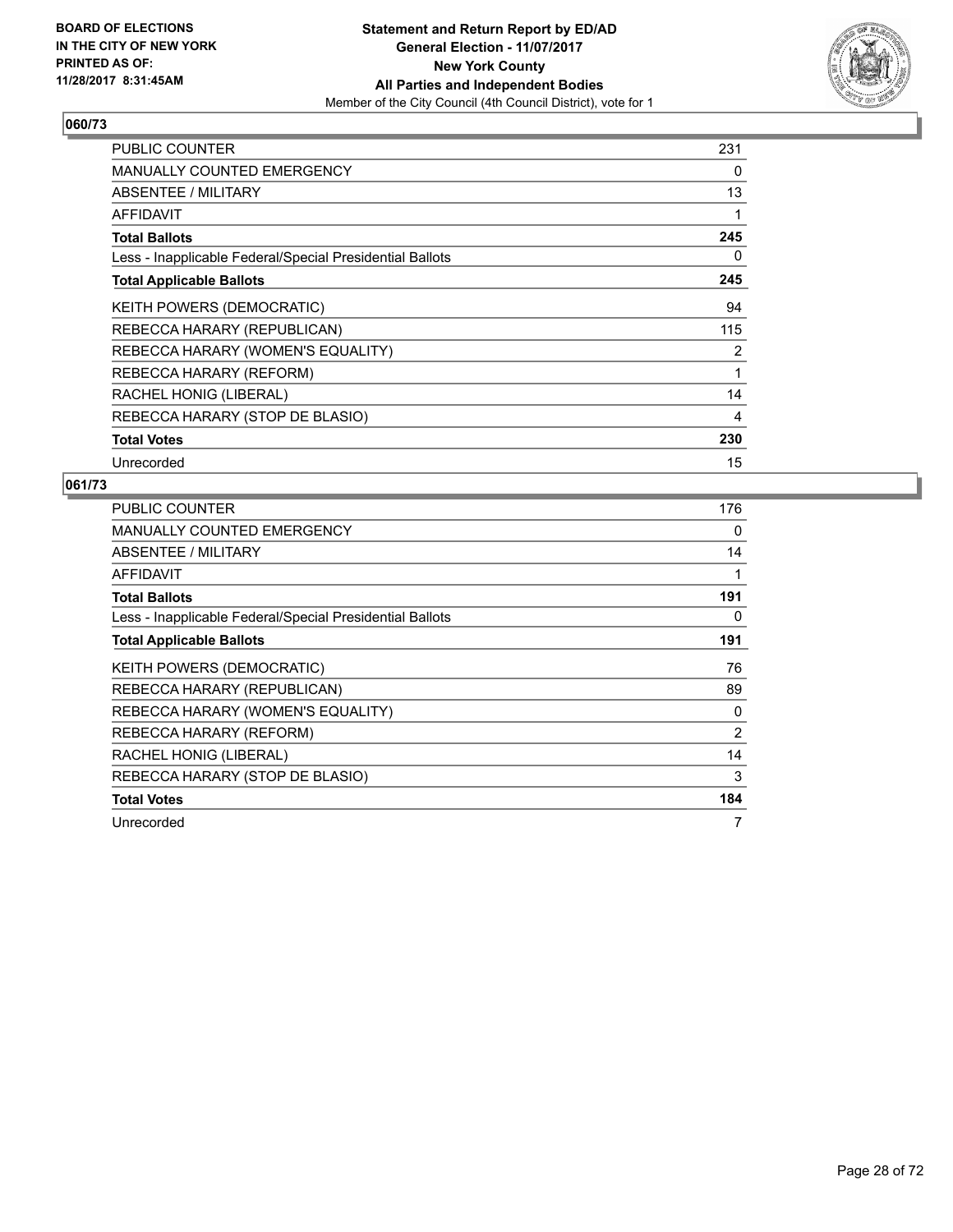

| <b>PUBLIC COUNTER</b>                                    | 231 |
|----------------------------------------------------------|-----|
| <b>MANUALLY COUNTED EMERGENCY</b>                        | 0   |
| <b>ABSENTEE / MILITARY</b>                               | 13  |
| <b>AFFIDAVIT</b>                                         | 1   |
| <b>Total Ballots</b>                                     | 245 |
| Less - Inapplicable Federal/Special Presidential Ballots | 0   |
| <b>Total Applicable Ballots</b>                          | 245 |
| <b>KEITH POWERS (DEMOCRATIC)</b>                         | 94  |
| REBECCA HARARY (REPUBLICAN)                              | 115 |
| REBECCA HARARY (WOMEN'S EQUALITY)                        | 2   |
| REBECCA HARARY (REFORM)                                  | 1   |
| RACHEL HONIG (LIBERAL)                                   | 14  |
| REBECCA HARARY (STOP DE BLASIO)                          | 4   |
| <b>Total Votes</b>                                       | 230 |
| Unrecorded                                               | 15  |

| <b>PUBLIC COUNTER</b>                                    | 176 |
|----------------------------------------------------------|-----|
| <b>MANUALLY COUNTED EMERGENCY</b>                        | 0   |
| ABSENTEE / MILITARY                                      | 14  |
| <b>AFFIDAVIT</b>                                         | 1   |
| <b>Total Ballots</b>                                     | 191 |
| Less - Inapplicable Federal/Special Presidential Ballots | 0   |
| <b>Total Applicable Ballots</b>                          | 191 |
| KEITH POWERS (DEMOCRATIC)                                | 76  |
| REBECCA HARARY (REPUBLICAN)                              | 89  |
| REBECCA HARARY (WOMEN'S EQUALITY)                        | 0   |
| REBECCA HARARY (REFORM)                                  | 2   |
| RACHEL HONIG (LIBERAL)                                   | 14  |
| REBECCA HARARY (STOP DE BLASIO)                          | 3   |
| <b>Total Votes</b>                                       | 184 |
| Unrecorded                                               | 7   |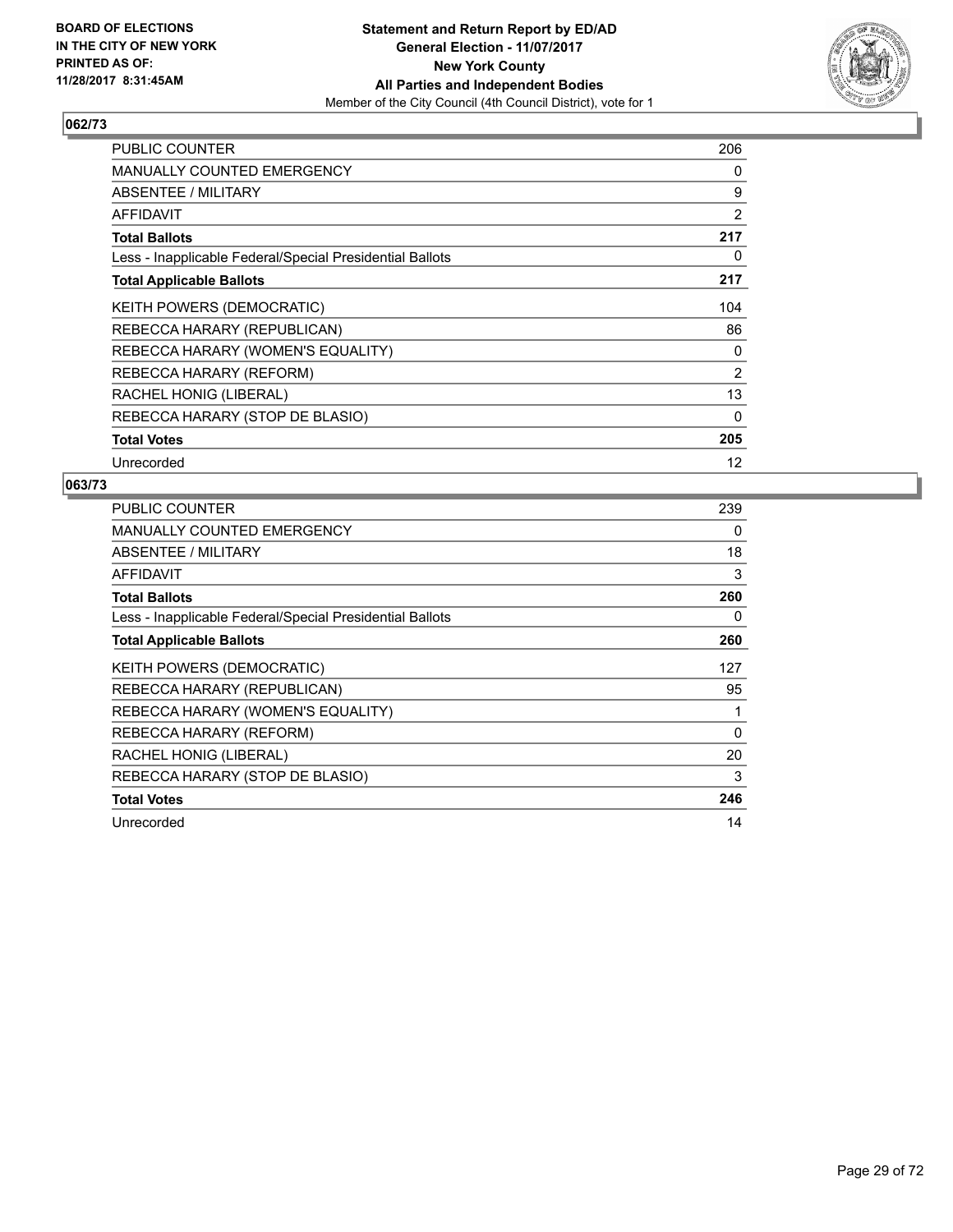

| <b>PUBLIC COUNTER</b>                                    | 206            |
|----------------------------------------------------------|----------------|
| <b>MANUALLY COUNTED EMERGENCY</b>                        | 0              |
| <b>ABSENTEE / MILITARY</b>                               | 9              |
| AFFIDAVIT                                                | 2              |
| <b>Total Ballots</b>                                     | 217            |
| Less - Inapplicable Federal/Special Presidential Ballots | 0              |
| <b>Total Applicable Ballots</b>                          | 217            |
| <b>KEITH POWERS (DEMOCRATIC)</b>                         | 104            |
| REBECCA HARARY (REPUBLICAN)                              | 86             |
| REBECCA HARARY (WOMEN'S EQUALITY)                        | 0              |
| REBECCA HARARY (REFORM)                                  | $\overline{2}$ |
| RACHEL HONIG (LIBERAL)                                   | 13             |
| REBECCA HARARY (STOP DE BLASIO)                          | 0              |
| <b>Total Votes</b>                                       | 205            |
| Unrecorded                                               | 12             |

| PUBLIC COUNTER                                           | 239      |
|----------------------------------------------------------|----------|
| <b>MANUALLY COUNTED EMERGENCY</b>                        | 0        |
| <b>ABSENTEE / MILITARY</b>                               | 18       |
| AFFIDAVIT                                                | 3        |
| <b>Total Ballots</b>                                     | 260      |
| Less - Inapplicable Federal/Special Presidential Ballots | 0        |
| <b>Total Applicable Ballots</b>                          | 260      |
| <b>KEITH POWERS (DEMOCRATIC)</b>                         | 127      |
| REBECCA HARARY (REPUBLICAN)                              | 95       |
| REBECCA HARARY (WOMEN'S EQUALITY)                        |          |
| REBECCA HARARY (REFORM)                                  | $\Omega$ |
| RACHEL HONIG (LIBERAL)                                   | 20       |
| REBECCA HARARY (STOP DE BLASIO)                          | 3        |
| <b>Total Votes</b>                                       | 246      |
| Unrecorded                                               | 14       |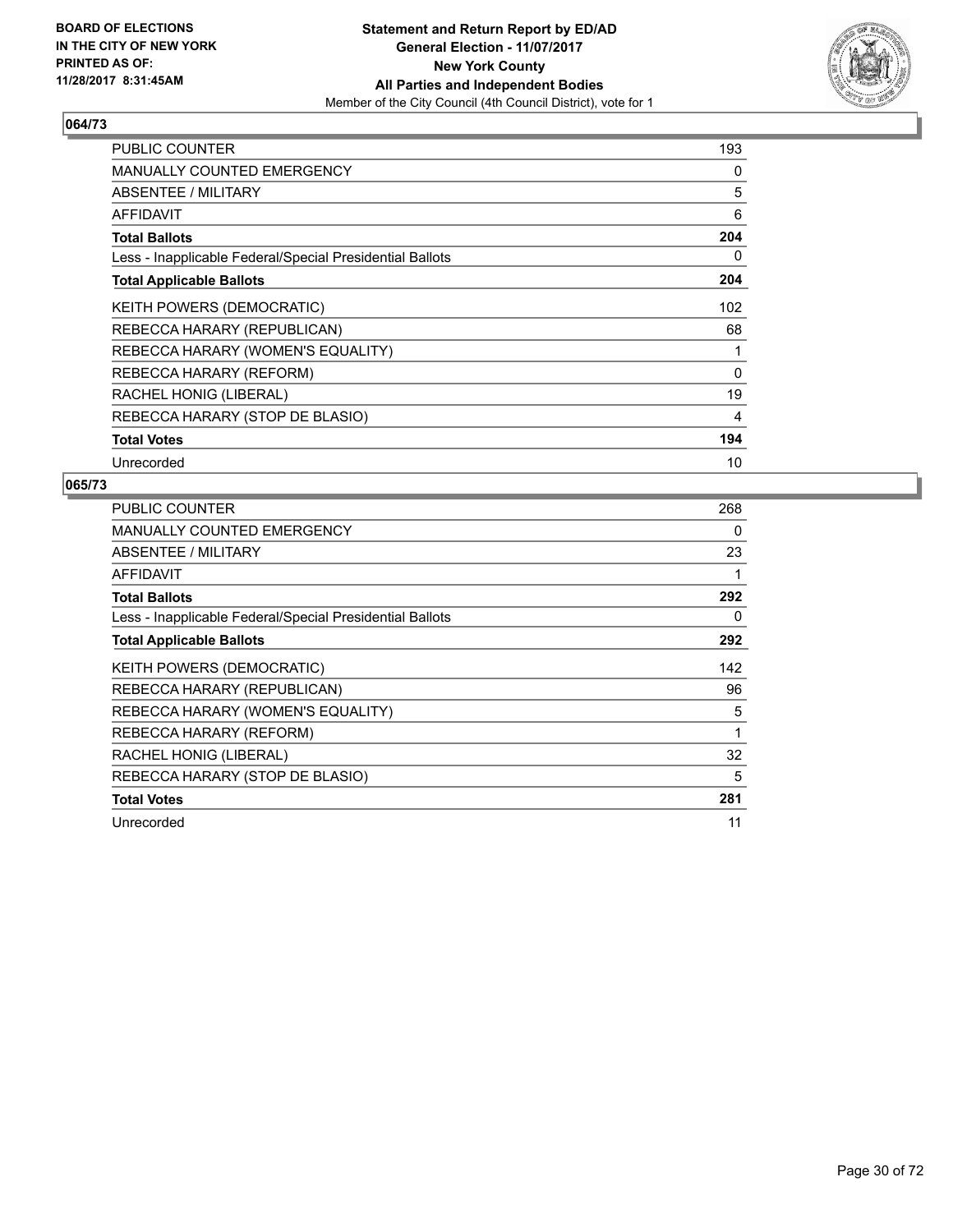

| <b>PUBLIC COUNTER</b>                                    | 193      |
|----------------------------------------------------------|----------|
| <b>MANUALLY COUNTED EMERGENCY</b>                        | 0        |
| <b>ABSENTEE / MILITARY</b>                               | 5        |
| AFFIDAVIT                                                | 6        |
| <b>Total Ballots</b>                                     | 204      |
| Less - Inapplicable Federal/Special Presidential Ballots | 0        |
| <b>Total Applicable Ballots</b>                          | 204      |
| KEITH POWERS (DEMOCRATIC)                                | 102      |
| REBECCA HARARY (REPUBLICAN)                              | 68       |
| REBECCA HARARY (WOMEN'S EQUALITY)                        | 1        |
| REBECCA HARARY (REFORM)                                  | $\Omega$ |
| RACHEL HONIG (LIBERAL)                                   | 19       |
| REBECCA HARARY (STOP DE BLASIO)                          | 4        |
| <b>Total Votes</b>                                       | 194      |
| Unrecorded                                               | 10       |

| <b>PUBLIC COUNTER</b>                                    | 268 |
|----------------------------------------------------------|-----|
| <b>MANUALLY COUNTED EMERGENCY</b>                        | 0   |
| ABSENTEE / MILITARY                                      | 23  |
| <b>AFFIDAVIT</b>                                         |     |
| <b>Total Ballots</b>                                     | 292 |
| Less - Inapplicable Federal/Special Presidential Ballots | 0   |
| <b>Total Applicable Ballots</b>                          | 292 |
| <b>KEITH POWERS (DEMOCRATIC)</b>                         | 142 |
| REBECCA HARARY (REPUBLICAN)                              | 96  |
| REBECCA HARARY (WOMEN'S EQUALITY)                        | 5   |
| REBECCA HARARY (REFORM)                                  | 1   |
| RACHEL HONIG (LIBERAL)                                   | 32  |
| REBECCA HARARY (STOP DE BLASIO)                          | 5   |
| <b>Total Votes</b>                                       | 281 |
| Unrecorded                                               | 11  |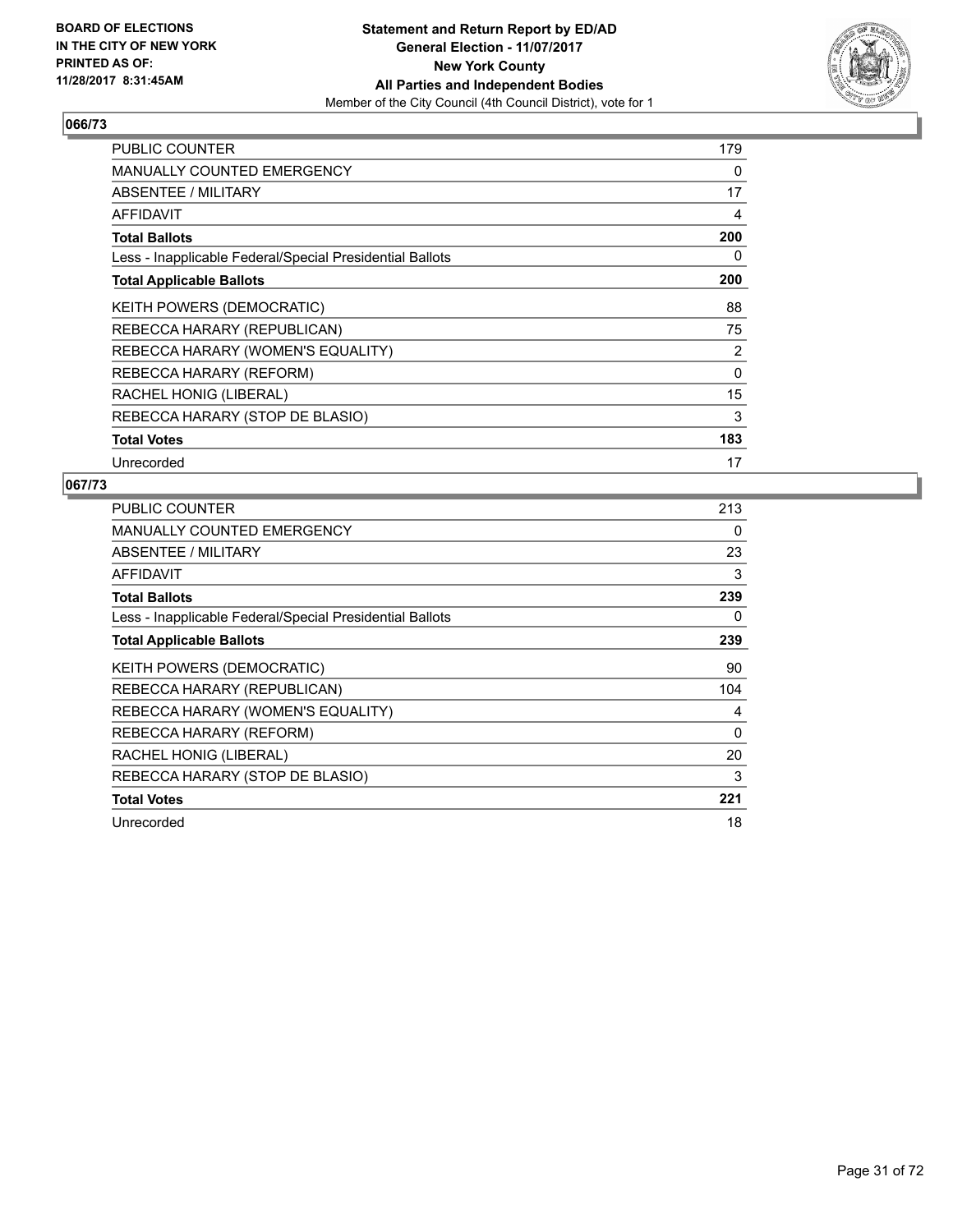

| <b>PUBLIC COUNTER</b>                                    | 179 |
|----------------------------------------------------------|-----|
| <b>MANUALLY COUNTED EMERGENCY</b>                        | 0   |
| <b>ABSENTEE / MILITARY</b>                               | 17  |
| <b>AFFIDAVIT</b>                                         | 4   |
| <b>Total Ballots</b>                                     | 200 |
| Less - Inapplicable Federal/Special Presidential Ballots | 0   |
| <b>Total Applicable Ballots</b>                          | 200 |
| <b>KEITH POWERS (DEMOCRATIC)</b>                         | 88  |
| REBECCA HARARY (REPUBLICAN)                              | 75  |
| REBECCA HARARY (WOMEN'S EQUALITY)                        | 2   |
| REBECCA HARARY (REFORM)                                  | 0   |
| RACHEL HONIG (LIBERAL)                                   | 15  |
| REBECCA HARARY (STOP DE BLASIO)                          | 3   |
| <b>Total Votes</b>                                       | 183 |
| Unrecorded                                               | 17  |

| PUBLIC COUNTER                                           | 213 |
|----------------------------------------------------------|-----|
| <b>MANUALLY COUNTED EMERGENCY</b>                        | 0   |
| ABSENTEE / MILITARY                                      | 23  |
| AFFIDAVIT                                                | 3   |
| <b>Total Ballots</b>                                     | 239 |
| Less - Inapplicable Federal/Special Presidential Ballots | 0   |
| <b>Total Applicable Ballots</b>                          | 239 |
| <b>KEITH POWERS (DEMOCRATIC)</b>                         | 90  |
| REBECCA HARARY (REPUBLICAN)                              | 104 |
| REBECCA HARARY (WOMEN'S EQUALITY)                        | 4   |
| REBECCA HARARY (REFORM)                                  | 0   |
| RACHEL HONIG (LIBERAL)                                   | 20  |
| REBECCA HARARY (STOP DE BLASIO)                          | 3   |
| <b>Total Votes</b>                                       | 221 |
| Unrecorded                                               | 18  |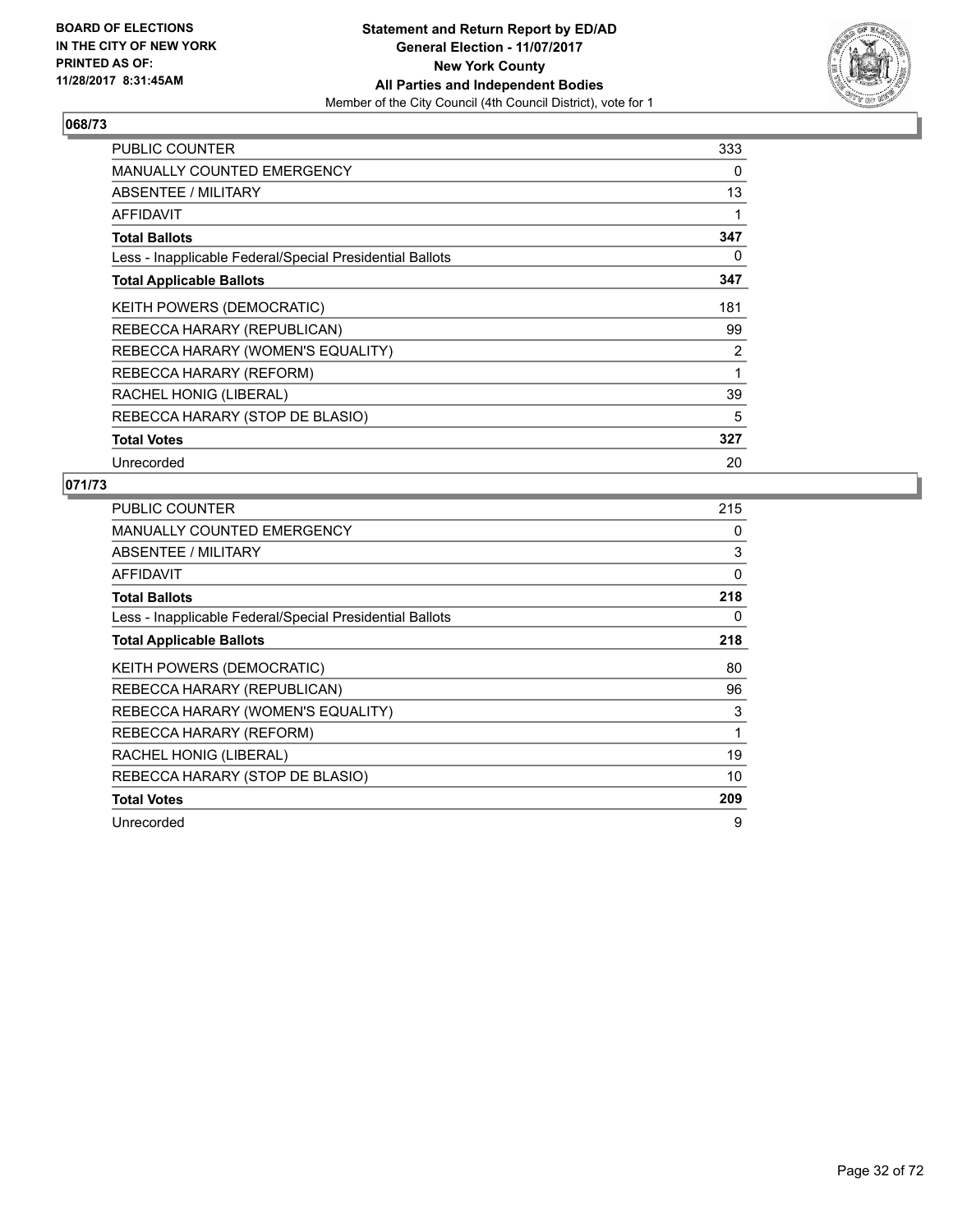

| <b>PUBLIC COUNTER</b>                                    | 333 |
|----------------------------------------------------------|-----|
| <b>MANUALLY COUNTED EMERGENCY</b>                        | 0   |
| <b>ABSENTEE / MILITARY</b>                               | 13  |
| <b>AFFIDAVIT</b>                                         | 1   |
| <b>Total Ballots</b>                                     | 347 |
| Less - Inapplicable Federal/Special Presidential Ballots | 0   |
| <b>Total Applicable Ballots</b>                          | 347 |
| <b>KEITH POWERS (DEMOCRATIC)</b>                         | 181 |
| REBECCA HARARY (REPUBLICAN)                              | 99  |
| REBECCA HARARY (WOMEN'S EQUALITY)                        | 2   |
| REBECCA HARARY (REFORM)                                  | 1   |
| RACHEL HONIG (LIBERAL)                                   | 39  |
| REBECCA HARARY (STOP DE BLASIO)                          | 5   |
| <b>Total Votes</b>                                       | 327 |
| Unrecorded                                               | 20  |

| PUBLIC COUNTER                                           | 215 |
|----------------------------------------------------------|-----|
| <b>MANUALLY COUNTED EMERGENCY</b>                        | 0   |
| ABSENTEE / MILITARY                                      | 3   |
| AFFIDAVIT                                                | 0   |
| <b>Total Ballots</b>                                     | 218 |
| Less - Inapplicable Federal/Special Presidential Ballots | 0   |
| <b>Total Applicable Ballots</b>                          | 218 |
| <b>KEITH POWERS (DEMOCRATIC)</b>                         | 80  |
| REBECCA HARARY (REPUBLICAN)                              | 96  |
| REBECCA HARARY (WOMEN'S EQUALITY)                        | 3   |
| REBECCA HARARY (REFORM)                                  | 1   |
| RACHEL HONIG (LIBERAL)                                   | 19  |
| REBECCA HARARY (STOP DE BLASIO)                          | 10  |
| <b>Total Votes</b>                                       | 209 |
| Unrecorded                                               | 9   |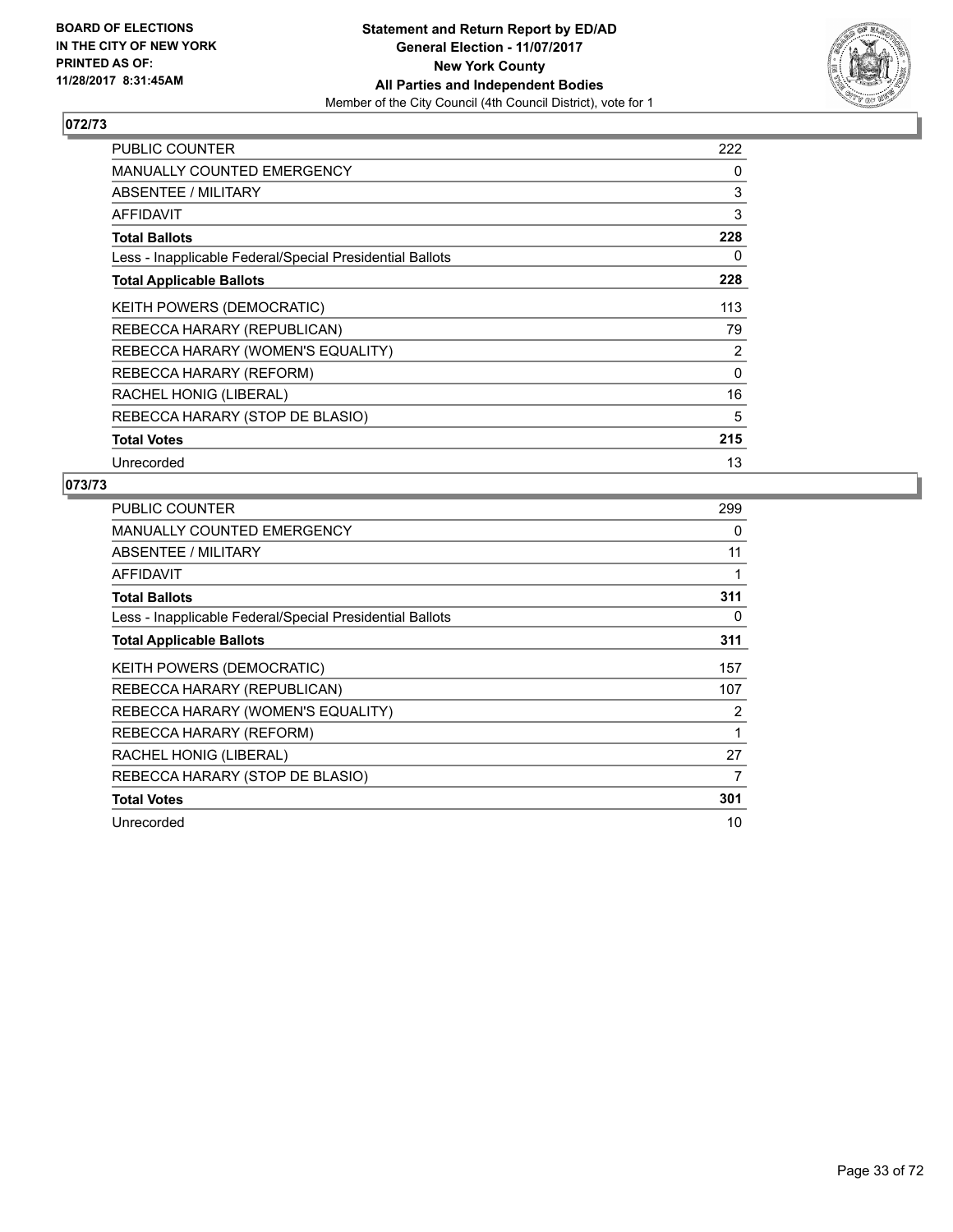

| <b>PUBLIC COUNTER</b>                                    | 222      |
|----------------------------------------------------------|----------|
| <b>MANUALLY COUNTED EMERGENCY</b>                        | 0        |
| <b>ABSENTEE / MILITARY</b>                               | 3        |
| <b>AFFIDAVIT</b>                                         | 3        |
| <b>Total Ballots</b>                                     | 228      |
| Less - Inapplicable Federal/Special Presidential Ballots | 0        |
| <b>Total Applicable Ballots</b>                          | 228      |
| <b>KEITH POWERS (DEMOCRATIC)</b>                         | 113      |
| REBECCA HARARY (REPUBLICAN)                              | 79       |
| REBECCA HARARY (WOMEN'S EQUALITY)                        | 2        |
| REBECCA HARARY (REFORM)                                  | $\Omega$ |
| RACHEL HONIG (LIBERAL)                                   | 16       |
| REBECCA HARARY (STOP DE BLASIO)                          | 5        |
| <b>Total Votes</b>                                       | 215      |
| Unrecorded                                               | 13       |

| PUBLIC COUNTER                                           | 299 |
|----------------------------------------------------------|-----|
| <b>MANUALLY COUNTED EMERGENCY</b>                        | 0   |
| ABSENTEE / MILITARY                                      | 11  |
| AFFIDAVIT                                                | 1   |
| <b>Total Ballots</b>                                     | 311 |
| Less - Inapplicable Federal/Special Presidential Ballots | 0   |
| <b>Total Applicable Ballots</b>                          | 311 |
| <b>KEITH POWERS (DEMOCRATIC)</b>                         | 157 |
| REBECCA HARARY (REPUBLICAN)                              | 107 |
| REBECCA HARARY (WOMEN'S EQUALITY)                        | 2   |
| REBECCA HARARY (REFORM)                                  |     |
| RACHEL HONIG (LIBERAL)                                   | 27  |
| REBECCA HARARY (STOP DE BLASIO)                          | 7   |
| <b>Total Votes</b>                                       | 301 |
| Unrecorded                                               | 10  |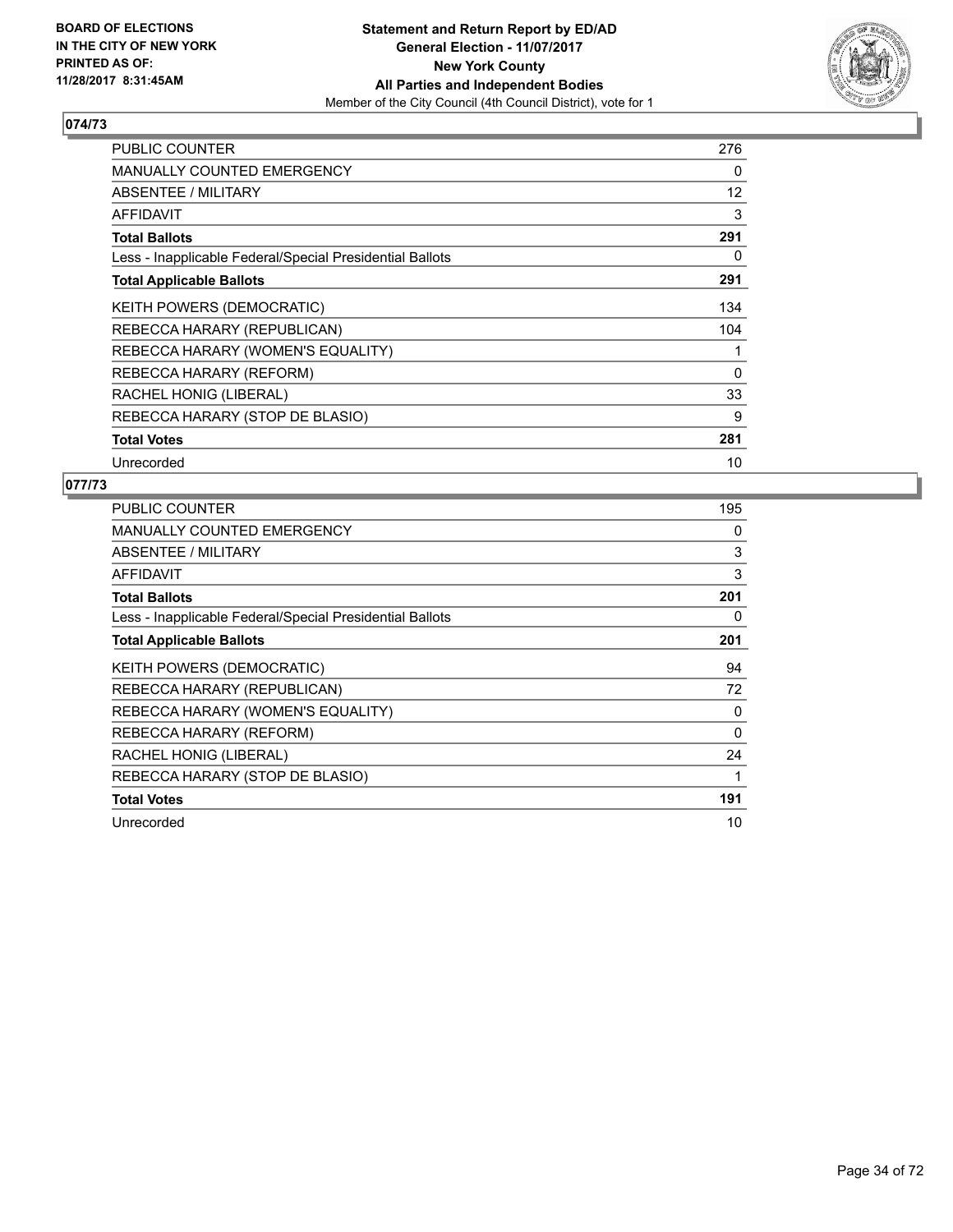

| <b>PUBLIC COUNTER</b>                                    | 276      |
|----------------------------------------------------------|----------|
| <b>MANUALLY COUNTED EMERGENCY</b>                        | 0        |
| ABSENTEE / MILITARY                                      | 12       |
| <b>AFFIDAVIT</b>                                         | 3        |
| <b>Total Ballots</b>                                     | 291      |
| Less - Inapplicable Federal/Special Presidential Ballots | 0        |
| <b>Total Applicable Ballots</b>                          | 291      |
| KEITH POWERS (DEMOCRATIC)                                | 134      |
| REBECCA HARARY (REPUBLICAN)                              | 104      |
| REBECCA HARARY (WOMEN'S EQUALITY)                        | 1        |
| REBECCA HARARY (REFORM)                                  | $\Omega$ |
| RACHEL HONIG (LIBERAL)                                   | 33       |
| REBECCA HARARY (STOP DE BLASIO)                          | 9        |
| <b>Total Votes</b>                                       | 281      |
| Unrecorded                                               | 10       |

| PUBLIC COUNTER                                           | 195      |
|----------------------------------------------------------|----------|
| <b>MANUALLY COUNTED EMERGENCY</b>                        | 0        |
| <b>ABSENTEE / MILITARY</b>                               | 3        |
| AFFIDAVIT                                                | 3        |
| <b>Total Ballots</b>                                     | 201      |
| Less - Inapplicable Federal/Special Presidential Ballots | 0        |
| <b>Total Applicable Ballots</b>                          | 201      |
| KEITH POWERS (DEMOCRATIC)                                | 94       |
| REBECCA HARARY (REPUBLICAN)                              | 72       |
| REBECCA HARARY (WOMEN'S EQUALITY)                        | 0        |
| REBECCA HARARY (REFORM)                                  | $\Omega$ |
| RACHEL HONIG (LIBERAL)                                   | 24       |
| REBECCA HARARY (STOP DE BLASIO)                          | 1        |
| <b>Total Votes</b>                                       | 191      |
| Unrecorded                                               | 10       |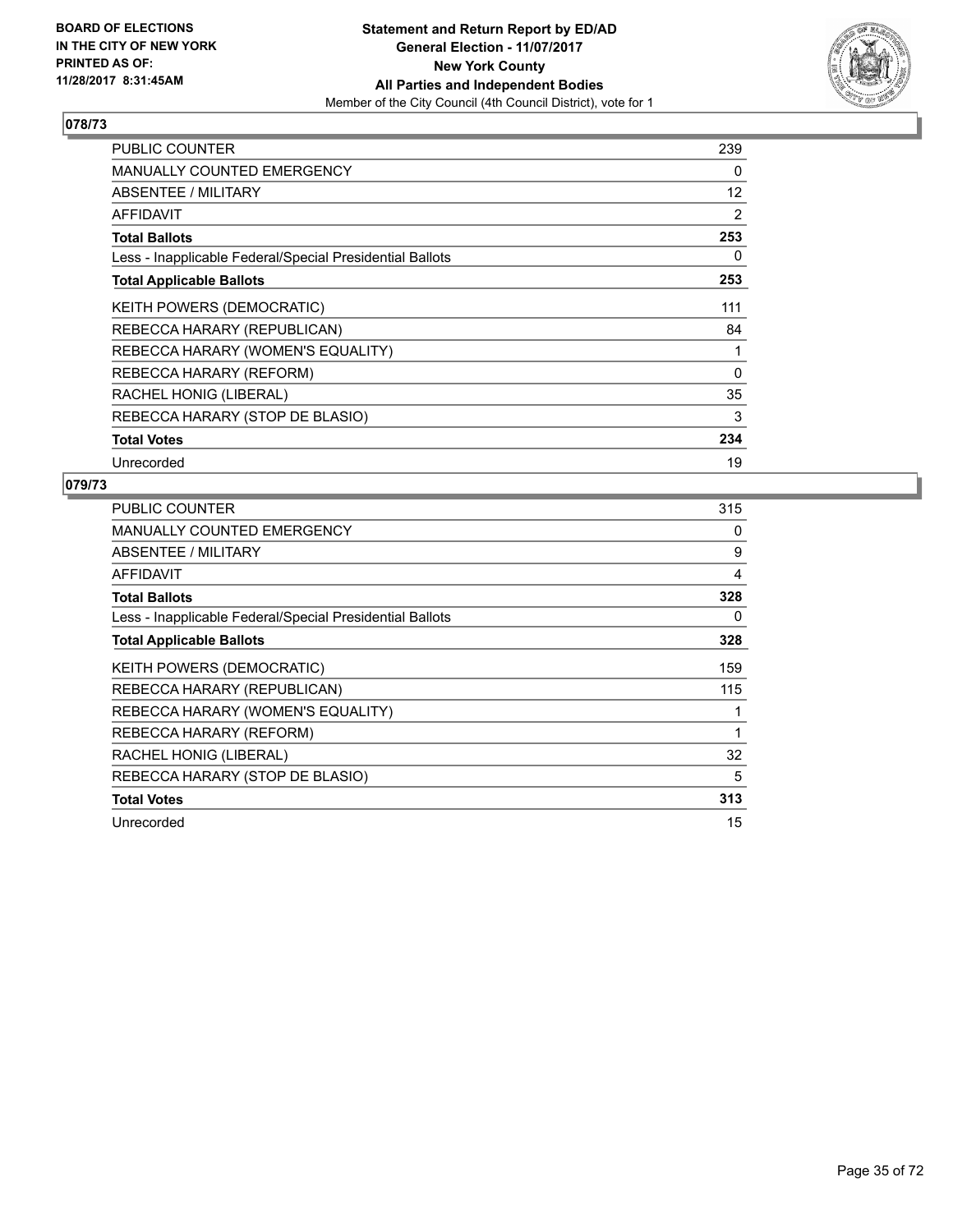

| <b>PUBLIC COUNTER</b>                                    | 239      |
|----------------------------------------------------------|----------|
| <b>MANUALLY COUNTED EMERGENCY</b>                        | 0        |
| ABSENTEE / MILITARY                                      | 12       |
| <b>AFFIDAVIT</b>                                         | 2        |
| <b>Total Ballots</b>                                     | 253      |
| Less - Inapplicable Federal/Special Presidential Ballots | 0        |
| <b>Total Applicable Ballots</b>                          | 253      |
| KEITH POWERS (DEMOCRATIC)                                | 111      |
| REBECCA HARARY (REPUBLICAN)                              | 84       |
| REBECCA HARARY (WOMEN'S EQUALITY)                        | 1        |
| REBECCA HARARY (REFORM)                                  | $\Omega$ |
| RACHEL HONIG (LIBERAL)                                   | 35       |
| REBECCA HARARY (STOP DE BLASIO)                          | 3        |
| <b>Total Votes</b>                                       | 234      |
| Unrecorded                                               | 19       |

| <b>PUBLIC COUNTER</b>                                    | 315 |
|----------------------------------------------------------|-----|
| <b>MANUALLY COUNTED EMERGENCY</b>                        | 0   |
| ABSENTEE / MILITARY                                      | 9   |
| <b>AFFIDAVIT</b>                                         | 4   |
| <b>Total Ballots</b>                                     | 328 |
| Less - Inapplicable Federal/Special Presidential Ballots | 0   |
| <b>Total Applicable Ballots</b>                          | 328 |
| KEITH POWERS (DEMOCRATIC)                                | 159 |
| REBECCA HARARY (REPUBLICAN)                              | 115 |
| REBECCA HARARY (WOMEN'S EQUALITY)                        |     |
| REBECCA HARARY (REFORM)                                  | 1   |
| RACHEL HONIG (LIBERAL)                                   | 32  |
| REBECCA HARARY (STOP DE BLASIO)                          | 5   |
| <b>Total Votes</b>                                       | 313 |
| Unrecorded                                               | 15  |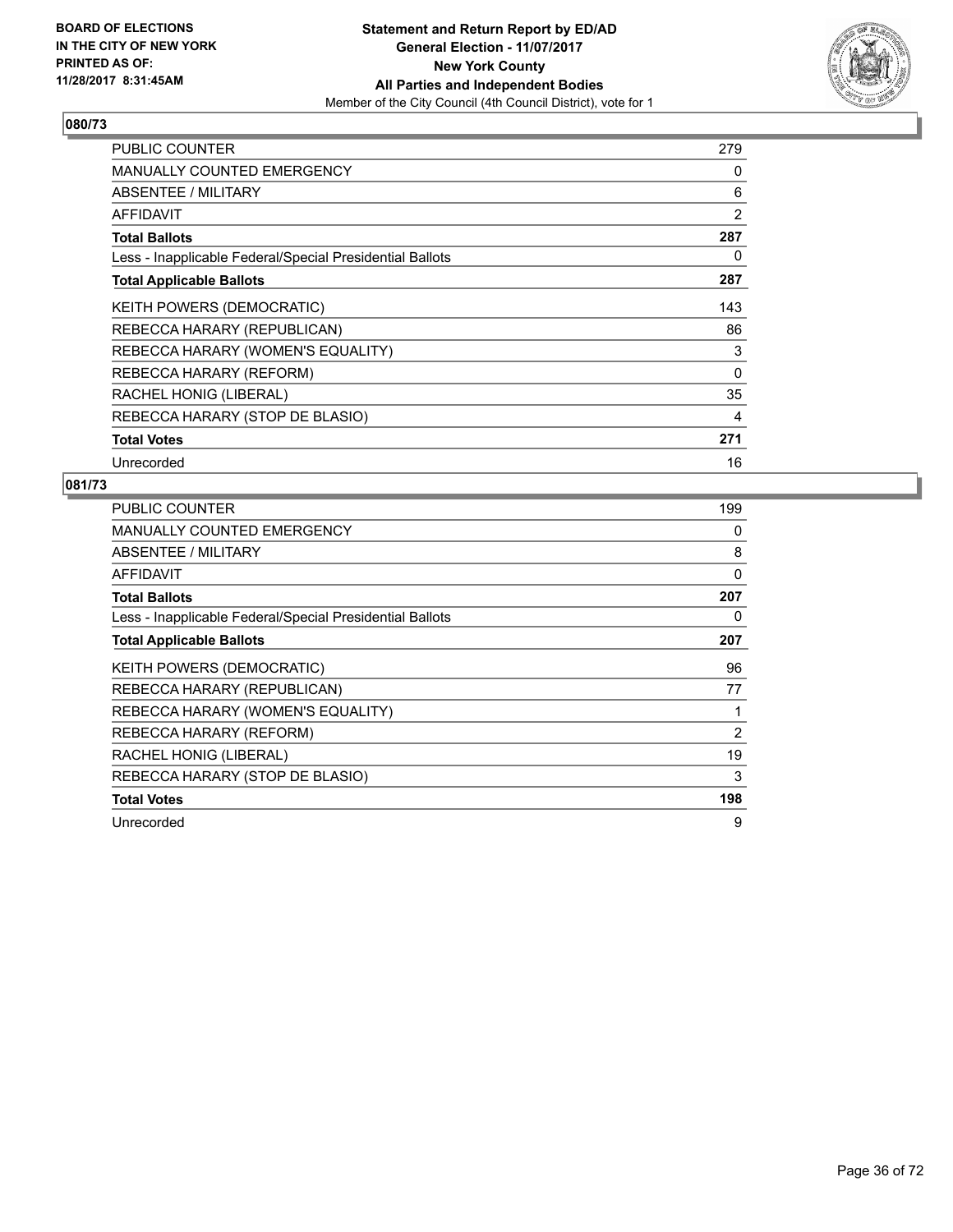

| <b>PUBLIC COUNTER</b>                                    | 279      |
|----------------------------------------------------------|----------|
| <b>MANUALLY COUNTED EMERGENCY</b>                        | 0        |
| <b>ABSENTEE / MILITARY</b>                               | 6        |
| <b>AFFIDAVIT</b>                                         | 2        |
| <b>Total Ballots</b>                                     | 287      |
| Less - Inapplicable Federal/Special Presidential Ballots | 0        |
| <b>Total Applicable Ballots</b>                          | 287      |
| <b>KEITH POWERS (DEMOCRATIC)</b>                         | 143      |
| REBECCA HARARY (REPUBLICAN)                              | 86       |
| REBECCA HARARY (WOMEN'S EQUALITY)                        | 3        |
| REBECCA HARARY (REFORM)                                  | $\Omega$ |
| RACHEL HONIG (LIBERAL)                                   | 35       |
| REBECCA HARARY (STOP DE BLASIO)                          | 4        |
| <b>Total Votes</b>                                       | 271      |
| Unrecorded                                               | 16       |

| <b>PUBLIC COUNTER</b>                                    | 199 |
|----------------------------------------------------------|-----|
| <b>MANUALLY COUNTED EMERGENCY</b>                        | 0   |
| ABSENTEE / MILITARY                                      | 8   |
| AFFIDAVIT                                                | 0   |
| <b>Total Ballots</b>                                     | 207 |
| Less - Inapplicable Federal/Special Presidential Ballots | 0   |
| <b>Total Applicable Ballots</b>                          | 207 |
| <b>KEITH POWERS (DEMOCRATIC)</b>                         | 96  |
| REBECCA HARARY (REPUBLICAN)                              | 77  |
| REBECCA HARARY (WOMEN'S EQUALITY)                        |     |
| REBECCA HARARY (REFORM)                                  | 2   |
| RACHEL HONIG (LIBERAL)                                   | 19  |
| REBECCA HARARY (STOP DE BLASIO)                          | 3   |
| <b>Total Votes</b>                                       | 198 |
| Unrecorded                                               | 9   |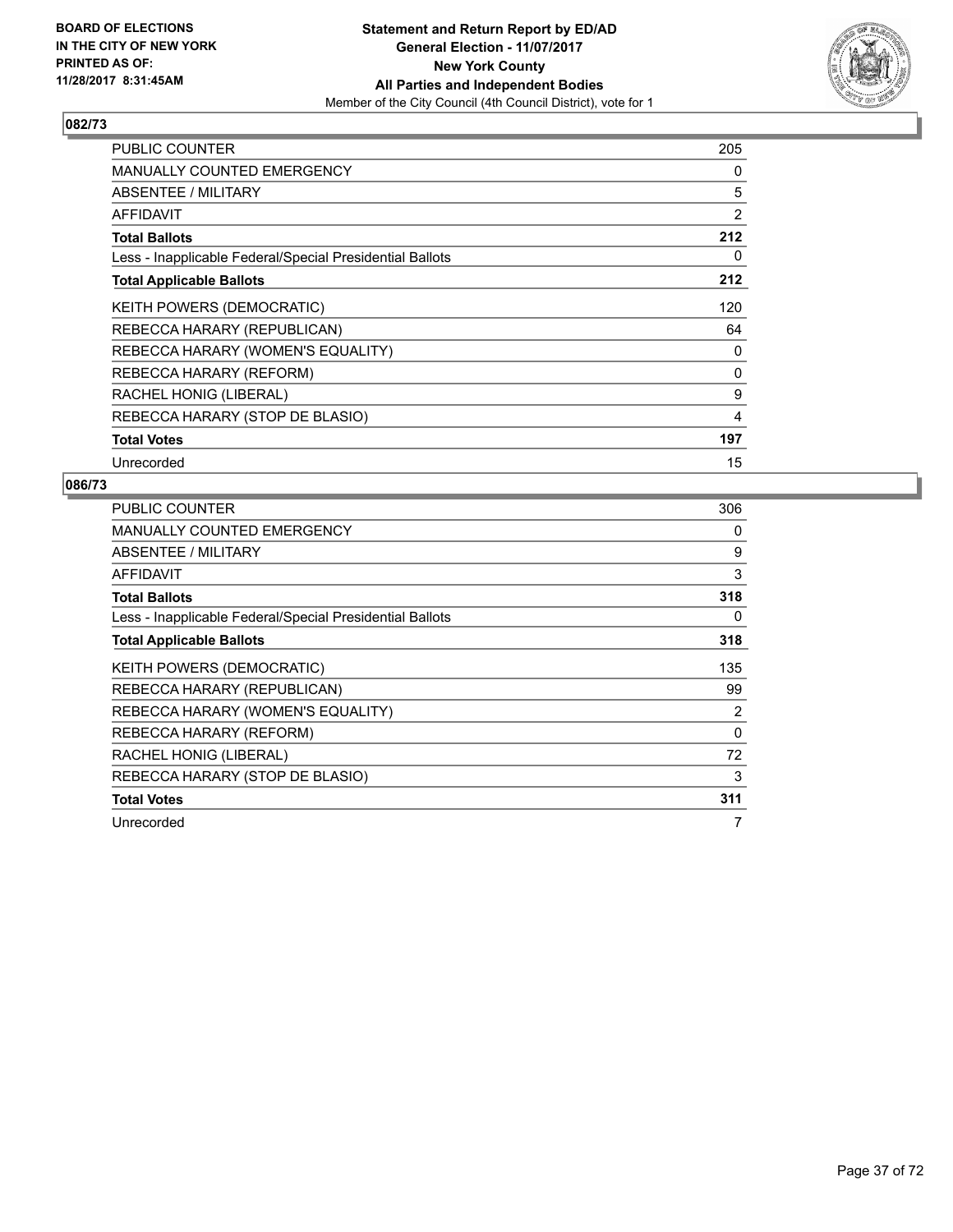

| <b>PUBLIC COUNTER</b>                                    | 205 |
|----------------------------------------------------------|-----|
| <b>MANUALLY COUNTED EMERGENCY</b>                        | 0   |
| ABSENTEE / MILITARY                                      | 5   |
| AFFIDAVIT                                                | 2   |
| <b>Total Ballots</b>                                     | 212 |
| Less - Inapplicable Federal/Special Presidential Ballots | 0   |
| <b>Total Applicable Ballots</b>                          | 212 |
| KEITH POWERS (DEMOCRATIC)                                | 120 |
| REBECCA HARARY (REPUBLICAN)                              | 64  |
| REBECCA HARARY (WOMEN'S EQUALITY)                        | 0   |
| REBECCA HARARY (REFORM)                                  | 0   |
| RACHEL HONIG (LIBERAL)                                   | 9   |
| REBECCA HARARY (STOP DE BLASIO)                          | 4   |
| <b>Total Votes</b>                                       | 197 |
| Unrecorded                                               | 15  |

| <b>PUBLIC COUNTER</b>                                    | 306 |
|----------------------------------------------------------|-----|
| <b>MANUALLY COUNTED EMERGENCY</b>                        | 0   |
| ABSENTEE / MILITARY                                      | 9   |
| AFFIDAVIT                                                | 3   |
| <b>Total Ballots</b>                                     | 318 |
| Less - Inapplicable Federal/Special Presidential Ballots | 0   |
| <b>Total Applicable Ballots</b>                          | 318 |
| <b>KEITH POWERS (DEMOCRATIC)</b>                         | 135 |
| REBECCA HARARY (REPUBLICAN)                              | 99  |
| REBECCA HARARY (WOMEN'S EQUALITY)                        | 2   |
| REBECCA HARARY (REFORM)                                  | 0   |
| RACHEL HONIG (LIBERAL)                                   | 72  |
| REBECCA HARARY (STOP DE BLASIO)                          | 3   |
| <b>Total Votes</b>                                       | 311 |
| Unrecorded                                               | 7   |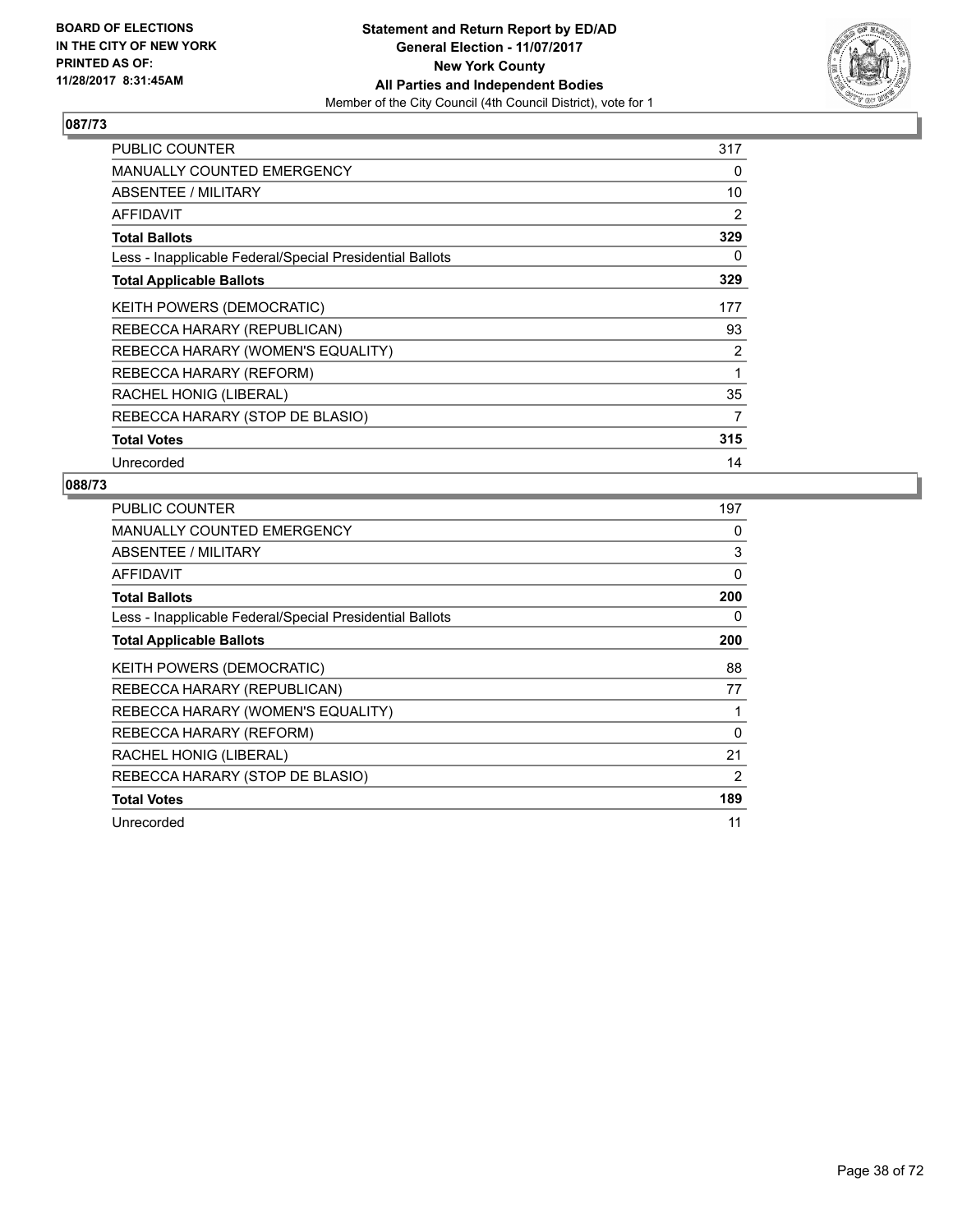

| <b>PUBLIC COUNTER</b>                                    | 317 |
|----------------------------------------------------------|-----|
| <b>MANUALLY COUNTED EMERGENCY</b>                        | 0   |
| <b>ABSENTEE / MILITARY</b>                               | 10  |
| AFFIDAVIT                                                | 2   |
| <b>Total Ballots</b>                                     | 329 |
| Less - Inapplicable Federal/Special Presidential Ballots | 0   |
| <b>Total Applicable Ballots</b>                          | 329 |
| KEITH POWERS (DEMOCRATIC)                                | 177 |
| REBECCA HARARY (REPUBLICAN)                              | 93  |
| REBECCA HARARY (WOMEN'S EQUALITY)                        | 2   |
| REBECCA HARARY (REFORM)                                  | 1   |
| RACHEL HONIG (LIBERAL)                                   | 35  |
| REBECCA HARARY (STOP DE BLASIO)                          | 7   |
| <b>Total Votes</b>                                       | 315 |
| Unrecorded                                               | 14  |

| <b>PUBLIC COUNTER</b>                                    | 197      |
|----------------------------------------------------------|----------|
| <b>MANUALLY COUNTED EMERGENCY</b>                        | 0        |
| ABSENTEE / MILITARY                                      | 3        |
| AFFIDAVIT                                                | 0        |
| <b>Total Ballots</b>                                     | 200      |
| Less - Inapplicable Federal/Special Presidential Ballots | 0        |
| <b>Total Applicable Ballots</b>                          | 200      |
| <b>KEITH POWERS (DEMOCRATIC)</b>                         | 88       |
| REBECCA HARARY (REPUBLICAN)                              | 77       |
| REBECCA HARARY (WOMEN'S EQUALITY)                        |          |
| REBECCA HARARY (REFORM)                                  | $\Omega$ |
| RACHEL HONIG (LIBERAL)                                   | 21       |
| REBECCA HARARY (STOP DE BLASIO)                          | 2        |
| <b>Total Votes</b>                                       | 189      |
| Unrecorded                                               | 11       |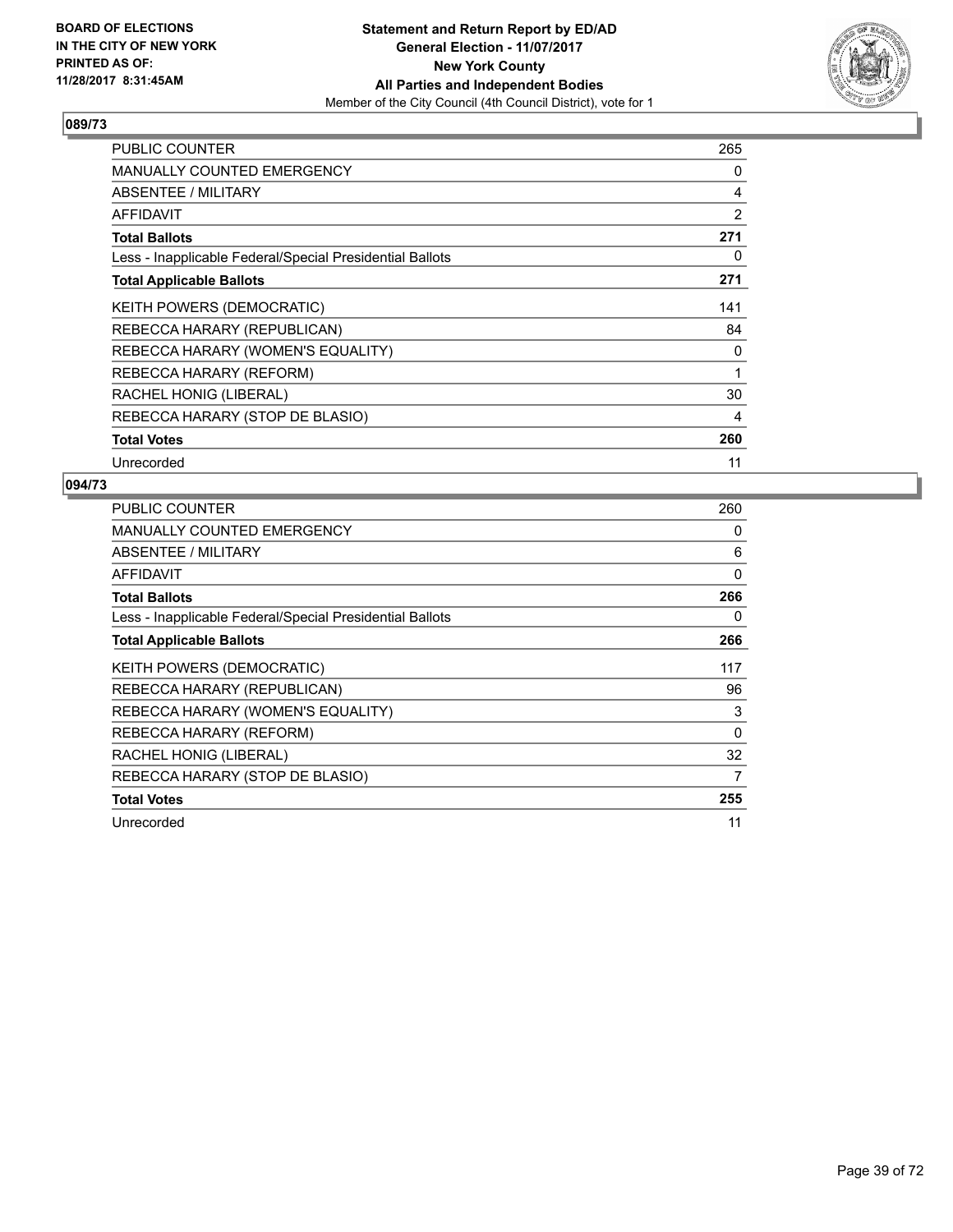

| PUBLIC COUNTER                                           | 265 |
|----------------------------------------------------------|-----|
| <b>MANUALLY COUNTED EMERGENCY</b>                        | 0   |
| <b>ABSENTEE / MILITARY</b>                               | 4   |
| <b>AFFIDAVIT</b>                                         | 2   |
| <b>Total Ballots</b>                                     | 271 |
| Less - Inapplicable Federal/Special Presidential Ballots | 0   |
| <b>Total Applicable Ballots</b>                          | 271 |
| KEITH POWERS (DEMOCRATIC)                                | 141 |
| REBECCA HARARY (REPUBLICAN)                              | 84  |
| REBECCA HARARY (WOMEN'S EQUALITY)                        | 0   |
| REBECCA HARARY (REFORM)                                  | 1   |
| RACHEL HONIG (LIBERAL)                                   | 30  |
| REBECCA HARARY (STOP DE BLASIO)                          | 4   |
| <b>Total Votes</b>                                       | 260 |
| Unrecorded                                               | 11  |

| <b>PUBLIC COUNTER</b>                                    | 260      |
|----------------------------------------------------------|----------|
| <b>MANUALLY COUNTED EMERGENCY</b>                        | 0        |
| ABSENTEE / MILITARY                                      | 6        |
| AFFIDAVIT                                                | 0        |
| <b>Total Ballots</b>                                     | 266      |
| Less - Inapplicable Federal/Special Presidential Ballots | 0        |
| <b>Total Applicable Ballots</b>                          | 266      |
| <b>KEITH POWERS (DEMOCRATIC)</b>                         | 117      |
| REBECCA HARARY (REPUBLICAN)                              | 96       |
| REBECCA HARARY (WOMEN'S EQUALITY)                        | 3        |
| REBECCA HARARY (REFORM)                                  | $\Omega$ |
| RACHEL HONIG (LIBERAL)                                   | 32       |
| REBECCA HARARY (STOP DE BLASIO)                          | 7        |
| <b>Total Votes</b>                                       | 255      |
| Unrecorded                                               | 11       |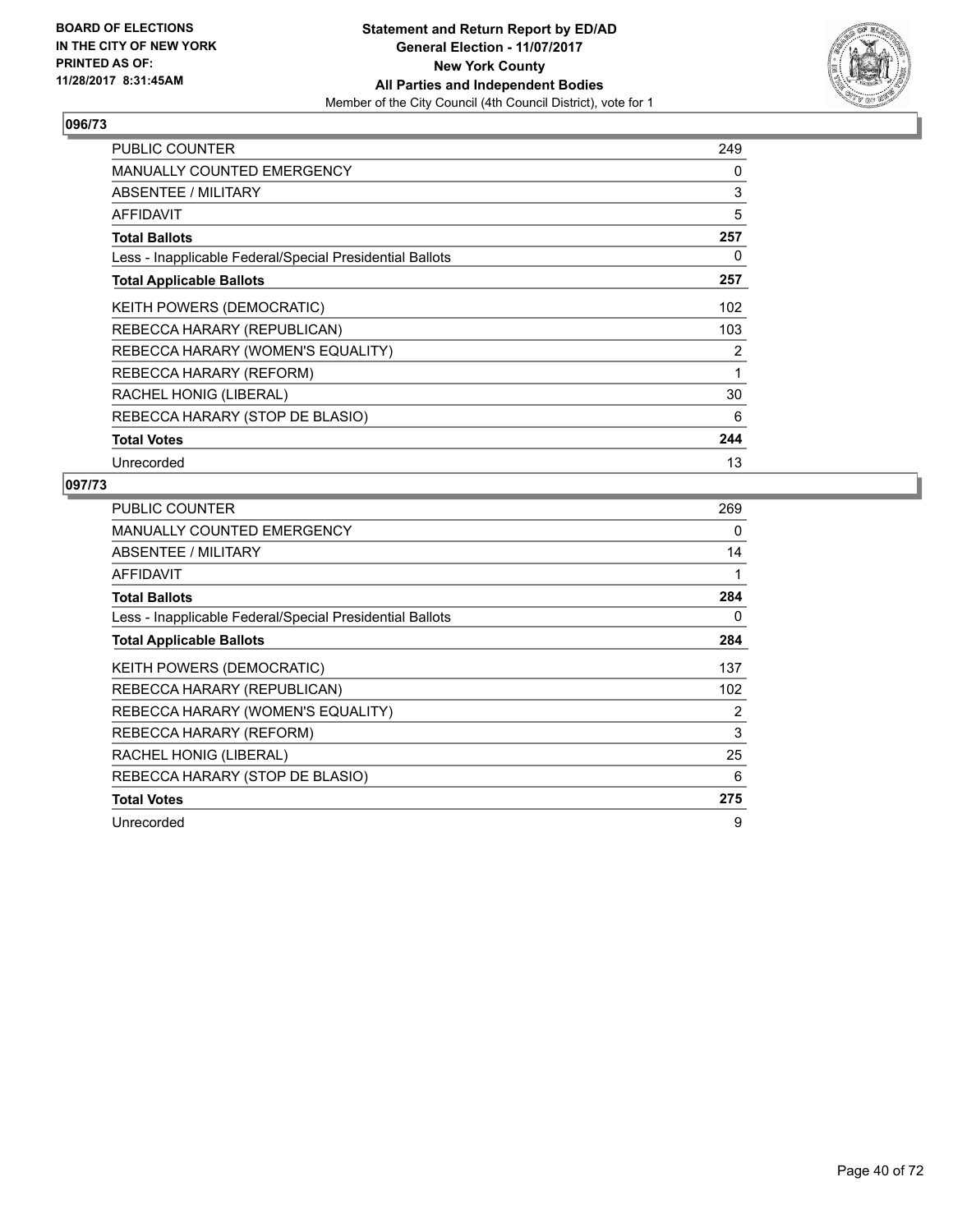

| PUBLIC COUNTER                                           | 249 |
|----------------------------------------------------------|-----|
| <b>MANUALLY COUNTED EMERGENCY</b>                        | 0   |
| ABSENTEE / MILITARY                                      | 3   |
| <b>AFFIDAVIT</b>                                         | 5   |
| <b>Total Ballots</b>                                     | 257 |
| Less - Inapplicable Federal/Special Presidential Ballots | 0   |
| <b>Total Applicable Ballots</b>                          | 257 |
| KEITH POWERS (DEMOCRATIC)                                | 102 |
| REBECCA HARARY (REPUBLICAN)                              | 103 |
| REBECCA HARARY (WOMEN'S EQUALITY)                        | 2   |
| REBECCA HARARY (REFORM)                                  | 1   |
| RACHEL HONIG (LIBERAL)                                   | 30  |
| REBECCA HARARY (STOP DE BLASIO)                          | 6   |
| <b>Total Votes</b>                                       | 244 |
| Unrecorded                                               | 13  |

| PUBLIC COUNTER                                           | 269            |
|----------------------------------------------------------|----------------|
| <b>MANUALLY COUNTED EMERGENCY</b>                        | 0              |
| ABSENTEE / MILITARY                                      | 14             |
| AFFIDAVIT                                                | 1              |
| <b>Total Ballots</b>                                     | 284            |
| Less - Inapplicable Federal/Special Presidential Ballots | 0              |
| <b>Total Applicable Ballots</b>                          | 284            |
| <b>KEITH POWERS (DEMOCRATIC)</b>                         | 137            |
| REBECCA HARARY (REPUBLICAN)                              | 102            |
| REBECCA HARARY (WOMEN'S EQUALITY)                        | $\overline{2}$ |
| REBECCA HARARY (REFORM)                                  | 3              |
| RACHEL HONIG (LIBERAL)                                   | 25             |
| REBECCA HARARY (STOP DE BLASIO)                          | 6              |
| <b>Total Votes</b>                                       | 275            |
| Unrecorded                                               | 9              |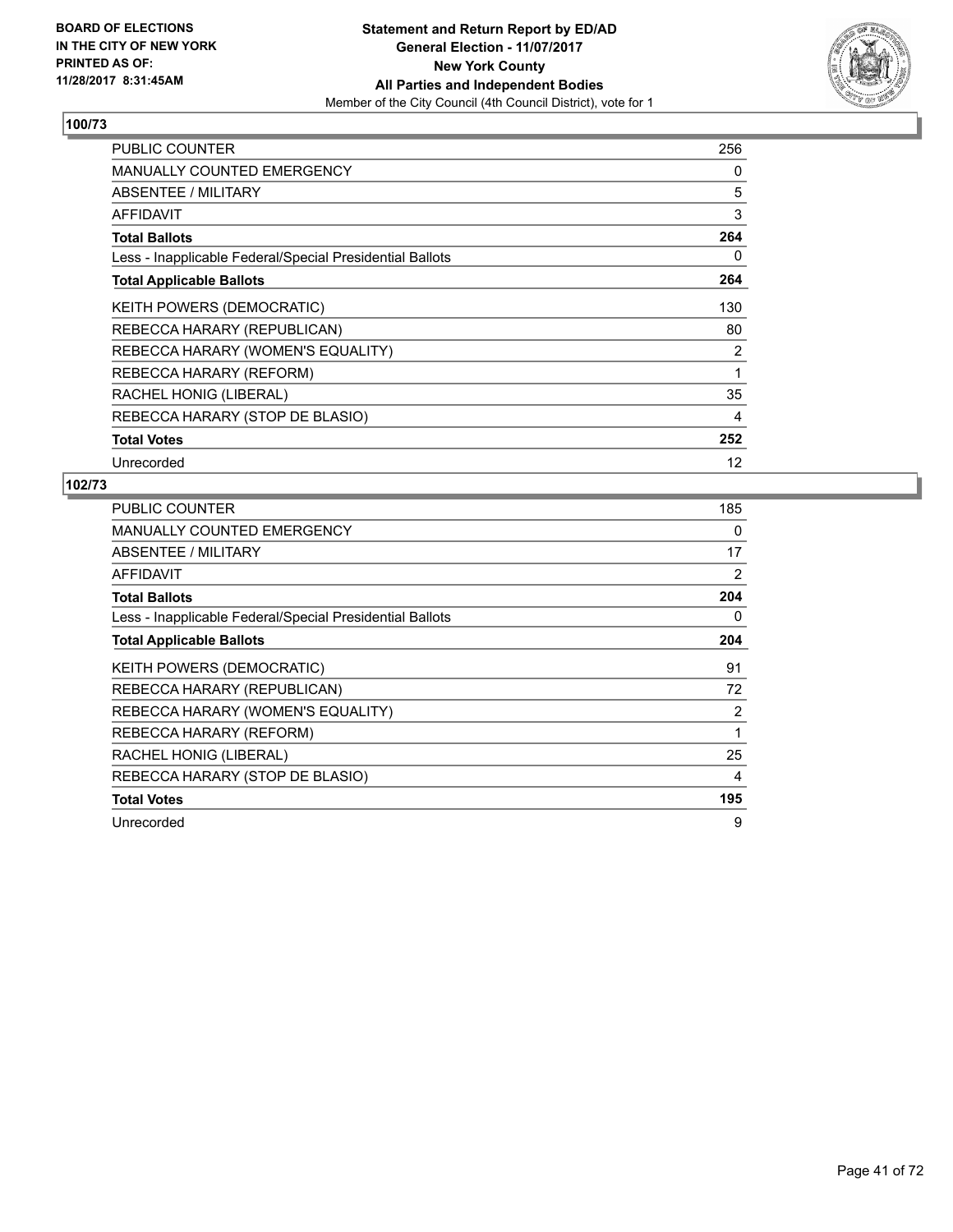

| PUBLIC COUNTER                                           | 256 |
|----------------------------------------------------------|-----|
| <b>MANUALLY COUNTED EMERGENCY</b>                        | 0   |
| ABSENTEE / MILITARY                                      | 5   |
| <b>AFFIDAVIT</b>                                         | 3   |
| <b>Total Ballots</b>                                     | 264 |
| Less - Inapplicable Federal/Special Presidential Ballots | 0   |
| <b>Total Applicable Ballots</b>                          | 264 |
| <b>KEITH POWERS (DEMOCRATIC)</b>                         | 130 |
| REBECCA HARARY (REPUBLICAN)                              | 80  |
| REBECCA HARARY (WOMEN'S EQUALITY)                        | 2   |
| REBECCA HARARY (REFORM)                                  | 1   |
| RACHEL HONIG (LIBERAL)                                   | 35  |
| REBECCA HARARY (STOP DE BLASIO)                          | 4   |
| <b>Total Votes</b>                                       | 252 |
| Unrecorded                                               | 12  |

| PUBLIC COUNTER                                           | 185            |
|----------------------------------------------------------|----------------|
| <b>MANUALLY COUNTED EMERGENCY</b>                        | 0              |
| ABSENTEE / MILITARY                                      | 17             |
| AFFIDAVIT                                                | 2              |
| <b>Total Ballots</b>                                     | 204            |
| Less - Inapplicable Federal/Special Presidential Ballots | 0              |
| <b>Total Applicable Ballots</b>                          | 204            |
| KEITH POWERS (DEMOCRATIC)                                | 91             |
| REBECCA HARARY (REPUBLICAN)                              | 72             |
| REBECCA HARARY (WOMEN'S EQUALITY)                        | $\overline{2}$ |
| REBECCA HARARY (REFORM)                                  | 1              |
| RACHEL HONIG (LIBERAL)                                   | 25             |
| REBECCA HARARY (STOP DE BLASIO)                          | 4              |
| <b>Total Votes</b>                                       | 195            |
| Unrecorded                                               | 9              |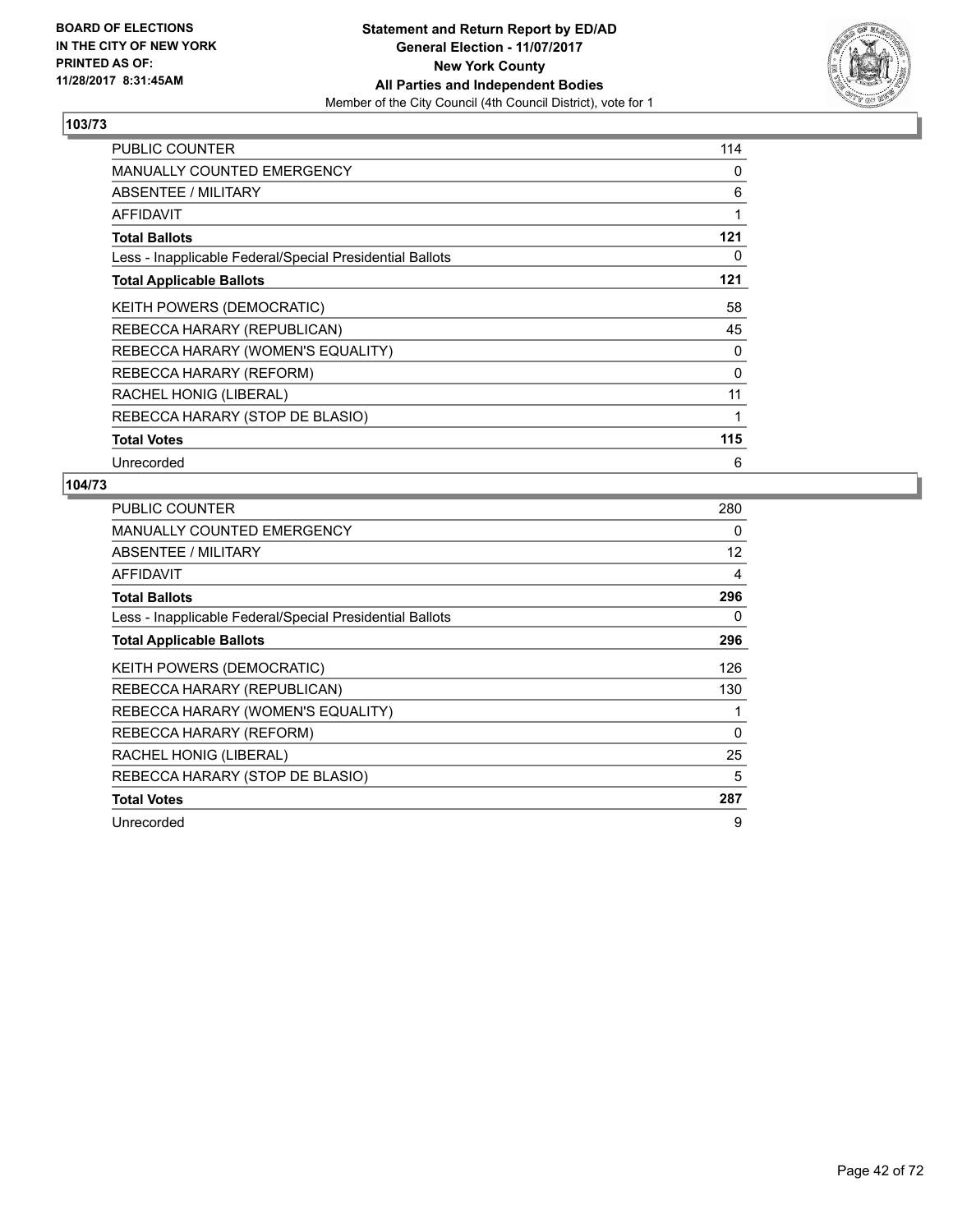

| <b>PUBLIC COUNTER</b>                                    | 114 |
|----------------------------------------------------------|-----|
| <b>MANUALLY COUNTED EMERGENCY</b>                        | 0   |
| ABSENTEE / MILITARY                                      | 6   |
| <b>AFFIDAVIT</b>                                         | 1   |
| <b>Total Ballots</b>                                     | 121 |
| Less - Inapplicable Federal/Special Presidential Ballots | 0   |
| <b>Total Applicable Ballots</b>                          | 121 |
| KEITH POWERS (DEMOCRATIC)                                | 58  |
| REBECCA HARARY (REPUBLICAN)                              | 45  |
| REBECCA HARARY (WOMEN'S EQUALITY)                        | 0   |
| REBECCA HARARY (REFORM)                                  | 0   |
| RACHEL HONIG (LIBERAL)                                   | 11  |
| REBECCA HARARY (STOP DE BLASIO)                          | 1   |
| <b>Total Votes</b>                                       | 115 |
| Unrecorded                                               | 6   |

| PUBLIC COUNTER                                           | 280      |
|----------------------------------------------------------|----------|
| <b>MANUALLY COUNTED EMERGENCY</b>                        | 0        |
| <b>ABSENTEE / MILITARY</b>                               | 12       |
| AFFIDAVIT                                                | 4        |
| <b>Total Ballots</b>                                     | 296      |
| Less - Inapplicable Federal/Special Presidential Ballots | 0        |
| <b>Total Applicable Ballots</b>                          | 296      |
| <b>KEITH POWERS (DEMOCRATIC)</b>                         | 126      |
| REBECCA HARARY (REPUBLICAN)                              | 130      |
| REBECCA HARARY (WOMEN'S EQUALITY)                        |          |
| REBECCA HARARY (REFORM)                                  | $\Omega$ |
| RACHEL HONIG (LIBERAL)                                   | 25       |
| REBECCA HARARY (STOP DE BLASIO)                          | 5        |
| <b>Total Votes</b>                                       | 287      |
| Unrecorded                                               | 9        |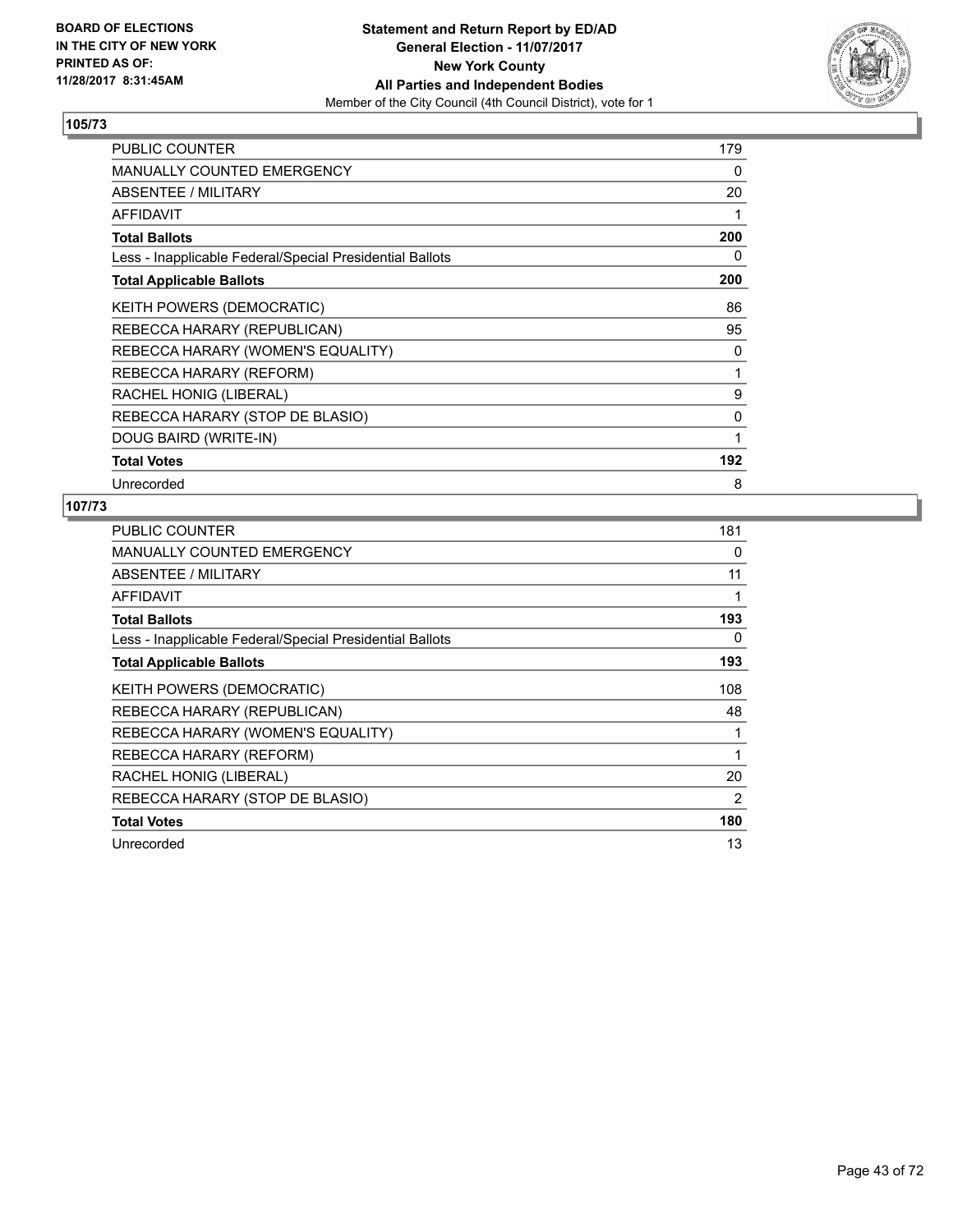

| <b>PUBLIC COUNTER</b>                                    | 179 |
|----------------------------------------------------------|-----|
| <b>MANUALLY COUNTED EMERGENCY</b>                        | 0   |
| ABSENTEE / MILITARY                                      | 20  |
| <b>AFFIDAVIT</b>                                         | 1   |
| <b>Total Ballots</b>                                     | 200 |
| Less - Inapplicable Federal/Special Presidential Ballots | 0   |
| <b>Total Applicable Ballots</b>                          | 200 |
| <b>KEITH POWERS (DEMOCRATIC)</b>                         | 86  |
| REBECCA HARARY (REPUBLICAN)                              | 95  |
| REBECCA HARARY (WOMEN'S EQUALITY)                        | 0   |
| REBECCA HARARY (REFORM)                                  | 1   |
| RACHEL HONIG (LIBERAL)                                   | 9   |
| REBECCA HARARY (STOP DE BLASIO)                          | 0   |
| DOUG BAIRD (WRITE-IN)                                    | 1   |
| <b>Total Votes</b>                                       | 192 |
| Unrecorded                                               | 8   |

| <b>PUBLIC COUNTER</b>                                    | 181            |
|----------------------------------------------------------|----------------|
| <b>MANUALLY COUNTED EMERGENCY</b>                        | 0              |
| ABSENTEE / MILITARY                                      | 11             |
| AFFIDAVIT                                                | 1              |
| <b>Total Ballots</b>                                     | 193            |
| Less - Inapplicable Federal/Special Presidential Ballots | 0              |
| <b>Total Applicable Ballots</b>                          | 193            |
| <b>KEITH POWERS (DEMOCRATIC)</b>                         | 108            |
| REBECCA HARARY (REPUBLICAN)                              | 48             |
| REBECCA HARARY (WOMEN'S EQUALITY)                        |                |
| REBECCA HARARY (REFORM)                                  | $\mathbf 1$    |
| RACHEL HONIG (LIBERAL)                                   | 20             |
| REBECCA HARARY (STOP DE BLASIO)                          | $\overline{2}$ |
| <b>Total Votes</b>                                       | 180            |
| Unrecorded                                               | 13             |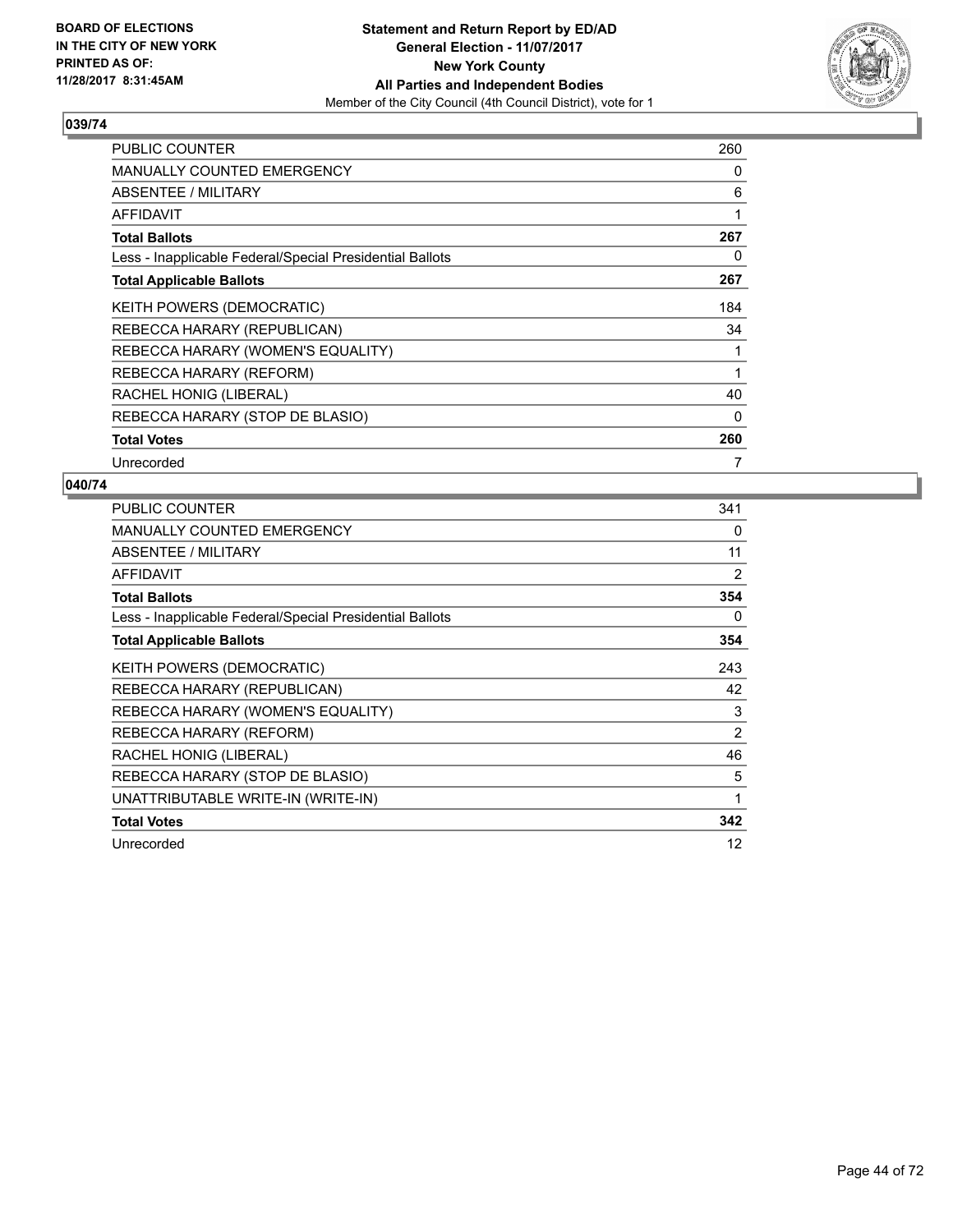

| <b>PUBLIC COUNTER</b>                                    | 260 |
|----------------------------------------------------------|-----|
| <b>MANUALLY COUNTED EMERGENCY</b>                        | 0   |
| <b>ABSENTEE / MILITARY</b>                               | 6   |
| AFFIDAVIT                                                | 1   |
| <b>Total Ballots</b>                                     | 267 |
| Less - Inapplicable Federal/Special Presidential Ballots | 0   |
| <b>Total Applicable Ballots</b>                          | 267 |
| KEITH POWERS (DEMOCRATIC)                                | 184 |
| REBECCA HARARY (REPUBLICAN)                              | 34  |
| REBECCA HARARY (WOMEN'S EQUALITY)                        | 1   |
| REBECCA HARARY (REFORM)                                  | 1   |
| RACHEL HONIG (LIBERAL)                                   | 40  |
| REBECCA HARARY (STOP DE BLASIO)                          | 0   |
| <b>Total Votes</b>                                       | 260 |
| Unrecorded                                               | 7   |

| <b>PUBLIC COUNTER</b>                                    | 341 |
|----------------------------------------------------------|-----|
| MANUALLY COUNTED EMERGENCY                               | 0   |
| ABSENTEE / MILITARY                                      | 11  |
| AFFIDAVIT                                                | 2   |
| <b>Total Ballots</b>                                     | 354 |
| Less - Inapplicable Federal/Special Presidential Ballots | 0   |
| <b>Total Applicable Ballots</b>                          | 354 |
| KEITH POWERS (DEMOCRATIC)                                | 243 |
| REBECCA HARARY (REPUBLICAN)                              | 42  |
| REBECCA HARARY (WOMEN'S EQUALITY)                        | 3   |
| REBECCA HARARY (REFORM)                                  | 2   |
| RACHEL HONIG (LIBERAL)                                   | 46  |
| REBECCA HARARY (STOP DE BLASIO)                          | 5   |
| UNATTRIBUTABLE WRITE-IN (WRITE-IN)                       | 1   |
| <b>Total Votes</b>                                       | 342 |
| Unrecorded                                               | 12  |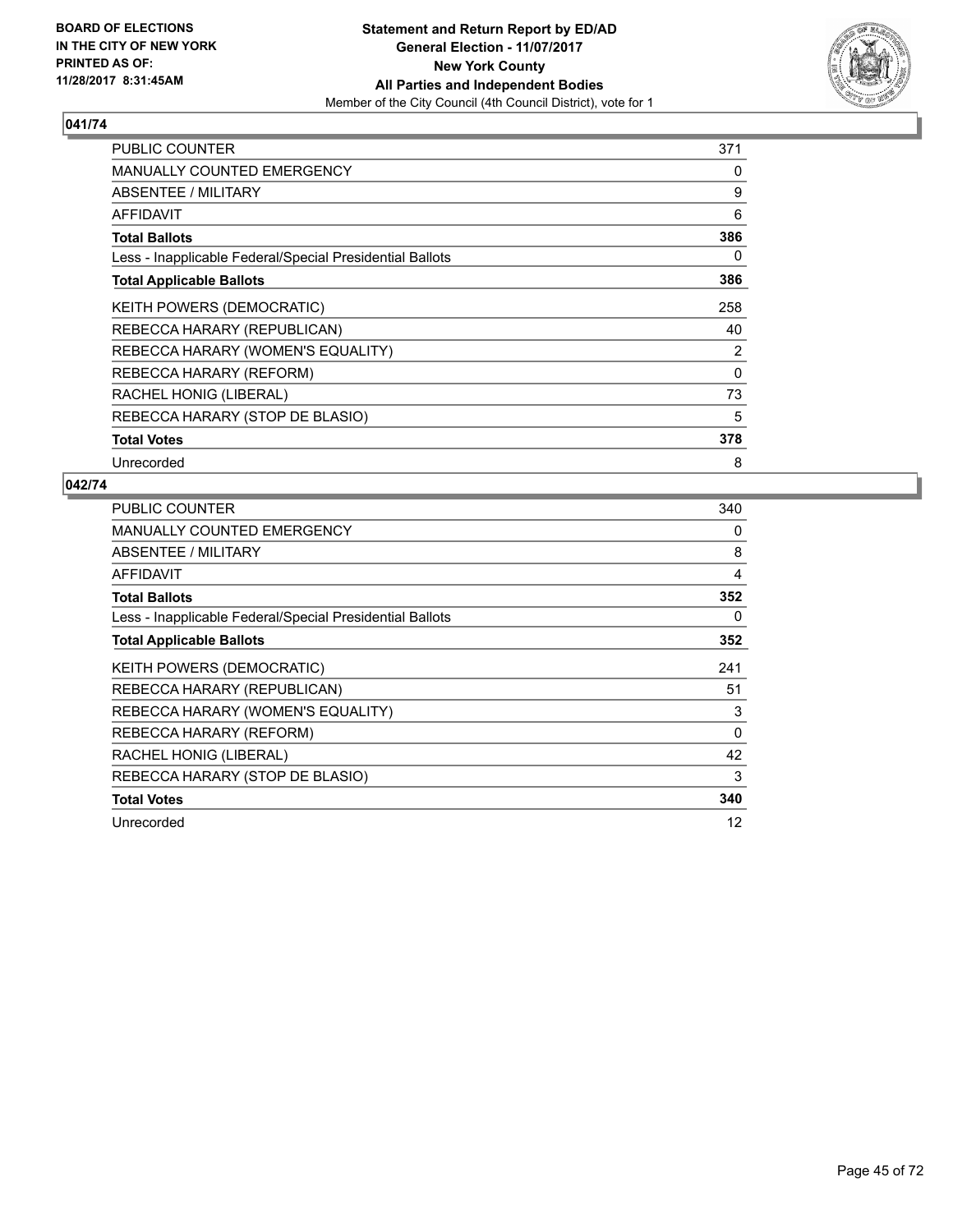

| <b>PUBLIC COUNTER</b>                                    | 371      |
|----------------------------------------------------------|----------|
| <b>MANUALLY COUNTED EMERGENCY</b>                        | 0        |
| ABSENTEE / MILITARY                                      | 9        |
| AFFIDAVIT                                                | 6        |
| <b>Total Ballots</b>                                     | 386      |
| Less - Inapplicable Federal/Special Presidential Ballots | 0        |
| <b>Total Applicable Ballots</b>                          | 386      |
| KEITH POWERS (DEMOCRATIC)                                | 258      |
| REBECCA HARARY (REPUBLICAN)                              | 40       |
| REBECCA HARARY (WOMEN'S EQUALITY)                        | 2        |
| REBECCA HARARY (REFORM)                                  | $\Omega$ |
| RACHEL HONIG (LIBERAL)                                   | 73       |
| REBECCA HARARY (STOP DE BLASIO)                          | 5        |
| <b>Total Votes</b>                                       | 378      |
| Unrecorded                                               | 8        |

| <b>PUBLIC COUNTER</b>                                    | 340      |
|----------------------------------------------------------|----------|
| <b>MANUALLY COUNTED EMERGENCY</b>                        | 0        |
| ABSENTEE / MILITARY                                      | 8        |
| AFFIDAVIT                                                | 4        |
| <b>Total Ballots</b>                                     | 352      |
| Less - Inapplicable Federal/Special Presidential Ballots | 0        |
| <b>Total Applicable Ballots</b>                          | 352      |
| <b>KEITH POWERS (DEMOCRATIC)</b>                         | 241      |
| REBECCA HARARY (REPUBLICAN)                              | 51       |
| REBECCA HARARY (WOMEN'S EQUALITY)                        | 3        |
| REBECCA HARARY (REFORM)                                  | $\Omega$ |
| RACHEL HONIG (LIBERAL)                                   | 42       |
| REBECCA HARARY (STOP DE BLASIO)                          | 3        |
| <b>Total Votes</b>                                       | 340      |
| Unrecorded                                               | 12       |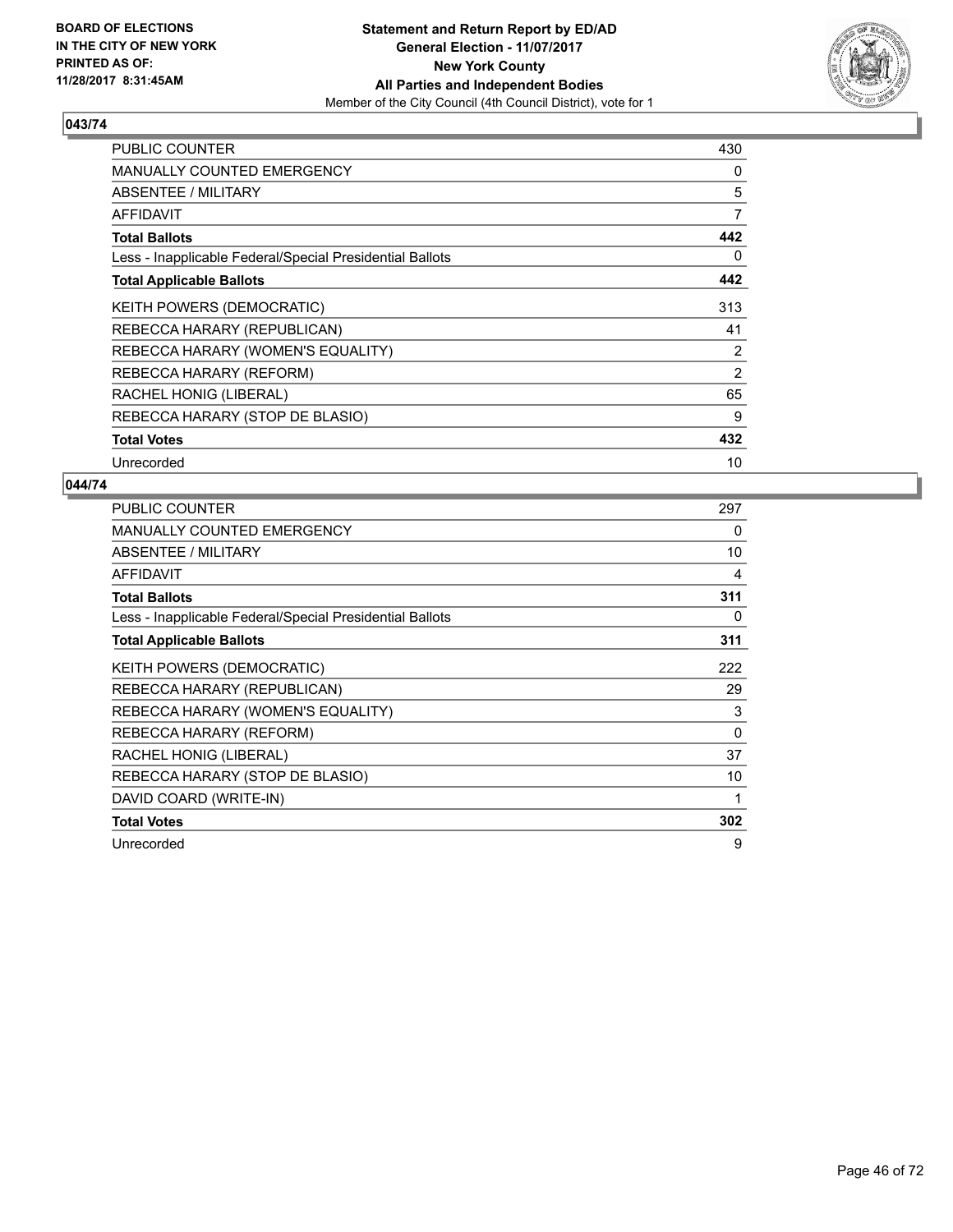

| <b>PUBLIC COUNTER</b>                                    | 430 |
|----------------------------------------------------------|-----|
| <b>MANUALLY COUNTED EMERGENCY</b>                        | 0   |
| ABSENTEE / MILITARY                                      | 5   |
| AFFIDAVIT                                                | 7   |
| <b>Total Ballots</b>                                     | 442 |
| Less - Inapplicable Federal/Special Presidential Ballots | 0   |
| <b>Total Applicable Ballots</b>                          | 442 |
| <b>KEITH POWERS (DEMOCRATIC)</b>                         | 313 |
| REBECCA HARARY (REPUBLICAN)                              | 41  |
| REBECCA HARARY (WOMEN'S EQUALITY)                        | 2   |
| REBECCA HARARY (REFORM)                                  | 2   |
| RACHEL HONIG (LIBERAL)                                   | 65  |
| REBECCA HARARY (STOP DE BLASIO)                          | 9   |
| <b>Total Votes</b>                                       | 432 |
| Unrecorded                                               | 10  |

| PUBLIC COUNTER                                           | 297 |
|----------------------------------------------------------|-----|
| <b>MANUALLY COUNTED EMERGENCY</b>                        | 0   |
| ABSENTEE / MILITARY                                      | 10  |
| <b>AFFIDAVIT</b>                                         | 4   |
| <b>Total Ballots</b>                                     | 311 |
| Less - Inapplicable Federal/Special Presidential Ballots | 0   |
| <b>Total Applicable Ballots</b>                          | 311 |
| KEITH POWERS (DEMOCRATIC)                                | 222 |
| REBECCA HARARY (REPUBLICAN)                              | 29  |
| REBECCA HARARY (WOMEN'S EQUALITY)                        | 3   |
| REBECCA HARARY (REFORM)                                  | 0   |
| RACHEL HONIG (LIBERAL)                                   | 37  |
| REBECCA HARARY (STOP DE BLASIO)                          | 10  |
| DAVID COARD (WRITE-IN)                                   | 1   |
| <b>Total Votes</b>                                       | 302 |
| Unrecorded                                               | 9   |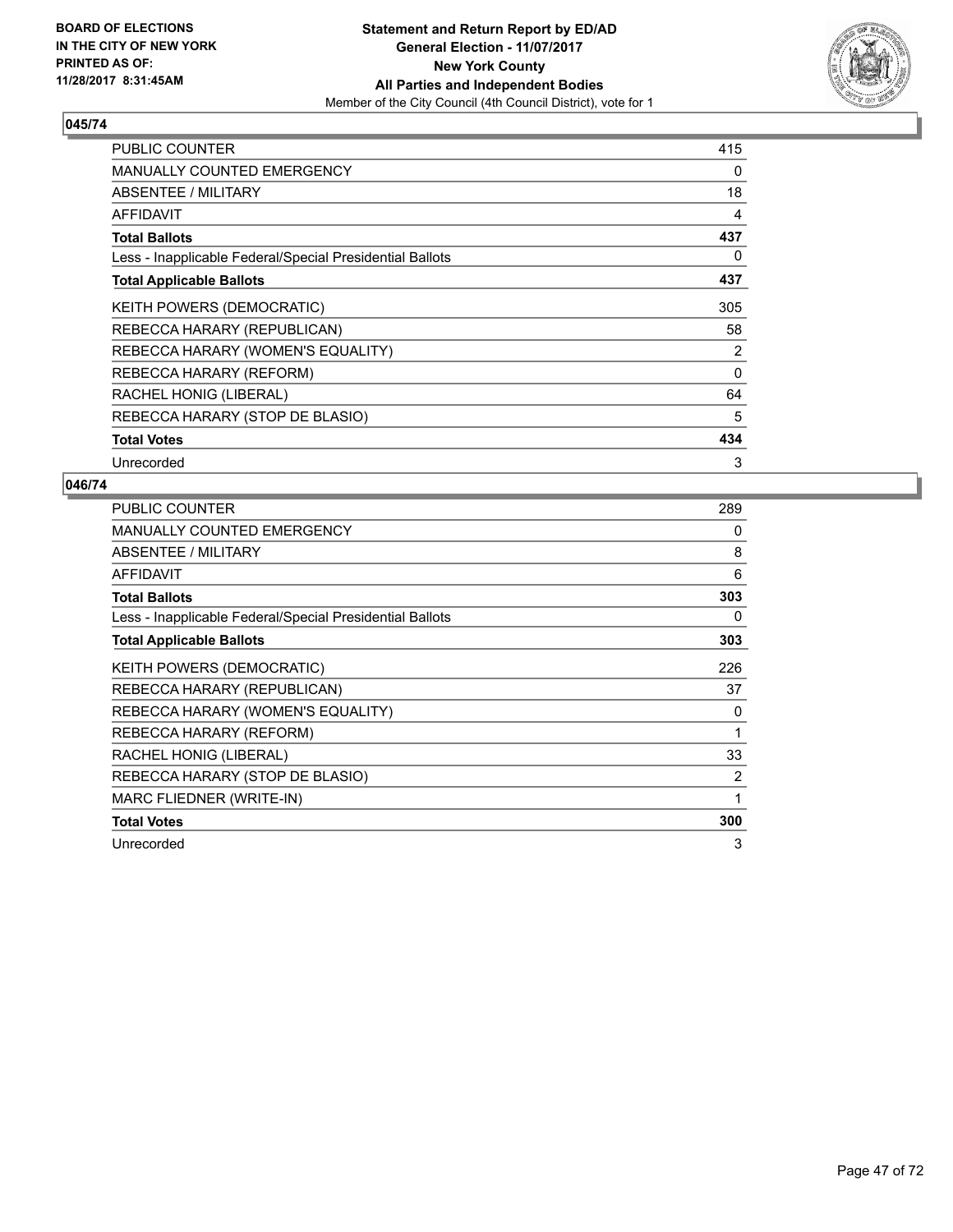

| <b>PUBLIC COUNTER</b>                                    | 415 |
|----------------------------------------------------------|-----|
| <b>MANUALLY COUNTED EMERGENCY</b>                        | 0   |
| ABSENTEE / MILITARY                                      | 18  |
| <b>AFFIDAVIT</b>                                         | 4   |
| <b>Total Ballots</b>                                     | 437 |
| Less - Inapplicable Federal/Special Presidential Ballots | 0   |
| <b>Total Applicable Ballots</b>                          | 437 |
| KEITH POWERS (DEMOCRATIC)                                | 305 |
| REBECCA HARARY (REPUBLICAN)                              | 58  |
| REBECCA HARARY (WOMEN'S EQUALITY)                        | 2   |
| REBECCA HARARY (REFORM)                                  | 0   |
| RACHEL HONIG (LIBERAL)                                   | 64  |
| REBECCA HARARY (STOP DE BLASIO)                          | 5   |
| <b>Total Votes</b>                                       | 434 |
| Unrecorded                                               | 3   |

| <b>PUBLIC COUNTER</b>                                    | 289 |
|----------------------------------------------------------|-----|
| <b>MANUALLY COUNTED EMERGENCY</b>                        | 0   |
| ABSENTEE / MILITARY                                      | 8   |
| AFFIDAVIT                                                | 6   |
| <b>Total Ballots</b>                                     | 303 |
| Less - Inapplicable Federal/Special Presidential Ballots | 0   |
| <b>Total Applicable Ballots</b>                          | 303 |
| KEITH POWERS (DEMOCRATIC)                                | 226 |
| REBECCA HARARY (REPUBLICAN)                              | 37  |
| REBECCA HARARY (WOMEN'S EQUALITY)                        | 0   |
| REBECCA HARARY (REFORM)                                  | 1   |
| RACHEL HONIG (LIBERAL)                                   | 33  |
| REBECCA HARARY (STOP DE BLASIO)                          | 2   |
| MARC FLIEDNER (WRITE-IN)                                 | 1   |
| <b>Total Votes</b>                                       | 300 |
| Unrecorded                                               | 3   |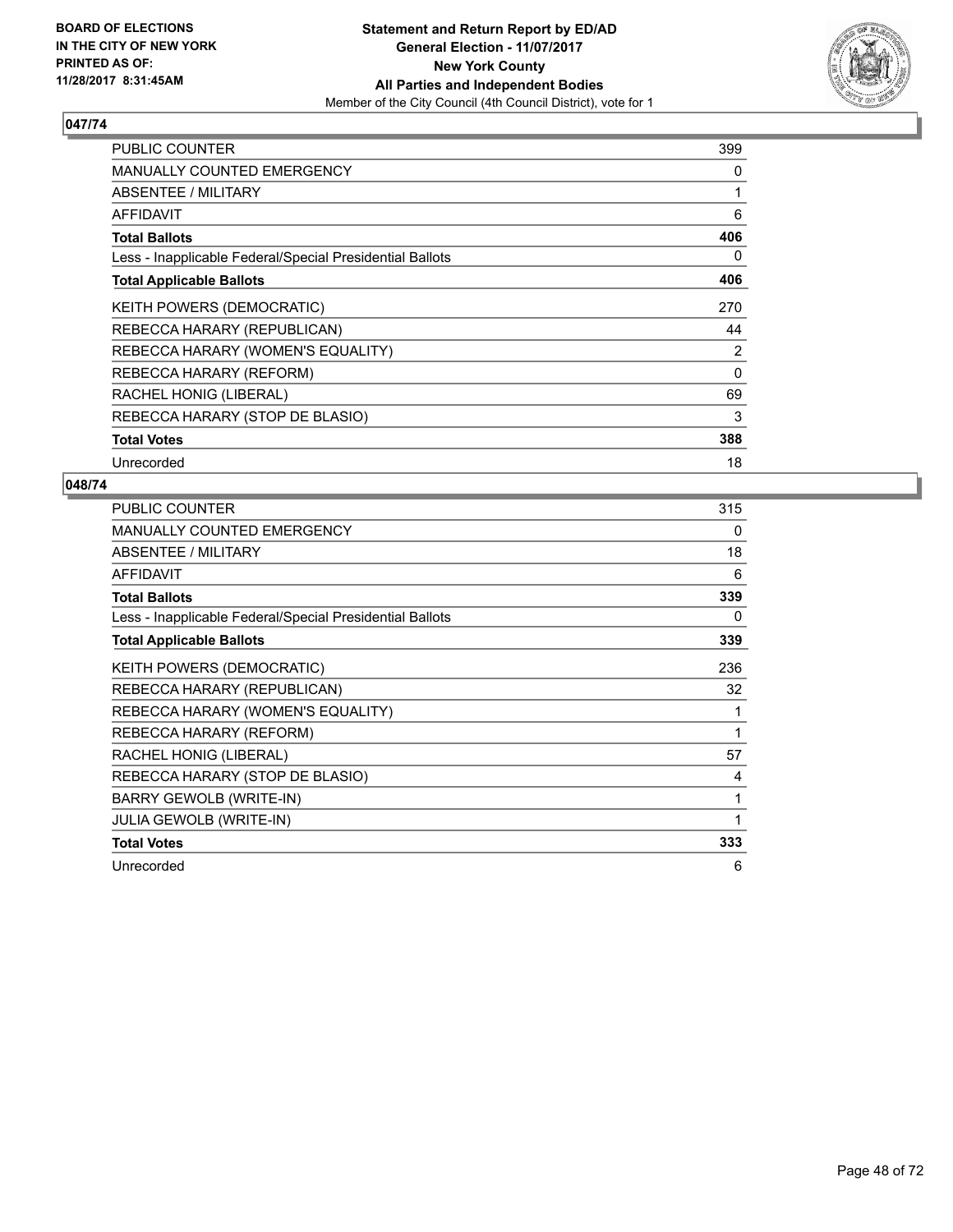

| <b>PUBLIC COUNTER</b>                                    | 399 |
|----------------------------------------------------------|-----|
| <b>MANUALLY COUNTED EMERGENCY</b>                        | 0   |
| ABSENTEE / MILITARY                                      |     |
| <b>AFFIDAVIT</b>                                         | 6   |
| <b>Total Ballots</b>                                     | 406 |
| Less - Inapplicable Federal/Special Presidential Ballots | 0   |
| <b>Total Applicable Ballots</b>                          | 406 |
| <b>KEITH POWERS (DEMOCRATIC)</b>                         | 270 |
| REBECCA HARARY (REPUBLICAN)                              | 44  |
| REBECCA HARARY (WOMEN'S EQUALITY)                        | 2   |
| REBECCA HARARY (REFORM)                                  | 0   |
| RACHEL HONIG (LIBERAL)                                   | 69  |
| REBECCA HARARY (STOP DE BLASIO)                          | 3   |
| <b>Total Votes</b>                                       | 388 |
| Unrecorded                                               | 18  |

| PUBLIC COUNTER                                           | 315 |
|----------------------------------------------------------|-----|
| <b>MANUALLY COUNTED EMERGENCY</b>                        | 0   |
| ABSENTEE / MILITARY                                      | 18  |
| <b>AFFIDAVIT</b>                                         | 6   |
| <b>Total Ballots</b>                                     | 339 |
| Less - Inapplicable Federal/Special Presidential Ballots | 0   |
| <b>Total Applicable Ballots</b>                          | 339 |
| KEITH POWERS (DEMOCRATIC)                                | 236 |
| REBECCA HARARY (REPUBLICAN)                              | 32  |
| REBECCA HARARY (WOMEN'S EQUALITY)                        | 1   |
| REBECCA HARARY (REFORM)                                  | 1   |
| RACHEL HONIG (LIBERAL)                                   | 57  |
| REBECCA HARARY (STOP DE BLASIO)                          | 4   |
| BARRY GEWOLB (WRITE-IN)                                  | 1   |
| JULIA GEWOLB (WRITE-IN)                                  | 1   |
| <b>Total Votes</b>                                       | 333 |
| Unrecorded                                               | 6   |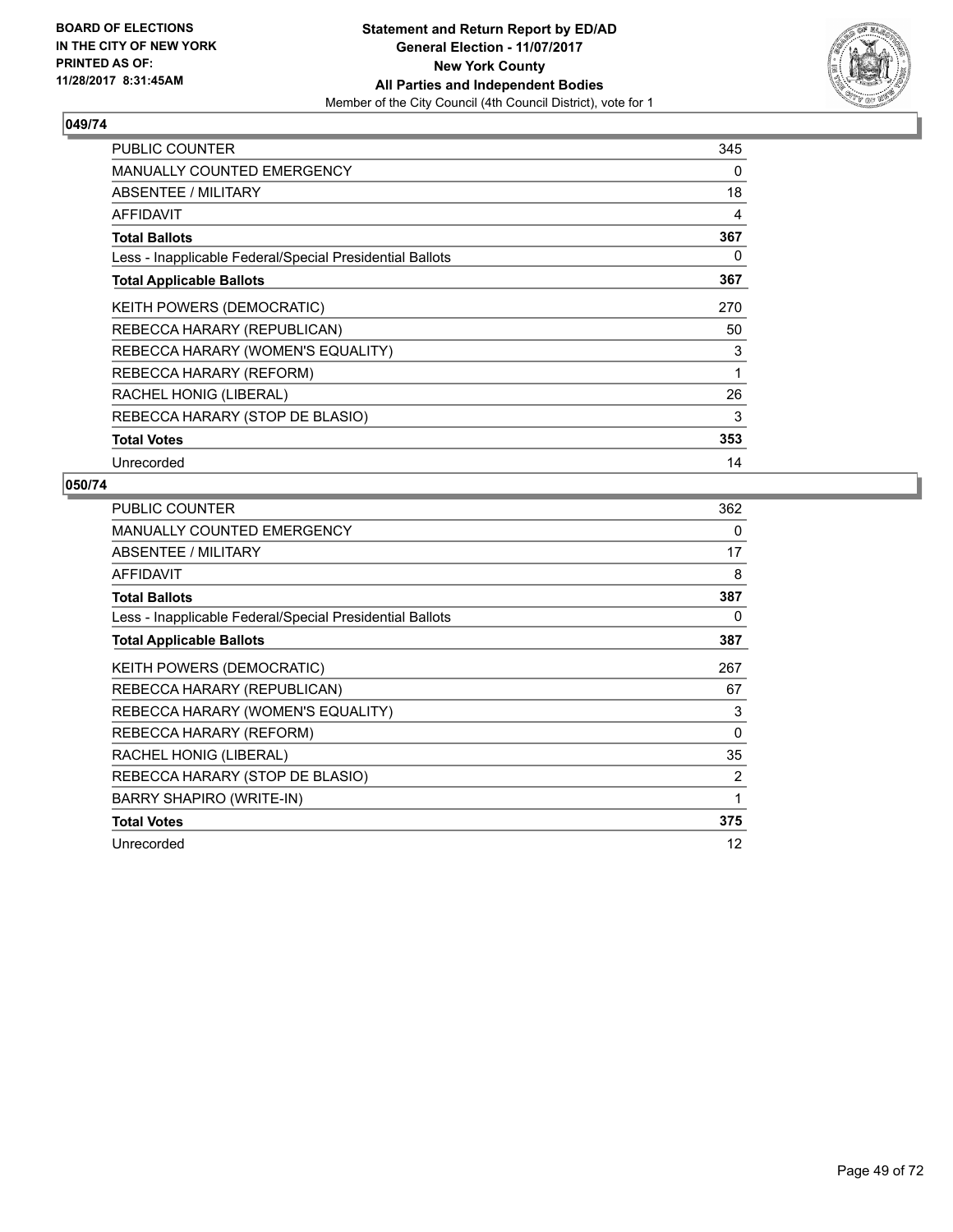

| <b>PUBLIC COUNTER</b>                                    | 345 |
|----------------------------------------------------------|-----|
| <b>MANUALLY COUNTED EMERGENCY</b>                        | 0   |
| <b>ABSENTEE / MILITARY</b>                               | 18  |
| AFFIDAVIT                                                | 4   |
| <b>Total Ballots</b>                                     | 367 |
| Less - Inapplicable Federal/Special Presidential Ballots | 0   |
| <b>Total Applicable Ballots</b>                          | 367 |
| <b>KEITH POWERS (DEMOCRATIC)</b>                         | 270 |
| REBECCA HARARY (REPUBLICAN)                              | 50  |
| REBECCA HARARY (WOMEN'S EQUALITY)                        | 3   |
| REBECCA HARARY (REFORM)                                  | 1   |
| RACHEL HONIG (LIBERAL)                                   | 26  |
| REBECCA HARARY (STOP DE BLASIO)                          | 3   |
| <b>Total Votes</b>                                       | 353 |
| Unrecorded                                               | 14  |

| <b>PUBLIC COUNTER</b>                                    | 362 |
|----------------------------------------------------------|-----|
| MANUALLY COUNTED EMERGENCY                               | 0   |
| ABSENTEE / MILITARY                                      | 17  |
| AFFIDAVIT                                                | 8   |
| <b>Total Ballots</b>                                     | 387 |
| Less - Inapplicable Federal/Special Presidential Ballots | 0   |
| <b>Total Applicable Ballots</b>                          | 387 |
| KEITH POWERS (DEMOCRATIC)                                | 267 |
| REBECCA HARARY (REPUBLICAN)                              | 67  |
| REBECCA HARARY (WOMEN'S EQUALITY)                        | 3   |
| REBECCA HARARY (REFORM)                                  | 0   |
| RACHEL HONIG (LIBERAL)                                   | 35  |
| REBECCA HARARY (STOP DE BLASIO)                          | 2   |
| BARRY SHAPIRO (WRITE-IN)                                 | 1   |
| <b>Total Votes</b>                                       | 375 |
| Unrecorded                                               | 12  |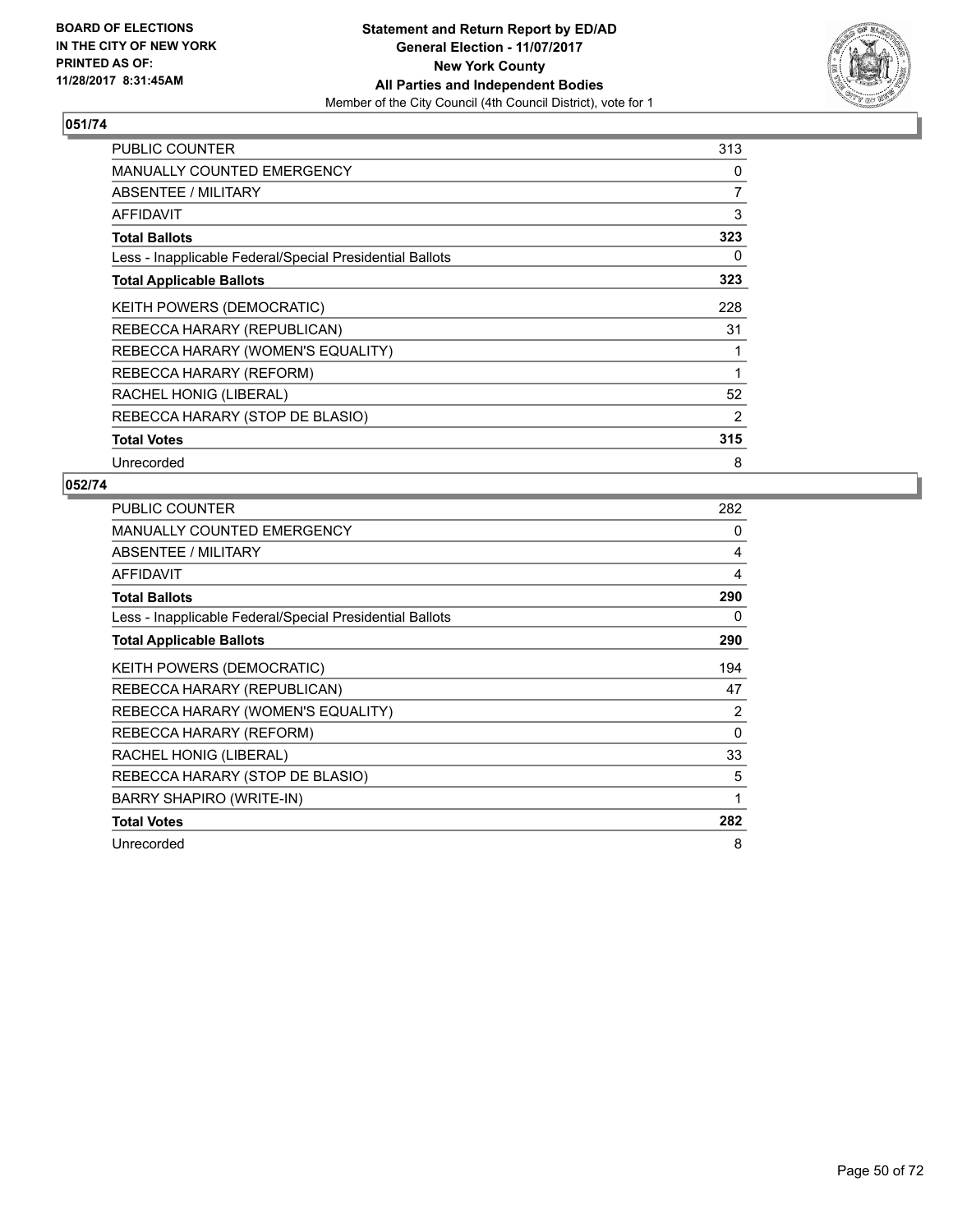

| <b>PUBLIC COUNTER</b>                                    | 313 |
|----------------------------------------------------------|-----|
| <b>MANUALLY COUNTED EMERGENCY</b>                        | 0   |
| ABSENTEE / MILITARY                                      | 7   |
| <b>AFFIDAVIT</b>                                         | 3   |
| <b>Total Ballots</b>                                     | 323 |
| Less - Inapplicable Federal/Special Presidential Ballots | 0   |
| <b>Total Applicable Ballots</b>                          | 323 |
| KEITH POWERS (DEMOCRATIC)                                | 228 |
| REBECCA HARARY (REPUBLICAN)                              | 31  |
| REBECCA HARARY (WOMEN'S EQUALITY)                        | 1   |
| REBECCA HARARY (REFORM)                                  | 1   |
| RACHEL HONIG (LIBERAL)                                   | 52  |
| REBECCA HARARY (STOP DE BLASIO)                          | 2   |
| <b>Total Votes</b>                                       | 315 |
| Unrecorded                                               | 8   |

| <b>PUBLIC COUNTER</b>                                    | 282 |
|----------------------------------------------------------|-----|
| <b>MANUALLY COUNTED EMERGENCY</b>                        | 0   |
| ABSENTEE / MILITARY                                      | 4   |
| AFFIDAVIT                                                | 4   |
| <b>Total Ballots</b>                                     | 290 |
| Less - Inapplicable Federal/Special Presidential Ballots | 0   |
| <b>Total Applicable Ballots</b>                          | 290 |
| <b>KEITH POWERS (DEMOCRATIC)</b>                         | 194 |
| REBECCA HARARY (REPUBLICAN)                              | 47  |
| REBECCA HARARY (WOMEN'S EQUALITY)                        | 2   |
| REBECCA HARARY (REFORM)                                  | 0   |
| RACHEL HONIG (LIBERAL)                                   | 33  |
| REBECCA HARARY (STOP DE BLASIO)                          | 5   |
| <b>BARRY SHAPIRO (WRITE-IN)</b>                          | 1   |
| <b>Total Votes</b>                                       | 282 |
| Unrecorded                                               | 8   |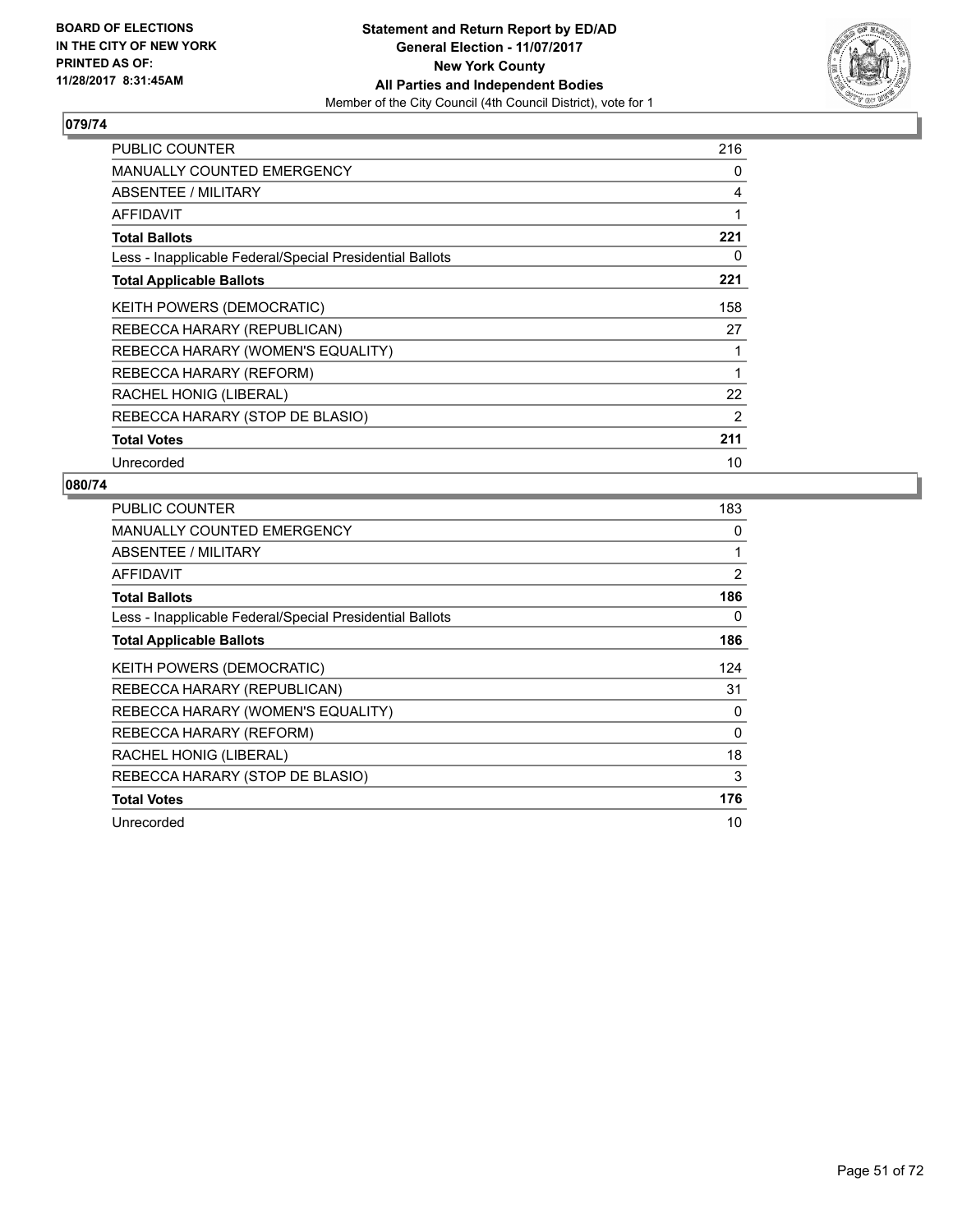

| <b>PUBLIC COUNTER</b>                                    | 216 |
|----------------------------------------------------------|-----|
| <b>MANUALLY COUNTED EMERGENCY</b>                        | 0   |
| ABSENTEE / MILITARY                                      | 4   |
| <b>AFFIDAVIT</b>                                         | 1   |
| <b>Total Ballots</b>                                     | 221 |
| Less - Inapplicable Federal/Special Presidential Ballots | 0   |
| <b>Total Applicable Ballots</b>                          | 221 |
| KEITH POWERS (DEMOCRATIC)                                | 158 |
| REBECCA HARARY (REPUBLICAN)                              | 27  |
| REBECCA HARARY (WOMEN'S EQUALITY)                        | 1   |
| REBECCA HARARY (REFORM)                                  | 1   |
| RACHEL HONIG (LIBERAL)                                   | 22  |
| REBECCA HARARY (STOP DE BLASIO)                          | 2   |
| <b>Total Votes</b>                                       | 211 |
| Unrecorded                                               | 10  |

| <b>PUBLIC COUNTER</b>                                    | 183      |
|----------------------------------------------------------|----------|
| <b>MANUALLY COUNTED EMERGENCY</b>                        | 0        |
| ABSENTEE / MILITARY                                      |          |
| AFFIDAVIT                                                | 2        |
| <b>Total Ballots</b>                                     | 186      |
| Less - Inapplicable Federal/Special Presidential Ballots | 0        |
| <b>Total Applicable Ballots</b>                          | 186      |
| <b>KEITH POWERS (DEMOCRATIC)</b>                         | 124      |
| REBECCA HARARY (REPUBLICAN)                              | 31       |
| REBECCA HARARY (WOMEN'S EQUALITY)                        | 0        |
| REBECCA HARARY (REFORM)                                  | $\Omega$ |
| RACHEL HONIG (LIBERAL)                                   | 18       |
| REBECCA HARARY (STOP DE BLASIO)                          | 3        |
| <b>Total Votes</b>                                       | 176      |
| Unrecorded                                               | 10       |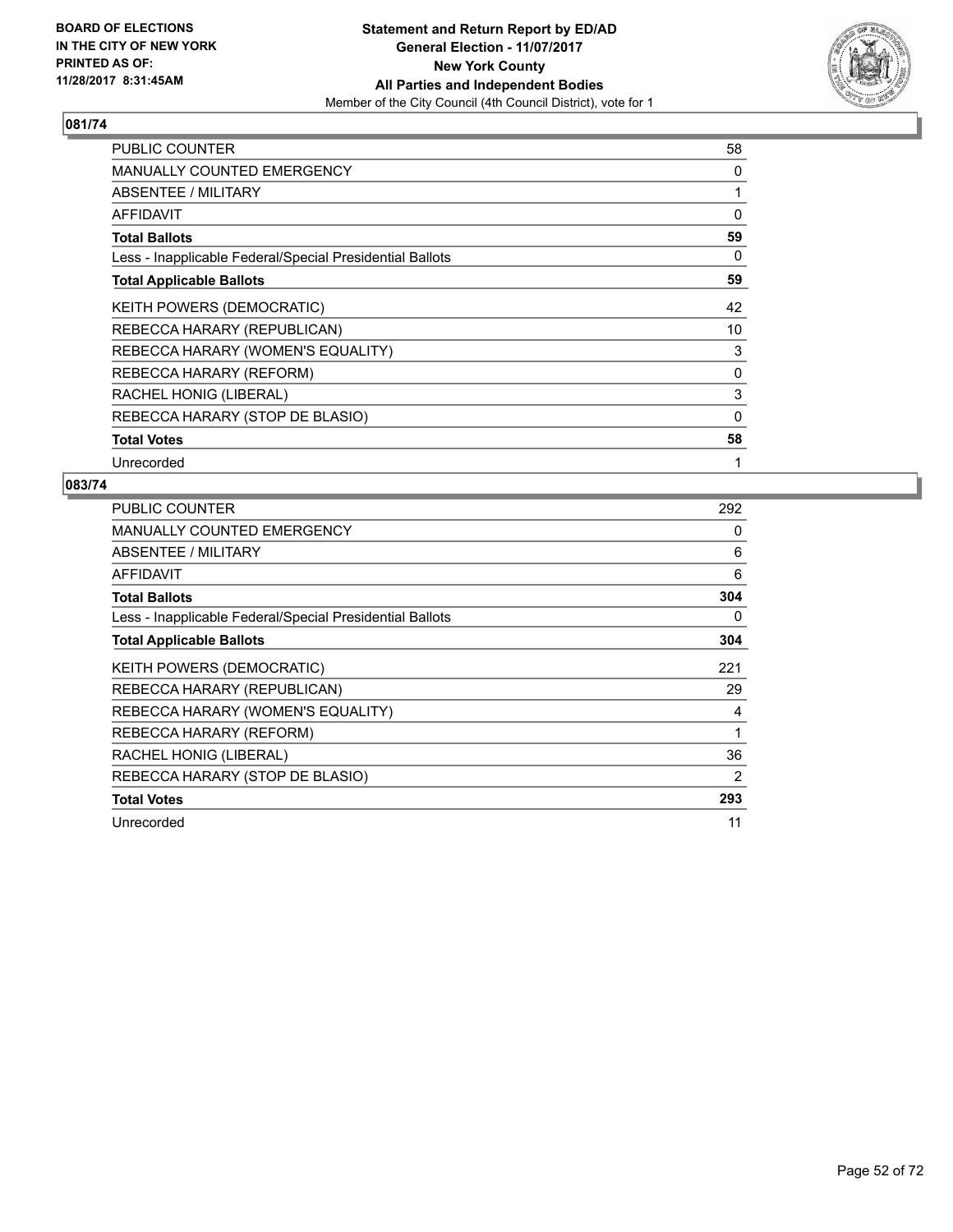

| <b>PUBLIC COUNTER</b>                                    | 58       |
|----------------------------------------------------------|----------|
| MANUALLY COUNTED EMERGENCY                               | 0        |
| ABSENTEE / MILITARY                                      |          |
| AFFIDAVIT                                                | $\Omega$ |
| <b>Total Ballots</b>                                     | 59       |
| Less - Inapplicable Federal/Special Presidential Ballots | 0        |
| <b>Total Applicable Ballots</b>                          | 59       |
| KEITH POWERS (DEMOCRATIC)                                | 42       |
| REBECCA HARARY (REPUBLICAN)                              | 10       |
| REBECCA HARARY (WOMEN'S EQUALITY)                        | 3        |
| REBECCA HARARY (REFORM)                                  | 0        |
| RACHEL HONIG (LIBERAL)                                   | 3        |
| REBECCA HARARY (STOP DE BLASIO)                          | 0        |
| <b>Total Votes</b>                                       | 58       |
| Unrecorded                                               | 1        |

| <b>PUBLIC COUNTER</b>                                    | 292 |
|----------------------------------------------------------|-----|
| <b>MANUALLY COUNTED EMERGENCY</b>                        | 0   |
| ABSENTEE / MILITARY                                      | 6   |
| AFFIDAVIT                                                | 6   |
| <b>Total Ballots</b>                                     | 304 |
| Less - Inapplicable Federal/Special Presidential Ballots | 0   |
| <b>Total Applicable Ballots</b>                          | 304 |
| <b>KEITH POWERS (DEMOCRATIC)</b>                         | 221 |
| REBECCA HARARY (REPUBLICAN)                              | 29  |
| REBECCA HARARY (WOMEN'S EQUALITY)                        | 4   |
| REBECCA HARARY (REFORM)                                  | 1   |
| RACHEL HONIG (LIBERAL)                                   | 36  |
| REBECCA HARARY (STOP DE BLASIO)                          | 2   |
| <b>Total Votes</b>                                       | 293 |
| Unrecorded                                               | 11  |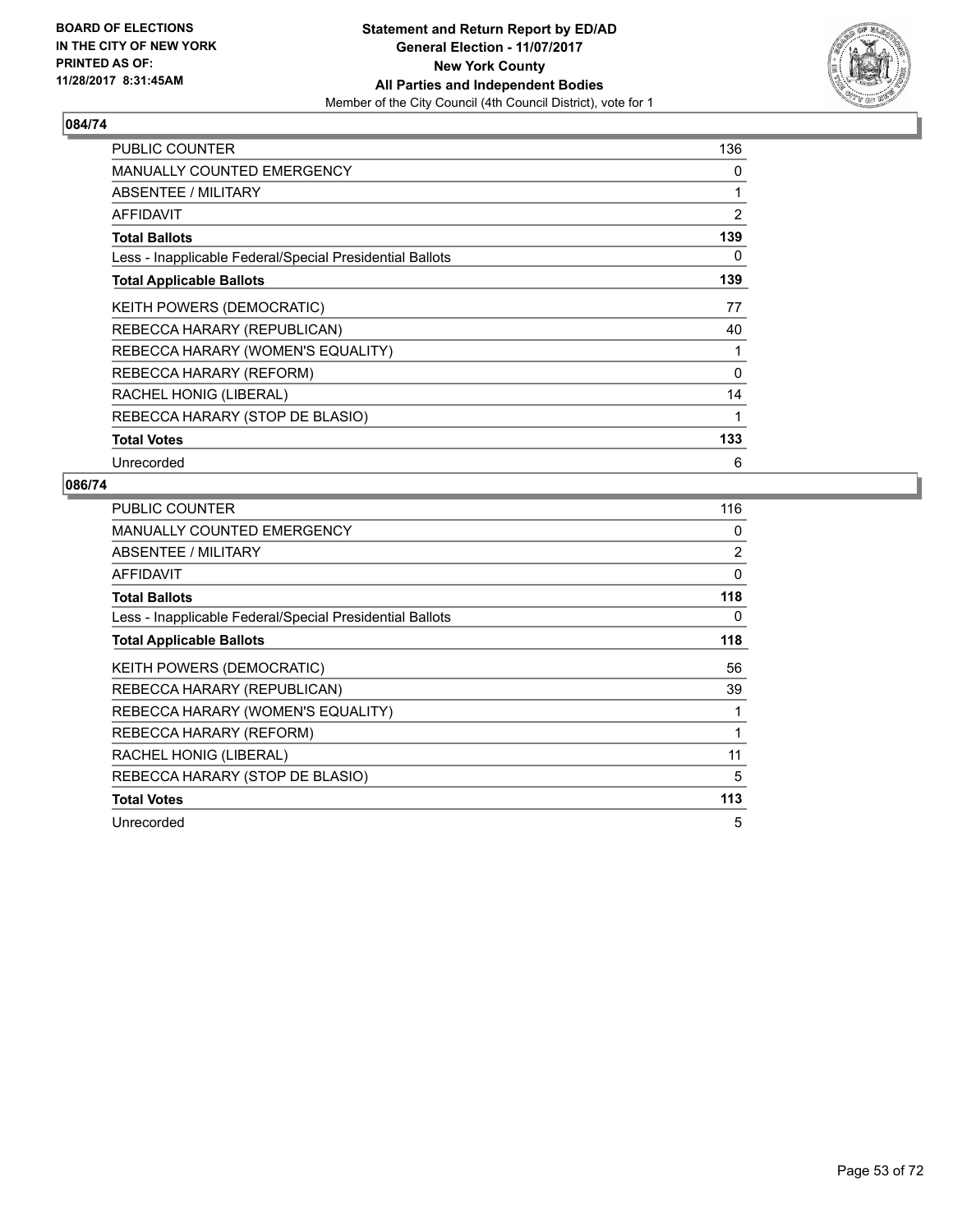

| <b>PUBLIC COUNTER</b>                                    | 136 |
|----------------------------------------------------------|-----|
| <b>MANUALLY COUNTED EMERGENCY</b>                        | 0   |
| ABSENTEE / MILITARY                                      | 1   |
| <b>AFFIDAVIT</b>                                         | 2   |
| <b>Total Ballots</b>                                     | 139 |
| Less - Inapplicable Federal/Special Presidential Ballots | 0   |
| <b>Total Applicable Ballots</b>                          | 139 |
| KEITH POWERS (DEMOCRATIC)                                | 77  |
| REBECCA HARARY (REPUBLICAN)                              | 40  |
| REBECCA HARARY (WOMEN'S EQUALITY)                        | 1   |
| REBECCA HARARY (REFORM)                                  | 0   |
| RACHEL HONIG (LIBERAL)                                   | 14  |
| REBECCA HARARY (STOP DE BLASIO)                          | 1   |
| <b>Total Votes</b>                                       | 133 |
| Unrecorded                                               | 6   |

| <b>PUBLIC COUNTER</b>                                    | 116 |
|----------------------------------------------------------|-----|
| <b>MANUALLY COUNTED EMERGENCY</b>                        | 0   |
| <b>ABSENTEE / MILITARY</b>                               | 2   |
| <b>AFFIDAVIT</b>                                         | 0   |
| <b>Total Ballots</b>                                     | 118 |
| Less - Inapplicable Federal/Special Presidential Ballots | 0   |
| <b>Total Applicable Ballots</b>                          | 118 |
| KEITH POWERS (DEMOCRATIC)                                | 56  |
| REBECCA HARARY (REPUBLICAN)                              | 39  |
| REBECCA HARARY (WOMEN'S EQUALITY)                        | 1   |
| REBECCA HARARY (REFORM)                                  | 1   |
| RACHEL HONIG (LIBERAL)                                   | 11  |
| REBECCA HARARY (STOP DE BLASIO)                          | 5   |
| <b>Total Votes</b>                                       | 113 |
| Unrecorded                                               | 5   |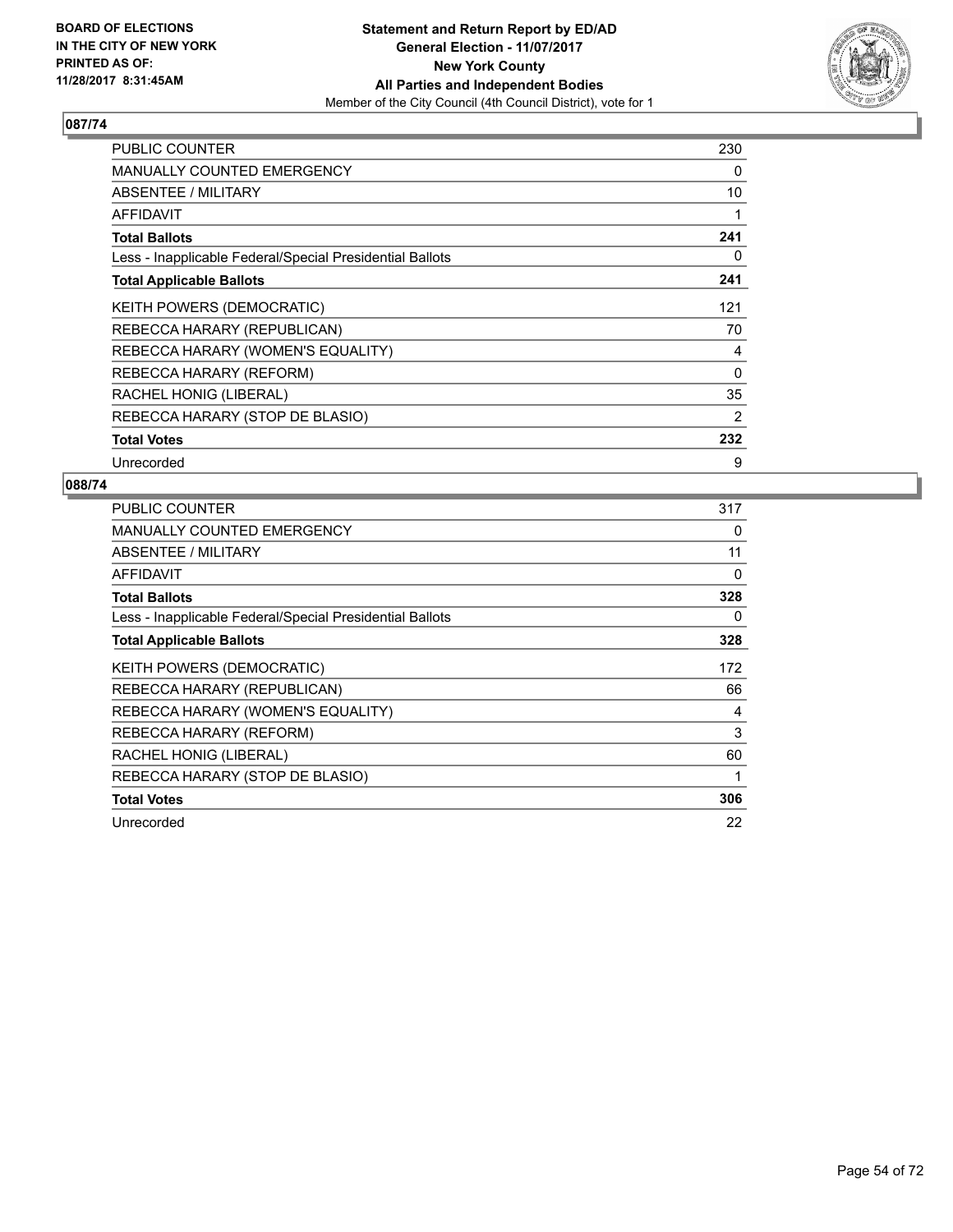

| <b>PUBLIC COUNTER</b>                                    | 230 |
|----------------------------------------------------------|-----|
| <b>MANUALLY COUNTED EMERGENCY</b>                        | 0   |
| <b>ABSENTEE / MILITARY</b>                               | 10  |
| <b>AFFIDAVIT</b>                                         |     |
| <b>Total Ballots</b>                                     | 241 |
| Less - Inapplicable Federal/Special Presidential Ballots | 0   |
| <b>Total Applicable Ballots</b>                          | 241 |
| KEITH POWERS (DEMOCRATIC)                                | 121 |
| REBECCA HARARY (REPUBLICAN)                              | 70  |
| REBECCA HARARY (WOMEN'S EQUALITY)                        | 4   |
| REBECCA HARARY (REFORM)                                  | 0   |
| RACHEL HONIG (LIBERAL)                                   | 35  |
| REBECCA HARARY (STOP DE BLASIO)                          | 2   |
| <b>Total Votes</b>                                       | 232 |
| Unrecorded                                               | 9   |

| <b>PUBLIC COUNTER</b>                                    | 317 |
|----------------------------------------------------------|-----|
| <b>MANUALLY COUNTED EMERGENCY</b>                        | 0   |
| ABSENTEE / MILITARY                                      | 11  |
| AFFIDAVIT                                                | 0   |
| <b>Total Ballots</b>                                     | 328 |
| Less - Inapplicable Federal/Special Presidential Ballots | 0   |
| <b>Total Applicable Ballots</b>                          | 328 |
| <b>KEITH POWERS (DEMOCRATIC)</b>                         | 172 |
| REBECCA HARARY (REPUBLICAN)                              | 66  |
| REBECCA HARARY (WOMEN'S EQUALITY)                        | 4   |
| REBECCA HARARY (REFORM)                                  | 3   |
| RACHEL HONIG (LIBERAL)                                   | 60  |
| REBECCA HARARY (STOP DE BLASIO)                          | 1   |
| <b>Total Votes</b>                                       | 306 |
| Unrecorded                                               | 22  |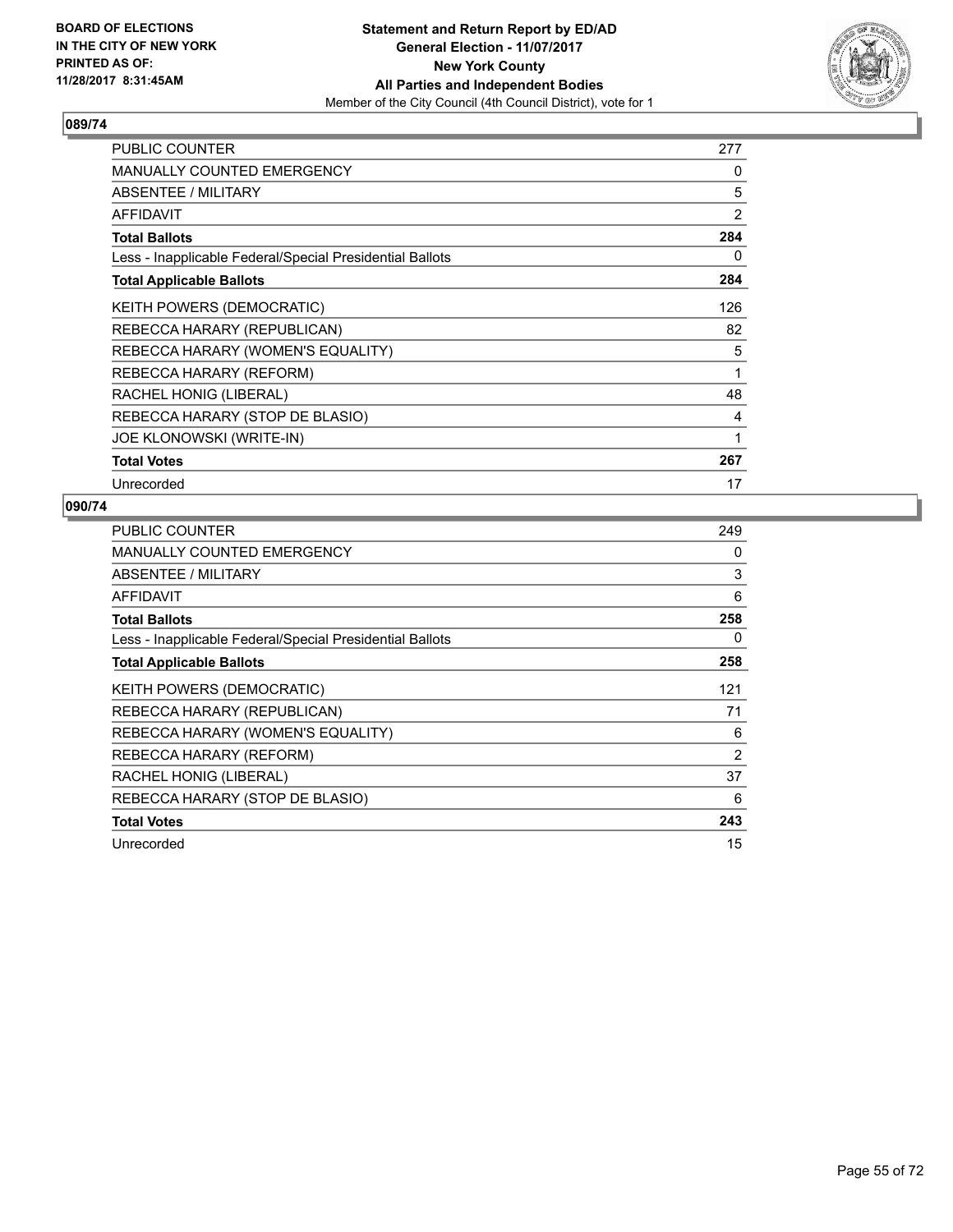

| PUBLIC COUNTER                                           | 277 |
|----------------------------------------------------------|-----|
| <b>MANUALLY COUNTED EMERGENCY</b>                        | 0   |
| ABSENTEE / MILITARY                                      | 5   |
| AFFIDAVIT                                                | 2   |
| <b>Total Ballots</b>                                     | 284 |
| Less - Inapplicable Federal/Special Presidential Ballots | 0   |
| <b>Total Applicable Ballots</b>                          | 284 |
| <b>KEITH POWERS (DEMOCRATIC)</b>                         | 126 |
| REBECCA HARARY (REPUBLICAN)                              | 82  |
| REBECCA HARARY (WOMEN'S EQUALITY)                        | 5   |
| REBECCA HARARY (REFORM)                                  | 1   |
| RACHEL HONIG (LIBERAL)                                   | 48  |
| REBECCA HARARY (STOP DE BLASIO)                          | 4   |
| JOE KLONOWSKI (WRITE-IN)                                 | 1   |
| <b>Total Votes</b>                                       | 267 |
| Unrecorded                                               | 17  |

| <b>PUBLIC COUNTER</b>                                    | 249            |
|----------------------------------------------------------|----------------|
| MANUALLY COUNTED EMERGENCY                               | 0              |
| ABSENTEE / MILITARY                                      | 3              |
| AFFIDAVIT                                                | 6              |
| <b>Total Ballots</b>                                     | 258            |
| Less - Inapplicable Federal/Special Presidential Ballots | 0              |
| <b>Total Applicable Ballots</b>                          | 258            |
| KEITH POWERS (DEMOCRATIC)                                | 121            |
| REBECCA HARARY (REPUBLICAN)                              | 71             |
| REBECCA HARARY (WOMEN'S EQUALITY)                        | 6              |
| REBECCA HARARY (REFORM)                                  | $\overline{2}$ |
| RACHEL HONIG (LIBERAL)                                   | 37             |
| REBECCA HARARY (STOP DE BLASIO)                          | 6              |
| <b>Total Votes</b>                                       | 243            |
| Unrecorded                                               | 15             |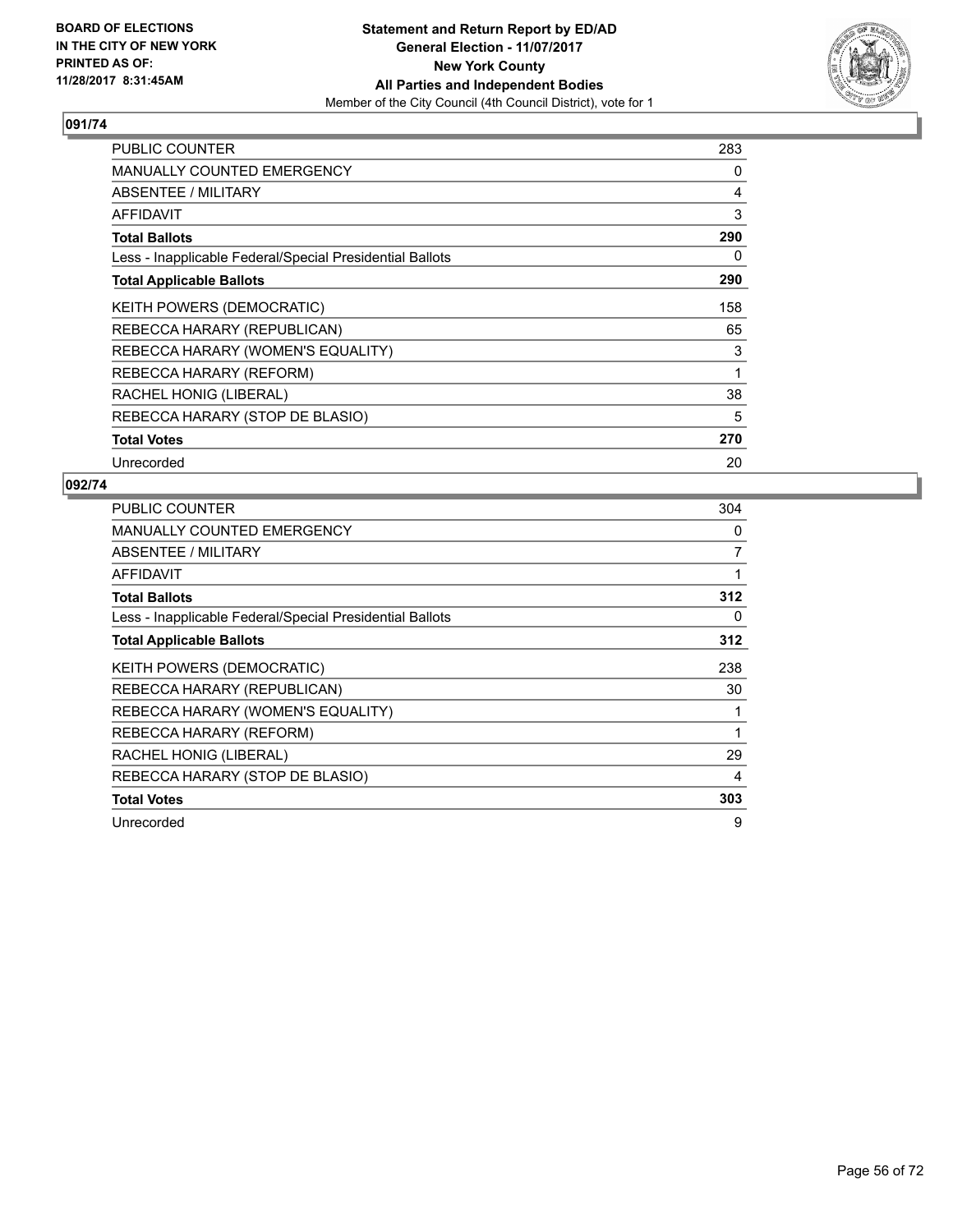

| <b>PUBLIC COUNTER</b>                                    | 283 |
|----------------------------------------------------------|-----|
| <b>MANUALLY COUNTED EMERGENCY</b>                        | 0   |
| ABSENTEE / MILITARY                                      | 4   |
| <b>AFFIDAVIT</b>                                         | 3   |
| <b>Total Ballots</b>                                     | 290 |
| Less - Inapplicable Federal/Special Presidential Ballots | 0   |
| <b>Total Applicable Ballots</b>                          | 290 |
| KEITH POWERS (DEMOCRATIC)                                | 158 |
| REBECCA HARARY (REPUBLICAN)                              | 65  |
| REBECCA HARARY (WOMEN'S EQUALITY)                        | 3   |
| REBECCA HARARY (REFORM)                                  | 1   |
| RACHEL HONIG (LIBERAL)                                   | 38  |
| REBECCA HARARY (STOP DE BLASIO)                          | 5   |
| <b>Total Votes</b>                                       | 270 |
| Unrecorded                                               | 20  |

| <b>PUBLIC COUNTER</b>                                    | 304 |
|----------------------------------------------------------|-----|
| <b>MANUALLY COUNTED EMERGENCY</b>                        | 0   |
| ABSENTEE / MILITARY                                      | 7   |
| AFFIDAVIT                                                |     |
| <b>Total Ballots</b>                                     | 312 |
| Less - Inapplicable Federal/Special Presidential Ballots | 0   |
| <b>Total Applicable Ballots</b>                          | 312 |
| <b>KEITH POWERS (DEMOCRATIC)</b>                         | 238 |
| REBECCA HARARY (REPUBLICAN)                              | 30  |
| REBECCA HARARY (WOMEN'S EQUALITY)                        |     |
| REBECCA HARARY (REFORM)                                  | 1   |
| RACHEL HONIG (LIBERAL)                                   | 29  |
| REBECCA HARARY (STOP DE BLASIO)                          | 4   |
| <b>Total Votes</b>                                       | 303 |
| Unrecorded                                               | 9   |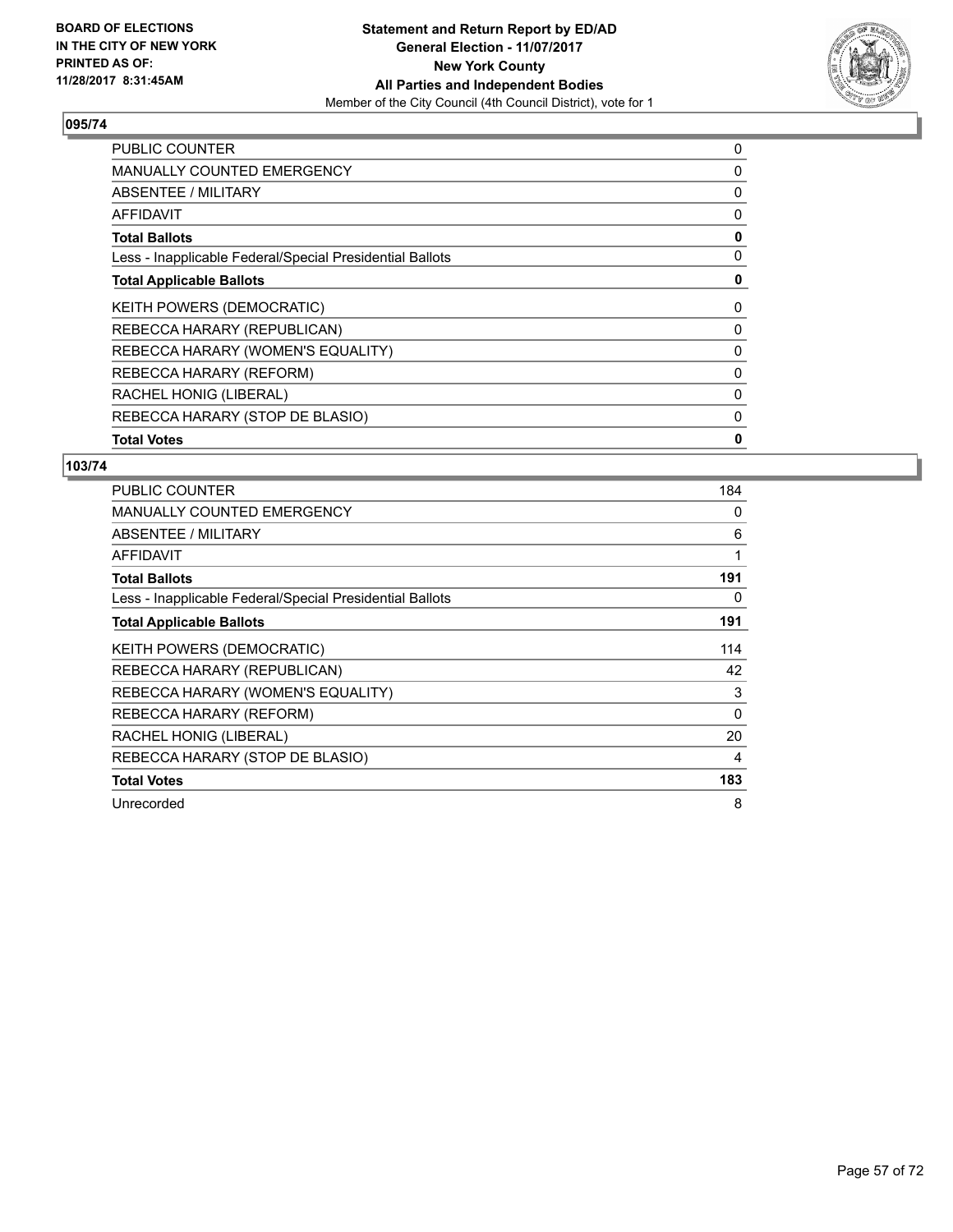

| <b>PUBLIC COUNTER</b>                                    | 0 |
|----------------------------------------------------------|---|
| <b>MANUALLY COUNTED EMERGENCY</b>                        | 0 |
| <b>ABSENTEE / MILITARY</b>                               | 0 |
| AFFIDAVIT                                                | 0 |
| <b>Total Ballots</b>                                     | 0 |
| Less - Inapplicable Federal/Special Presidential Ballots | 0 |
| <b>Total Applicable Ballots</b>                          | 0 |
| <b>KEITH POWERS (DEMOCRATIC)</b>                         | 0 |
| REBECCA HARARY (REPUBLICAN)                              | 0 |
| REBECCA HARARY (WOMEN'S EQUALITY)                        | 0 |
| REBECCA HARARY (REFORM)                                  | 0 |
| RACHEL HONIG (LIBERAL)                                   | 0 |
| REBECCA HARARY (STOP DE BLASIO)                          | 0 |
| <b>Total Votes</b>                                       | 0 |

| <b>PUBLIC COUNTER</b>                                    | 184      |
|----------------------------------------------------------|----------|
| <b>MANUALLY COUNTED EMERGENCY</b>                        | 0        |
| <b>ABSENTEE / MILITARY</b>                               | 6        |
| <b>AFFIDAVIT</b>                                         | 1        |
| <b>Total Ballots</b>                                     | 191      |
| Less - Inapplicable Federal/Special Presidential Ballots | 0        |
| <b>Total Applicable Ballots</b>                          | 191      |
| <b>KEITH POWERS (DEMOCRATIC)</b>                         | 114      |
| REBECCA HARARY (REPUBLICAN)                              | 42       |
| REBECCA HARARY (WOMEN'S EQUALITY)                        | 3        |
| REBECCA HARARY (REFORM)                                  | $\Omega$ |
| RACHEL HONIG (LIBERAL)                                   | 20       |
| REBECCA HARARY (STOP DE BLASIO)                          | 4        |
| <b>Total Votes</b>                                       | 183      |
| Unrecorded                                               | 8        |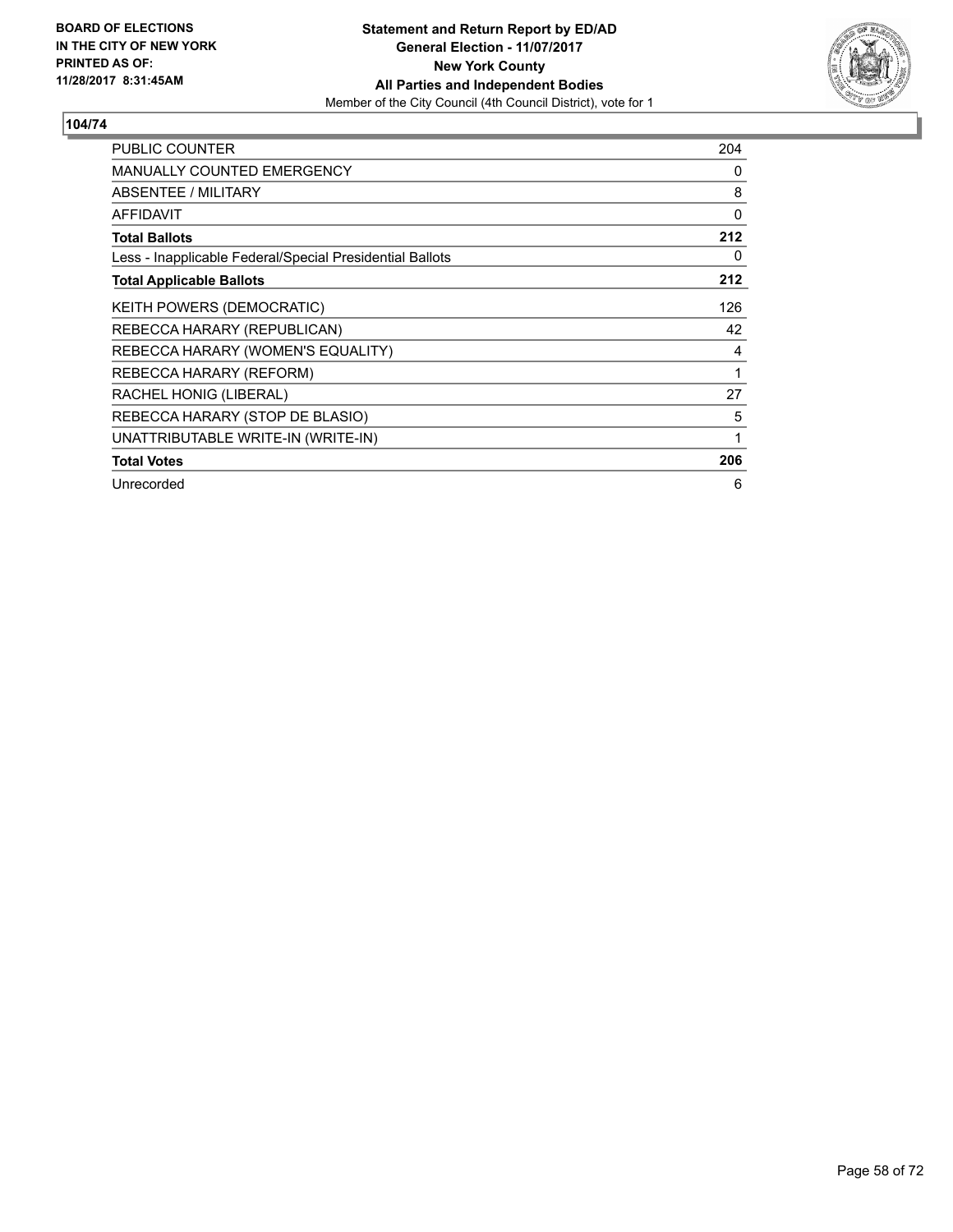

| <b>PUBLIC COUNTER</b>                                    | 204 |
|----------------------------------------------------------|-----|
| <b>MANUALLY COUNTED EMERGENCY</b>                        | 0   |
| <b>ABSENTEE / MILITARY</b>                               | 8   |
| <b>AFFIDAVIT</b>                                         | 0   |
| <b>Total Ballots</b>                                     | 212 |
| Less - Inapplicable Federal/Special Presidential Ballots | 0   |
| <b>Total Applicable Ballots</b>                          | 212 |
| KEITH POWERS (DEMOCRATIC)                                | 126 |
| REBECCA HARARY (REPUBLICAN)                              | 42  |
| REBECCA HARARY (WOMEN'S EQUALITY)                        | 4   |
| REBECCA HARARY (REFORM)                                  | 1   |
| RACHEL HONIG (LIBERAL)                                   | 27  |
| REBECCA HARARY (STOP DE BLASIO)                          | 5   |
| UNATTRIBUTABLE WRITE-IN (WRITE-IN)                       | 1   |
| <b>Total Votes</b>                                       | 206 |
| Unrecorded                                               | 6   |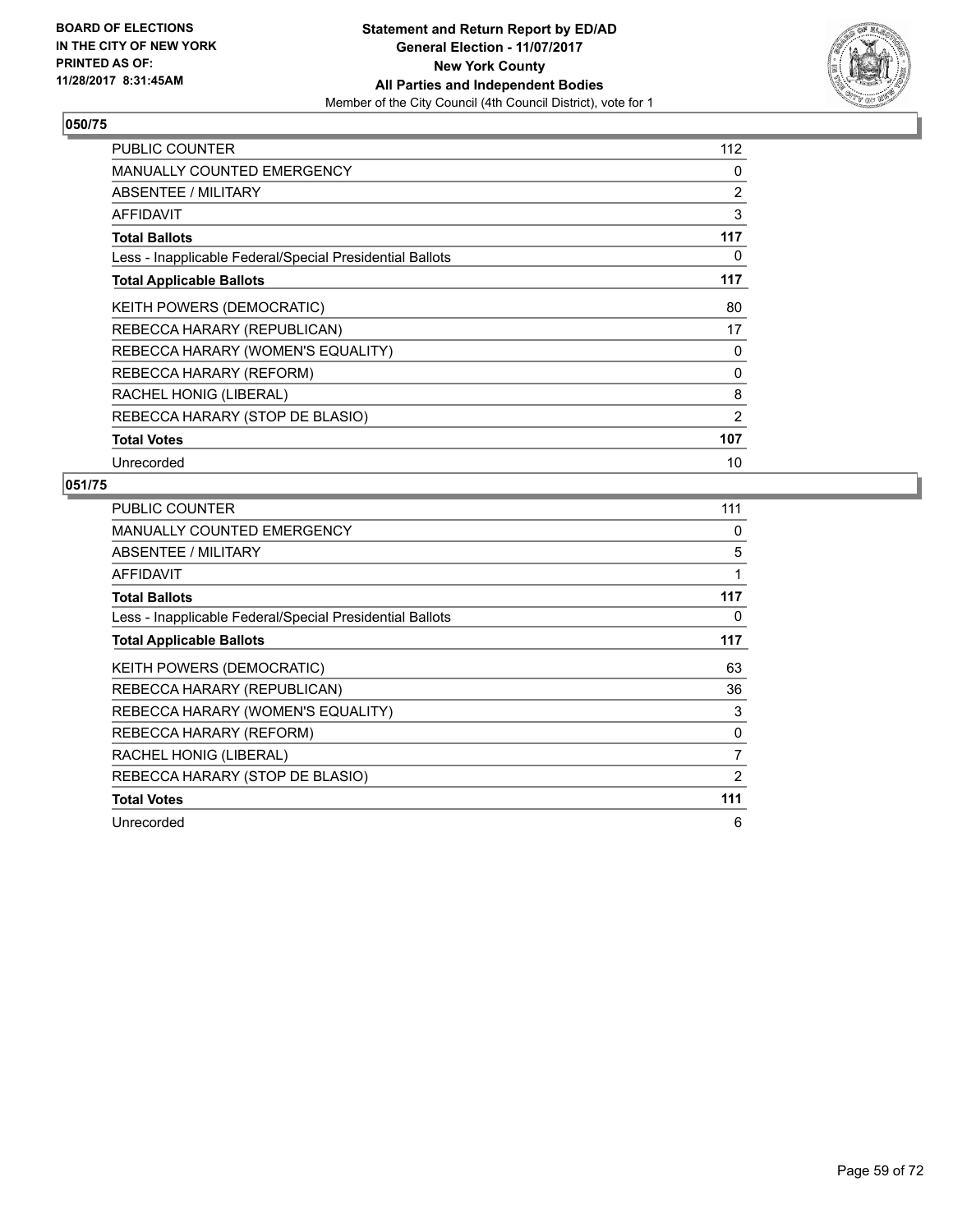

| <b>PUBLIC COUNTER</b>                                    | 112 |
|----------------------------------------------------------|-----|
| <b>MANUALLY COUNTED EMERGENCY</b>                        | 0   |
| <b>ABSENTEE / MILITARY</b>                               | 2   |
| <b>AFFIDAVIT</b>                                         | 3   |
| <b>Total Ballots</b>                                     | 117 |
| Less - Inapplicable Federal/Special Presidential Ballots | 0   |
| <b>Total Applicable Ballots</b>                          | 117 |
| <b>KEITH POWERS (DEMOCRATIC)</b>                         | 80  |
| REBECCA HARARY (REPUBLICAN)                              | 17  |
| REBECCA HARARY (WOMEN'S EQUALITY)                        | 0   |
| REBECCA HARARY (REFORM)                                  | 0   |
| RACHEL HONIG (LIBERAL)                                   | 8   |
| REBECCA HARARY (STOP DE BLASIO)                          | 2   |
| <b>Total Votes</b>                                       | 107 |
| Unrecorded                                               | 10  |

| <b>PUBLIC COUNTER</b>                                    | 111 |
|----------------------------------------------------------|-----|
| <b>MANUALLY COUNTED EMERGENCY</b>                        | 0   |
| ABSENTEE / MILITARY                                      | 5   |
| AFFIDAVIT                                                | 1   |
| <b>Total Ballots</b>                                     | 117 |
| Less - Inapplicable Federal/Special Presidential Ballots | 0   |
| <b>Total Applicable Ballots</b>                          | 117 |
| <b>KEITH POWERS (DEMOCRATIC)</b>                         | 63  |
| REBECCA HARARY (REPUBLICAN)                              | 36  |
| REBECCA HARARY (WOMEN'S EQUALITY)                        | 3   |
| REBECCA HARARY (REFORM)                                  | 0   |
| RACHEL HONIG (LIBERAL)                                   | 7   |
| REBECCA HARARY (STOP DE BLASIO)                          | 2   |
| <b>Total Votes</b>                                       | 111 |
| Unrecorded                                               | 6   |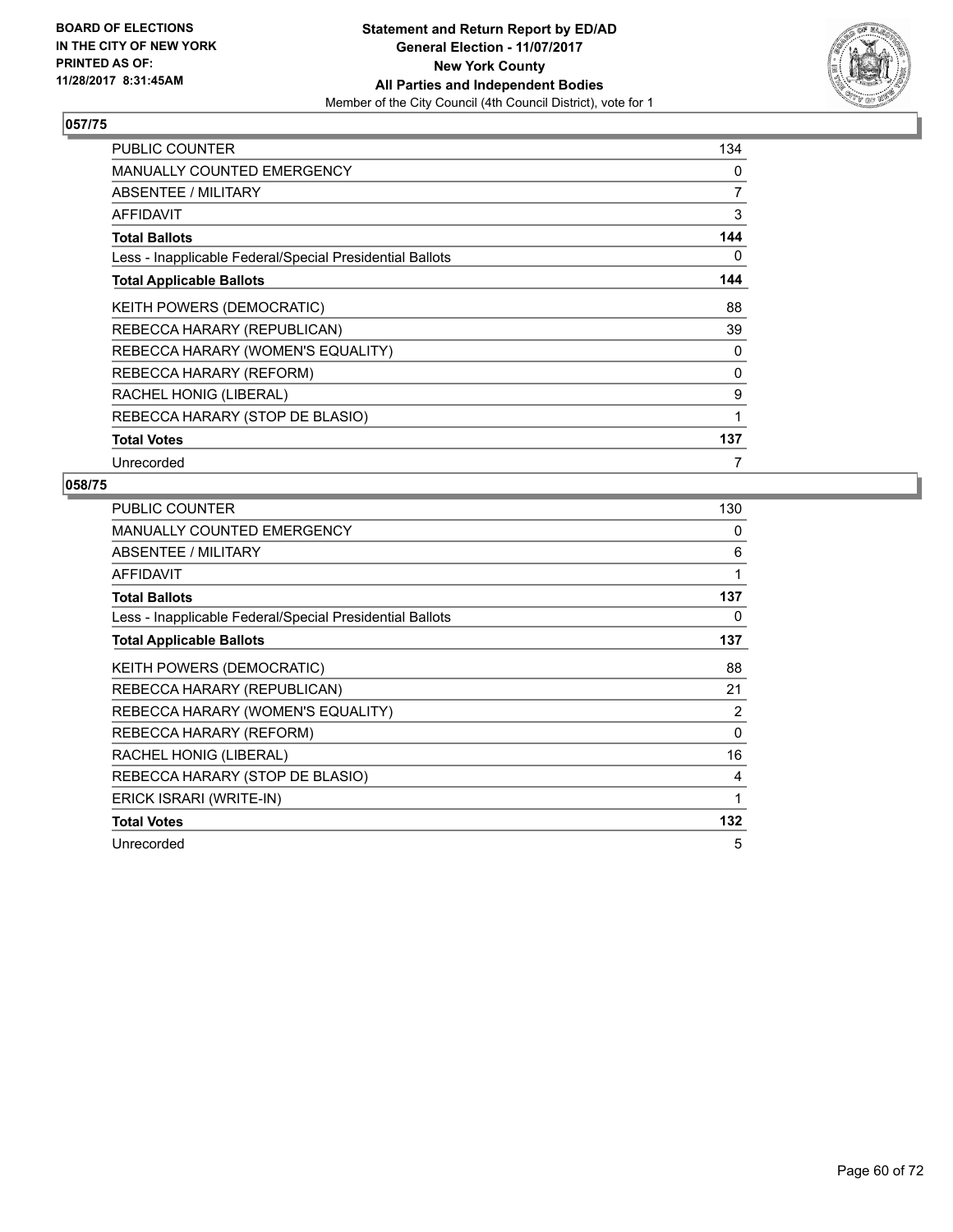

| <b>PUBLIC COUNTER</b>                                    | 134 |
|----------------------------------------------------------|-----|
| <b>MANUALLY COUNTED EMERGENCY</b>                        | 0   |
| ABSENTEE / MILITARY                                      | 7   |
| <b>AFFIDAVIT</b>                                         | 3   |
| <b>Total Ballots</b>                                     | 144 |
| Less - Inapplicable Federal/Special Presidential Ballots | 0   |
| <b>Total Applicable Ballots</b>                          | 144 |
| KEITH POWERS (DEMOCRATIC)                                | 88  |
| REBECCA HARARY (REPUBLICAN)                              | 39  |
| REBECCA HARARY (WOMEN'S EQUALITY)                        | 0   |
| REBECCA HARARY (REFORM)                                  | 0   |
| RACHEL HONIG (LIBERAL)                                   | 9   |
| REBECCA HARARY (STOP DE BLASIO)                          | 1   |
| <b>Total Votes</b>                                       | 137 |
| Unrecorded                                               | 7   |

| <b>PUBLIC COUNTER</b>                                    | 130      |
|----------------------------------------------------------|----------|
| MANUALLY COUNTED EMERGENCY                               | 0        |
| ABSENTEE / MILITARY                                      | 6        |
| <b>AFFIDAVIT</b>                                         | 1        |
| <b>Total Ballots</b>                                     | 137      |
| Less - Inapplicable Federal/Special Presidential Ballots | 0        |
| <b>Total Applicable Ballots</b>                          | 137      |
| <b>KEITH POWERS (DEMOCRATIC)</b>                         | 88       |
| REBECCA HARARY (REPUBLICAN)                              | 21       |
| REBECCA HARARY (WOMEN'S EQUALITY)                        | 2        |
| REBECCA HARARY (REFORM)                                  | $\Omega$ |
| RACHEL HONIG (LIBERAL)                                   | 16       |
| REBECCA HARARY (STOP DE BLASIO)                          | 4        |
| ERICK ISRARI (WRITE-IN)                                  | 1        |
| <b>Total Votes</b>                                       | 132      |
| Unrecorded                                               | 5        |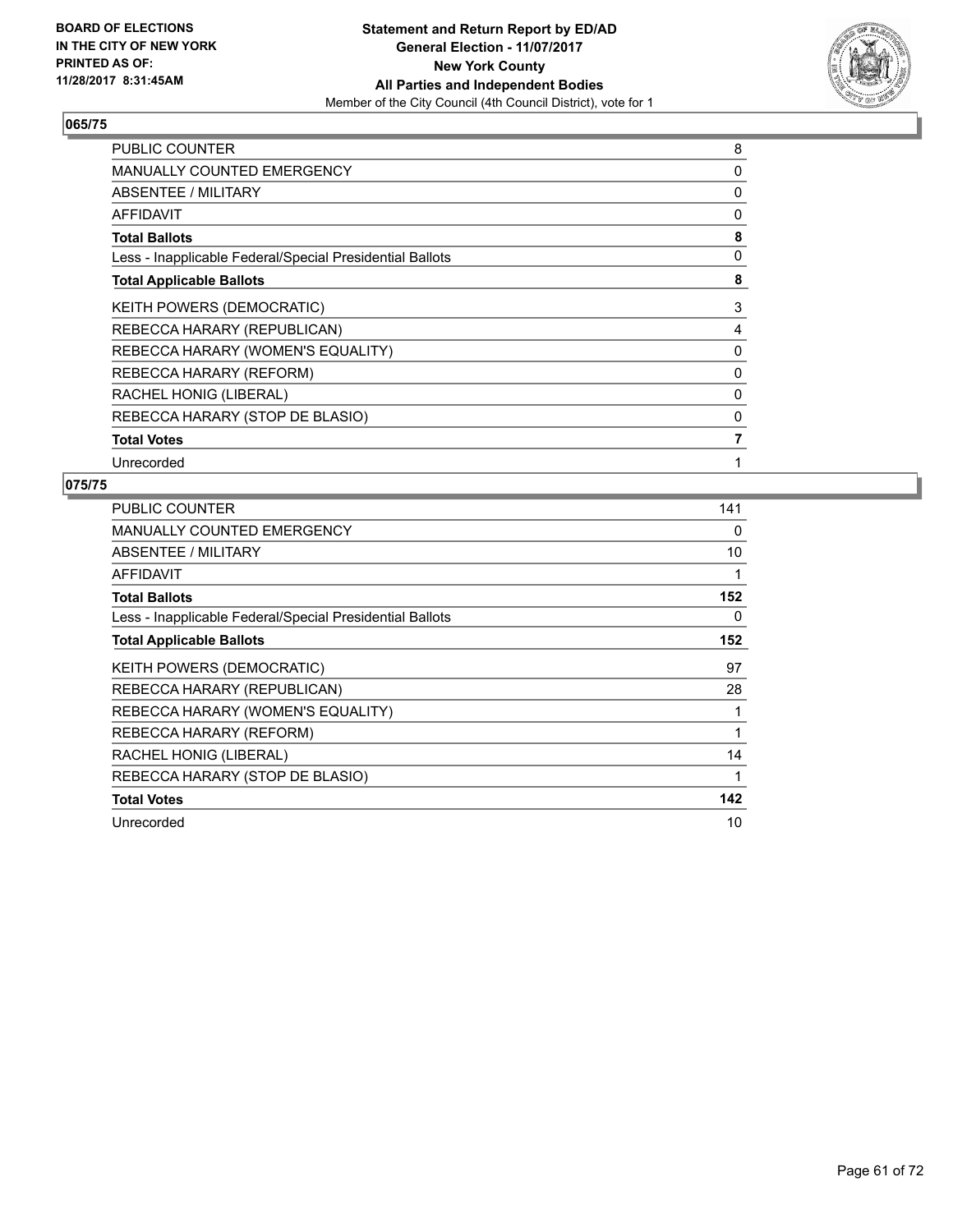

| <b>PUBLIC COUNTER</b>                                    | 8 |
|----------------------------------------------------------|---|
| <b>MANUALLY COUNTED EMERGENCY</b>                        | 0 |
| ABSENTEE / MILITARY                                      | 0 |
| <b>AFFIDAVIT</b>                                         | 0 |
| <b>Total Ballots</b>                                     | 8 |
| Less - Inapplicable Federal/Special Presidential Ballots | 0 |
| <b>Total Applicable Ballots</b>                          | 8 |
| KEITH POWERS (DEMOCRATIC)                                | 3 |
| REBECCA HARARY (REPUBLICAN)                              | 4 |
| REBECCA HARARY (WOMEN'S EQUALITY)                        | 0 |
| REBECCA HARARY (REFORM)                                  | 0 |
| RACHEL HONIG (LIBERAL)                                   | 0 |
| REBECCA HARARY (STOP DE BLASIO)                          | 0 |
| <b>Total Votes</b>                                       | 7 |
| Unrecorded                                               | 1 |

| PUBLIC COUNTER                                           | 141 |
|----------------------------------------------------------|-----|
| <b>MANUALLY COUNTED EMERGENCY</b>                        | 0   |
| ABSENTEE / MILITARY                                      | 10  |
| AFFIDAVIT                                                | 1   |
| <b>Total Ballots</b>                                     | 152 |
| Less - Inapplicable Federal/Special Presidential Ballots | 0   |
| <b>Total Applicable Ballots</b>                          | 152 |
| KEITH POWERS (DEMOCRATIC)                                | 97  |
| REBECCA HARARY (REPUBLICAN)                              | 28  |
| REBECCA HARARY (WOMEN'S EQUALITY)                        |     |
| REBECCA HARARY (REFORM)                                  | 1   |
| RACHEL HONIG (LIBERAL)                                   | 14  |
| REBECCA HARARY (STOP DE BLASIO)                          | 1   |
| <b>Total Votes</b>                                       | 142 |
| Unrecorded                                               | 10  |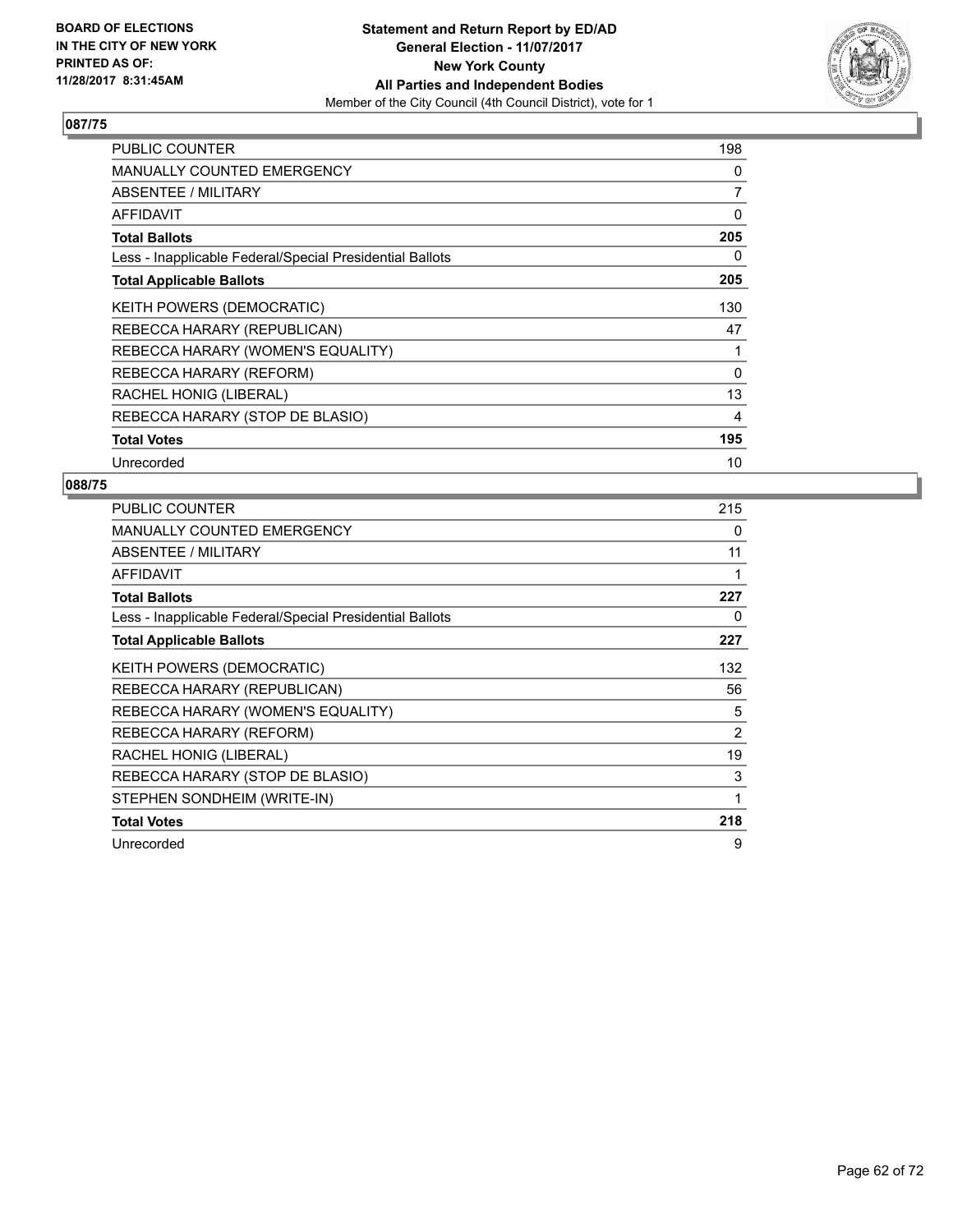

| <b>PUBLIC COUNTER</b>                                    | 198      |
|----------------------------------------------------------|----------|
| <b>MANUALLY COUNTED EMERGENCY</b>                        | 0        |
| ABSENTEE / MILITARY                                      | 7        |
| <b>AFFIDAVIT</b>                                         | 0        |
| <b>Total Ballots</b>                                     | 205      |
| Less - Inapplicable Federal/Special Presidential Ballots | 0        |
| <b>Total Applicable Ballots</b>                          | 205      |
| KEITH POWERS (DEMOCRATIC)                                | 130      |
| REBECCA HARARY (REPUBLICAN)                              | 47       |
| REBECCA HARARY (WOMEN'S EQUALITY)                        | 1        |
| REBECCA HARARY (REFORM)                                  | $\Omega$ |
| RACHEL HONIG (LIBERAL)                                   | 13       |
| REBECCA HARARY (STOP DE BLASIO)                          | 4        |
| <b>Total Votes</b>                                       | 195      |
| Unrecorded                                               | 10       |

| <b>PUBLIC COUNTER</b>                                    | 215 |
|----------------------------------------------------------|-----|
| <b>MANUALLY COUNTED EMERGENCY</b>                        | 0   |
| ABSENTEE / MILITARY                                      | 11  |
| AFFIDAVIT                                                |     |
| <b>Total Ballots</b>                                     | 227 |
| Less - Inapplicable Federal/Special Presidential Ballots | 0   |
| <b>Total Applicable Ballots</b>                          | 227 |
| <b>KEITH POWERS (DEMOCRATIC)</b>                         | 132 |
| REBECCA HARARY (REPUBLICAN)                              | 56  |
| REBECCA HARARY (WOMEN'S EQUALITY)                        | 5   |
| REBECCA HARARY (REFORM)                                  | 2   |
| RACHEL HONIG (LIBERAL)                                   | 19  |
| REBECCA HARARY (STOP DE BLASIO)                          | 3   |
| STEPHEN SONDHEIM (WRITE-IN)                              | 1   |
| <b>Total Votes</b>                                       | 218 |
| Unrecorded                                               | 9   |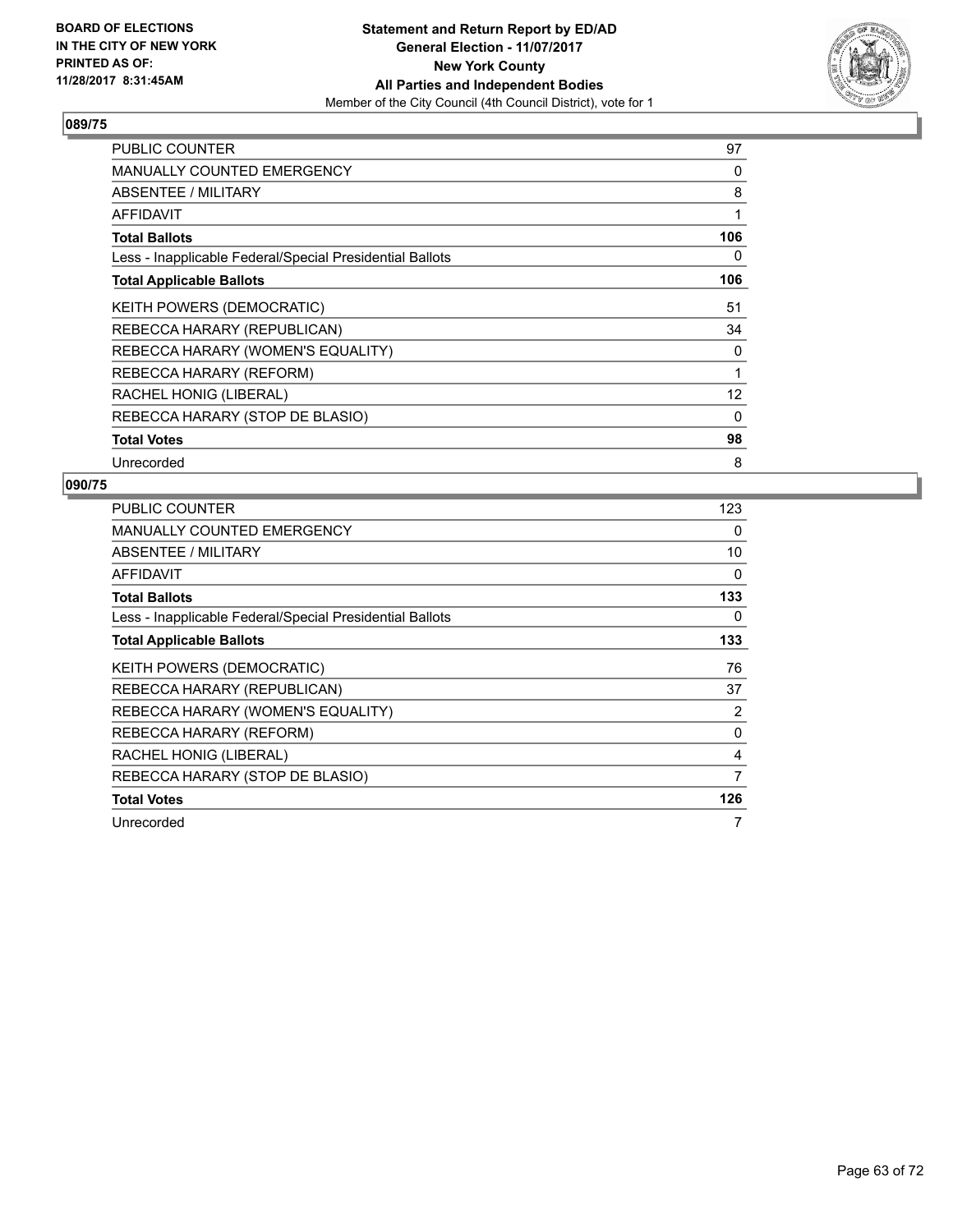

| <b>PUBLIC COUNTER</b>                                    | 97  |
|----------------------------------------------------------|-----|
| <b>MANUALLY COUNTED EMERGENCY</b>                        | 0   |
| ABSENTEE / MILITARY                                      | 8   |
| AFFIDAVIT                                                | 1   |
| <b>Total Ballots</b>                                     | 106 |
| Less - Inapplicable Federal/Special Presidential Ballots | 0   |
| <b>Total Applicable Ballots</b>                          | 106 |
| KEITH POWERS (DEMOCRATIC)                                | 51  |
| REBECCA HARARY (REPUBLICAN)                              | 34  |
| REBECCA HARARY (WOMEN'S EQUALITY)                        | 0   |
| REBECCA HARARY (REFORM)                                  | 1   |
| RACHEL HONIG (LIBERAL)                                   | 12  |
| REBECCA HARARY (STOP DE BLASIO)                          | 0   |
| <b>Total Votes</b>                                       | 98  |
| Unrecorded                                               | 8   |

| <b>PUBLIC COUNTER</b>                                    | 123      |
|----------------------------------------------------------|----------|
| <b>MANUALLY COUNTED EMERGENCY</b>                        | 0        |
| <b>ABSENTEE / MILITARY</b>                               | 10       |
| <b>AFFIDAVIT</b>                                         | $\Omega$ |
| <b>Total Ballots</b>                                     | 133      |
| Less - Inapplicable Federal/Special Presidential Ballots | 0        |
| <b>Total Applicable Ballots</b>                          | 133      |
| KEITH POWERS (DEMOCRATIC)                                | 76       |
| REBECCA HARARY (REPUBLICAN)                              | 37       |
| REBECCA HARARY (WOMEN'S EQUALITY)                        | 2        |
| REBECCA HARARY (REFORM)                                  | 0        |
| RACHEL HONIG (LIBERAL)                                   | 4        |
| REBECCA HARARY (STOP DE BLASIO)                          | 7        |
| <b>Total Votes</b>                                       | 126      |
| Unrecorded                                               | 7        |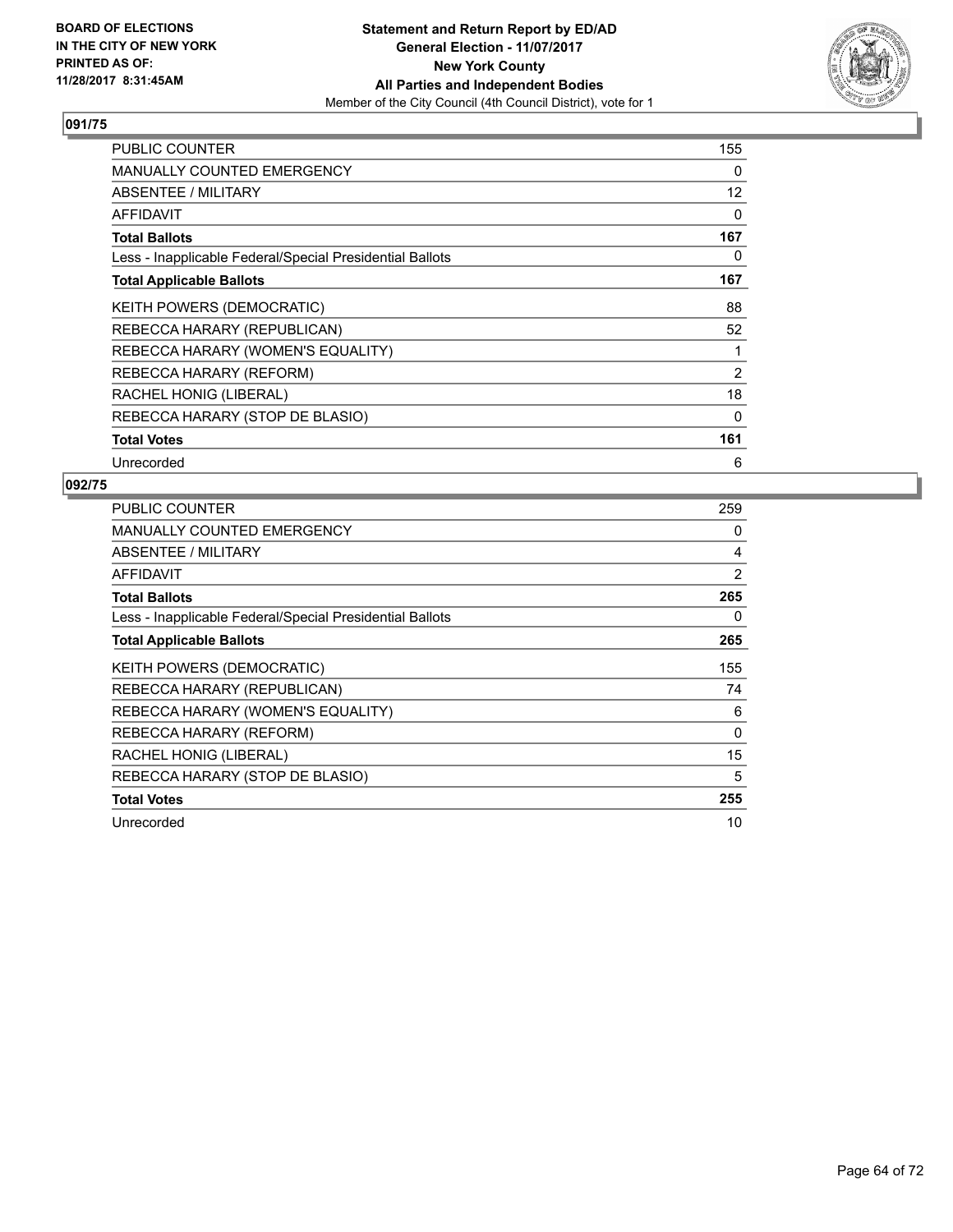

| <b>PUBLIC COUNTER</b>                                    | 155 |
|----------------------------------------------------------|-----|
| <b>MANUALLY COUNTED EMERGENCY</b>                        | 0   |
| ABSENTEE / MILITARY                                      | 12  |
| <b>AFFIDAVIT</b>                                         | 0   |
| <b>Total Ballots</b>                                     | 167 |
| Less - Inapplicable Federal/Special Presidential Ballots | 0   |
| <b>Total Applicable Ballots</b>                          | 167 |
| KEITH POWERS (DEMOCRATIC)                                | 88  |
| REBECCA HARARY (REPUBLICAN)                              | 52  |
| REBECCA HARARY (WOMEN'S EQUALITY)                        | 1   |
| REBECCA HARARY (REFORM)                                  | 2   |
| RACHEL HONIG (LIBERAL)                                   | 18  |
| REBECCA HARARY (STOP DE BLASIO)                          | 0   |
| <b>Total Votes</b>                                       | 161 |
| Unrecorded                                               | 6   |

| PUBLIC COUNTER                                           | 259      |
|----------------------------------------------------------|----------|
| <b>MANUALLY COUNTED EMERGENCY</b>                        | 0        |
| <b>ABSENTEE / MILITARY</b>                               | 4        |
| AFFIDAVIT                                                | 2        |
| <b>Total Ballots</b>                                     | 265      |
| Less - Inapplicable Federal/Special Presidential Ballots | 0        |
| <b>Total Applicable Ballots</b>                          | 265      |
| KEITH POWERS (DEMOCRATIC)                                | 155      |
| REBECCA HARARY (REPUBLICAN)                              | 74       |
| REBECCA HARARY (WOMEN'S EQUALITY)                        | 6        |
| REBECCA HARARY (REFORM)                                  | $\Omega$ |
| RACHEL HONIG (LIBERAL)                                   | 15       |
| REBECCA HARARY (STOP DE BLASIO)                          | 5        |
| <b>Total Votes</b>                                       | 255      |
| Unrecorded                                               | 10       |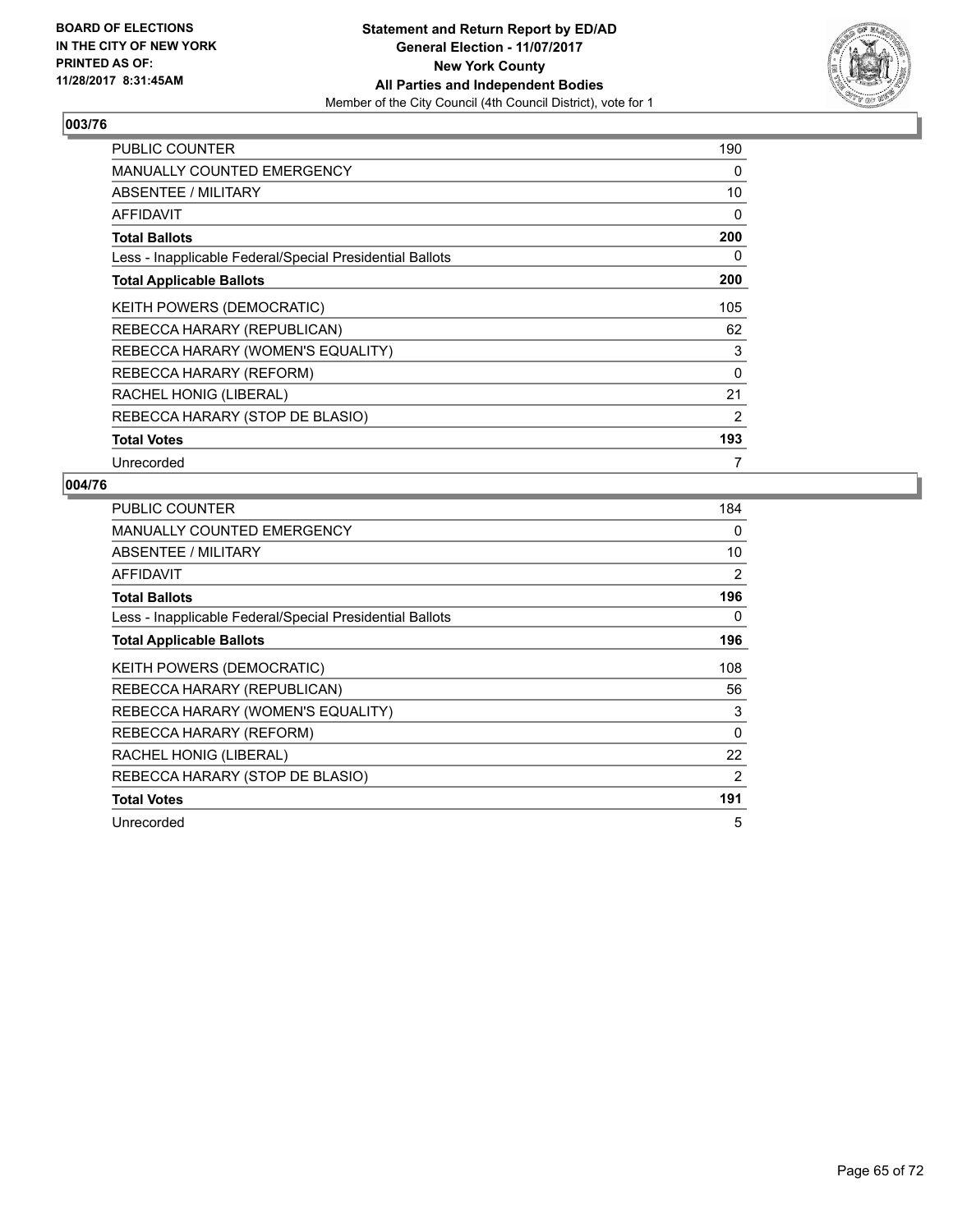

| <b>PUBLIC COUNTER</b>                                    | 190            |
|----------------------------------------------------------|----------------|
| <b>MANUALLY COUNTED EMERGENCY</b>                        | 0              |
| <b>ABSENTEE / MILITARY</b>                               | 10             |
| <b>AFFIDAVIT</b>                                         | 0              |
| <b>Total Ballots</b>                                     | 200            |
| Less - Inapplicable Federal/Special Presidential Ballots | 0              |
| <b>Total Applicable Ballots</b>                          | 200            |
| KEITH POWERS (DEMOCRATIC)                                | 105            |
| REBECCA HARARY (REPUBLICAN)                              | 62             |
| REBECCA HARARY (WOMEN'S EQUALITY)                        | 3              |
| REBECCA HARARY (REFORM)                                  | 0              |
| RACHEL HONIG (LIBERAL)                                   | 21             |
| REBECCA HARARY (STOP DE BLASIO)                          | $\overline{2}$ |
| <b>Total Votes</b>                                       | 193            |
| Unrecorded                                               | 7              |

| <b>PUBLIC COUNTER</b>                                    | 184 |
|----------------------------------------------------------|-----|
| <b>MANUALLY COUNTED EMERGENCY</b>                        | 0   |
| ABSENTEE / MILITARY                                      | 10  |
| AFFIDAVIT                                                | 2   |
| <b>Total Ballots</b>                                     | 196 |
| Less - Inapplicable Federal/Special Presidential Ballots | 0   |
| <b>Total Applicable Ballots</b>                          | 196 |
| <b>KEITH POWERS (DEMOCRATIC)</b>                         | 108 |
| REBECCA HARARY (REPUBLICAN)                              | 56  |
| REBECCA HARARY (WOMEN'S EQUALITY)                        | 3   |
| REBECCA HARARY (REFORM)                                  | 0   |
| RACHEL HONIG (LIBERAL)                                   | 22  |
| REBECCA HARARY (STOP DE BLASIO)                          | 2   |
| <b>Total Votes</b>                                       | 191 |
| Unrecorded                                               | 5   |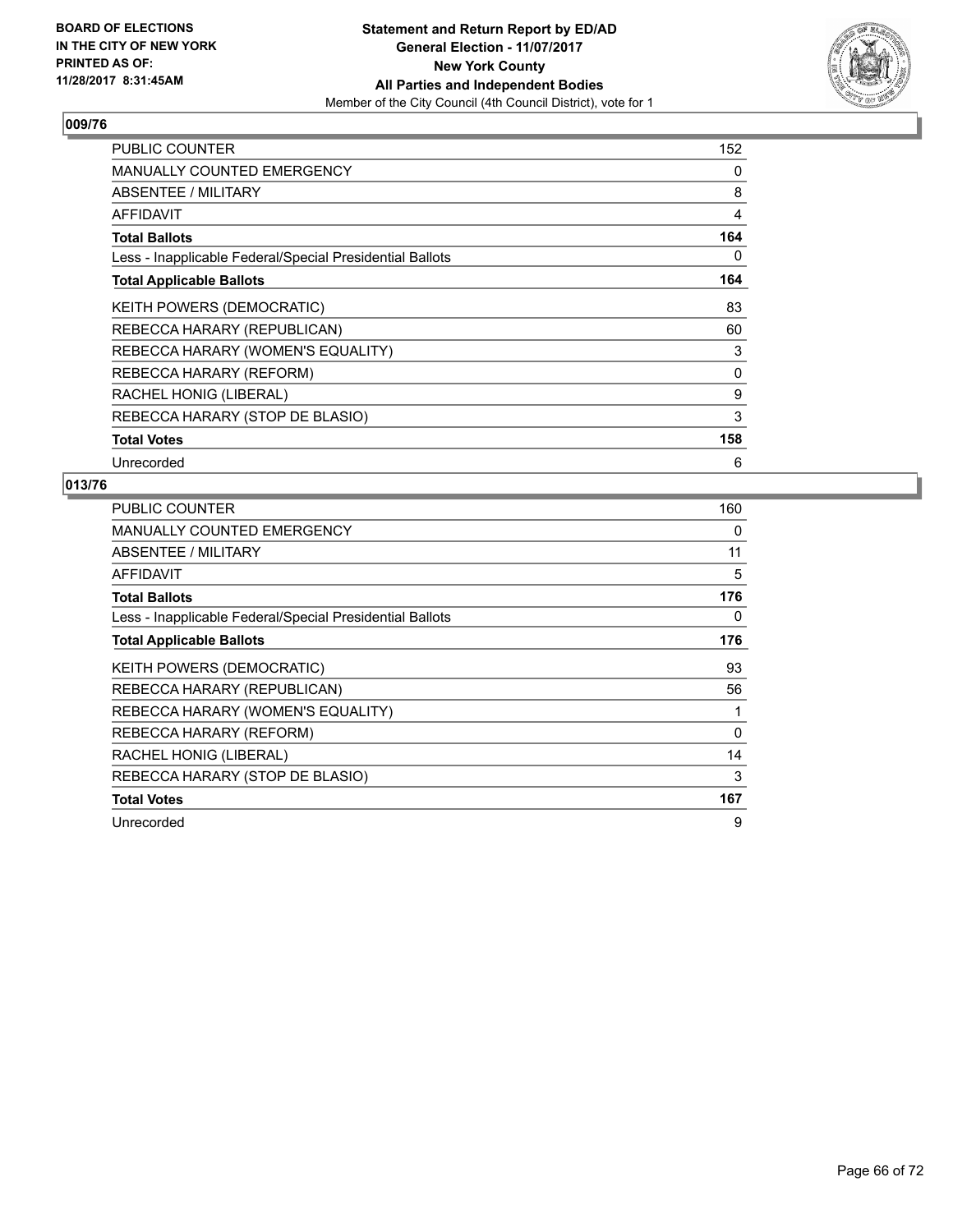

| <b>PUBLIC COUNTER</b>                                    | 152 |
|----------------------------------------------------------|-----|
| <b>MANUALLY COUNTED EMERGENCY</b>                        | 0   |
| ABSENTEE / MILITARY                                      | 8   |
| <b>AFFIDAVIT</b>                                         | 4   |
| <b>Total Ballots</b>                                     | 164 |
| Less - Inapplicable Federal/Special Presidential Ballots | 0   |
| <b>Total Applicable Ballots</b>                          | 164 |
| KEITH POWERS (DEMOCRATIC)                                | 83  |
| REBECCA HARARY (REPUBLICAN)                              | 60  |
| REBECCA HARARY (WOMEN'S EQUALITY)                        | 3   |
| REBECCA HARARY (REFORM)                                  | 0   |
| RACHEL HONIG (LIBERAL)                                   | 9   |
| REBECCA HARARY (STOP DE BLASIO)                          | 3   |
| <b>Total Votes</b>                                       | 158 |
| Unrecorded                                               | 6   |

| <b>PUBLIC COUNTER</b>                                    | 160      |
|----------------------------------------------------------|----------|
| <b>MANUALLY COUNTED EMERGENCY</b>                        | 0        |
| ABSENTEE / MILITARY                                      | 11       |
| <b>AFFIDAVIT</b>                                         | 5        |
| <b>Total Ballots</b>                                     | 176      |
| Less - Inapplicable Federal/Special Presidential Ballots | 0        |
| <b>Total Applicable Ballots</b>                          | 176      |
| KEITH POWERS (DEMOCRATIC)                                | 93       |
| REBECCA HARARY (REPUBLICAN)                              | 56       |
| REBECCA HARARY (WOMEN'S EQUALITY)                        |          |
| REBECCA HARARY (REFORM)                                  | $\Omega$ |
| RACHEL HONIG (LIBERAL)                                   | 14       |
| REBECCA HARARY (STOP DE BLASIO)                          | 3        |
| <b>Total Votes</b>                                       | 167      |
| Unrecorded                                               | 9        |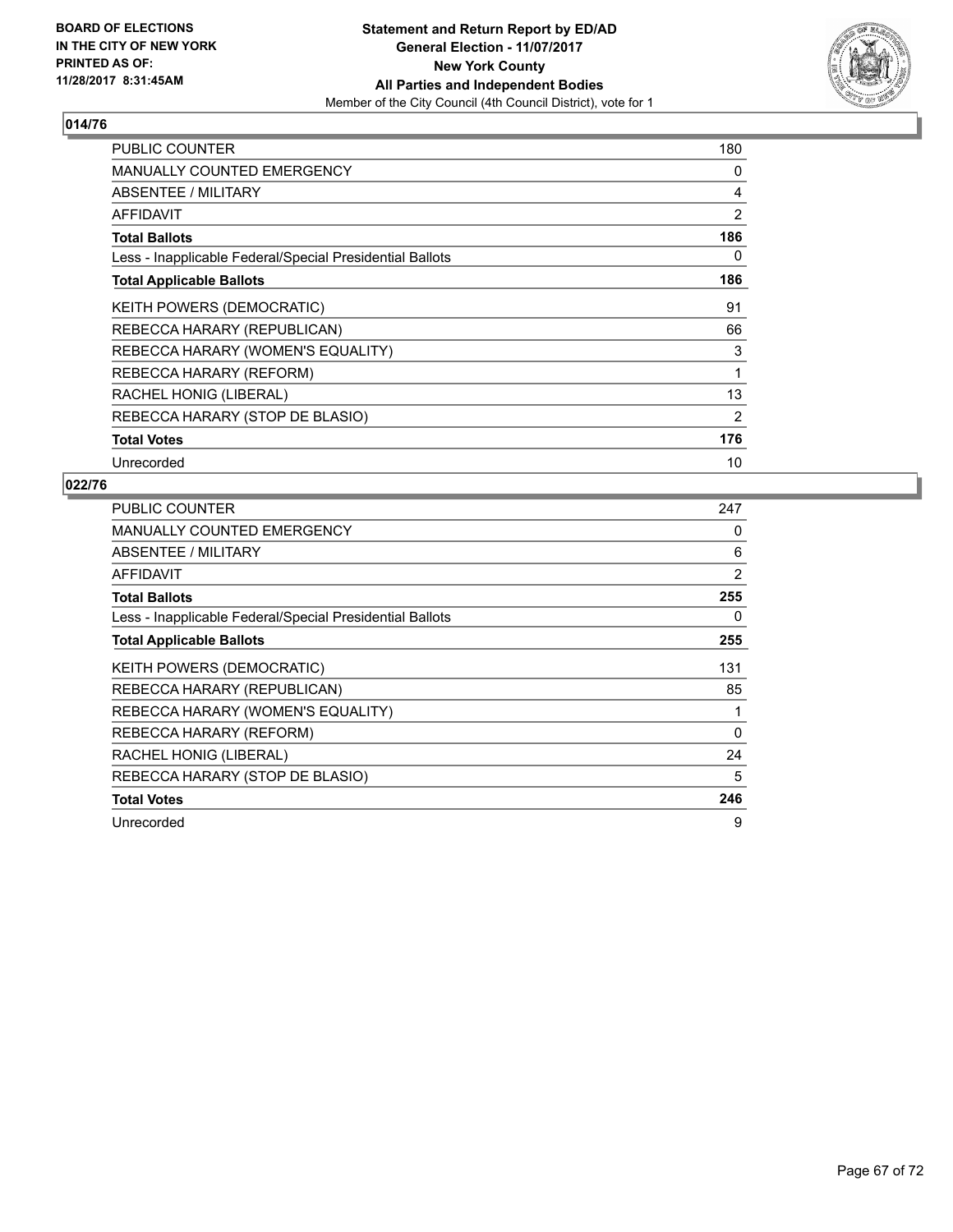

| <b>PUBLIC COUNTER</b>                                    | 180 |
|----------------------------------------------------------|-----|
| <b>MANUALLY COUNTED EMERGENCY</b>                        | 0   |
| ABSENTEE / MILITARY                                      | 4   |
| AFFIDAVIT                                                | 2   |
| <b>Total Ballots</b>                                     | 186 |
| Less - Inapplicable Federal/Special Presidential Ballots | 0   |
| <b>Total Applicable Ballots</b>                          | 186 |
| <b>KEITH POWERS (DEMOCRATIC)</b>                         | 91  |
| REBECCA HARARY (REPUBLICAN)                              | 66  |
| REBECCA HARARY (WOMEN'S EQUALITY)                        | 3   |
| REBECCA HARARY (REFORM)                                  | 1   |
| RACHEL HONIG (LIBERAL)                                   | 13  |
| REBECCA HARARY (STOP DE BLASIO)                          | 2   |
| <b>Total Votes</b>                                       | 176 |
| Unrecorded                                               | 10  |

| PUBLIC COUNTER                                           | 247      |
|----------------------------------------------------------|----------|
| <b>MANUALLY COUNTED EMERGENCY</b>                        | 0        |
| <b>ABSENTEE / MILITARY</b>                               | 6        |
| AFFIDAVIT                                                | 2        |
| <b>Total Ballots</b>                                     | 255      |
| Less - Inapplicable Federal/Special Presidential Ballots | 0        |
| <b>Total Applicable Ballots</b>                          | 255      |
| KEITH POWERS (DEMOCRATIC)                                | 131      |
| REBECCA HARARY (REPUBLICAN)                              | 85       |
| REBECCA HARARY (WOMEN'S EQUALITY)                        | 1        |
| REBECCA HARARY (REFORM)                                  | $\Omega$ |
| RACHEL HONIG (LIBERAL)                                   | 24       |
| REBECCA HARARY (STOP DE BLASIO)                          | 5        |
| <b>Total Votes</b>                                       | 246      |
| Unrecorded                                               | 9        |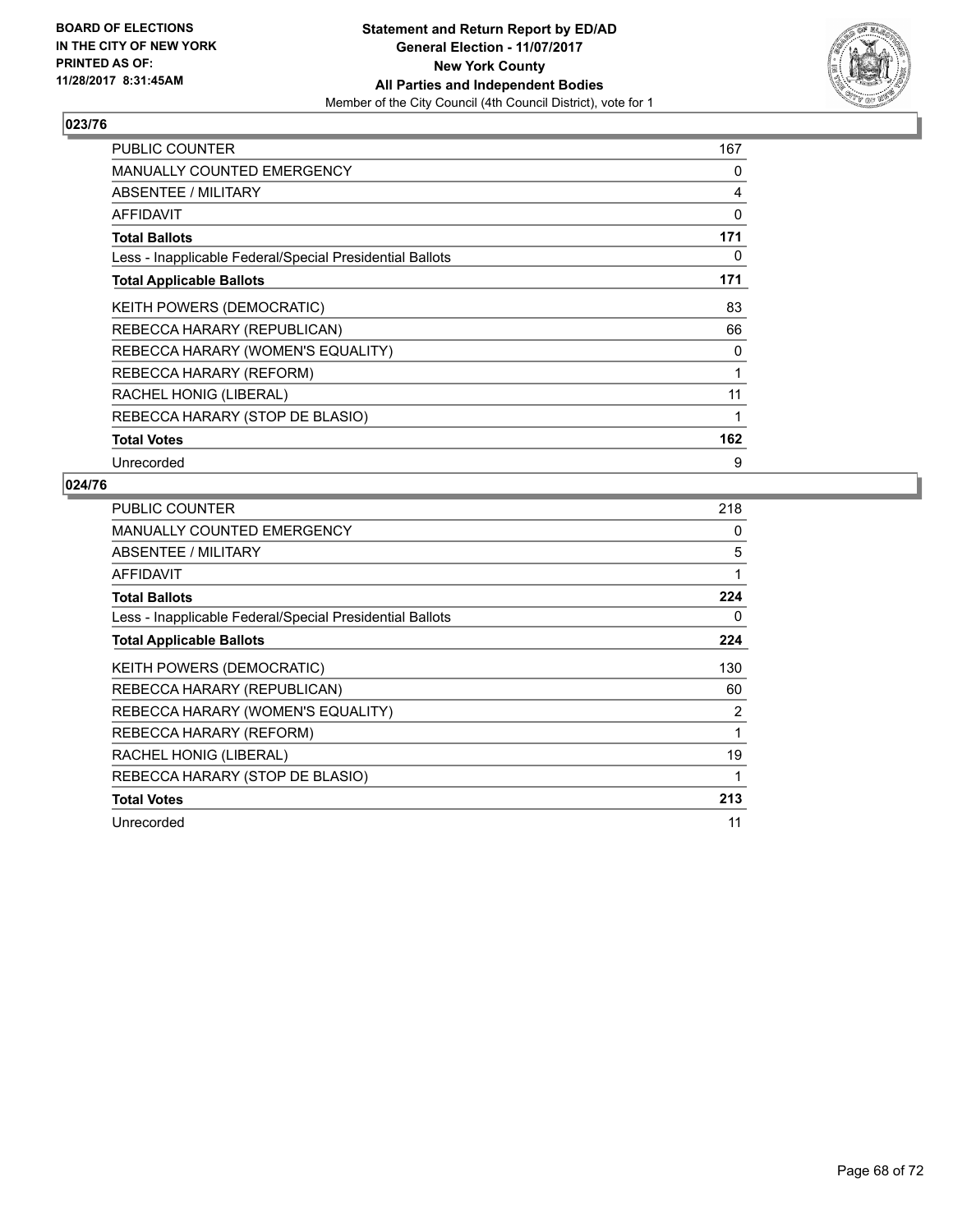

| <b>PUBLIC COUNTER</b>                                    | 167 |
|----------------------------------------------------------|-----|
| <b>MANUALLY COUNTED EMERGENCY</b>                        | 0   |
| ABSENTEE / MILITARY                                      | 4   |
| <b>AFFIDAVIT</b>                                         | 0   |
| <b>Total Ballots</b>                                     | 171 |
| Less - Inapplicable Federal/Special Presidential Ballots | 0   |
| <b>Total Applicable Ballots</b>                          | 171 |
| KEITH POWERS (DEMOCRATIC)                                | 83  |
| REBECCA HARARY (REPUBLICAN)                              | 66  |
| REBECCA HARARY (WOMEN'S EQUALITY)                        | 0   |
| REBECCA HARARY (REFORM)                                  | 1   |
| RACHEL HONIG (LIBERAL)                                   | 11  |
| REBECCA HARARY (STOP DE BLASIO)                          | 1   |
| <b>Total Votes</b>                                       | 162 |
| Unrecorded                                               | 9   |

| <b>PUBLIC COUNTER</b>                                    | 218            |
|----------------------------------------------------------|----------------|
| <b>MANUALLY COUNTED EMERGENCY</b>                        | 0              |
| ABSENTEE / MILITARY                                      | 5              |
| AFFIDAVIT                                                | 1              |
| <b>Total Ballots</b>                                     | 224            |
| Less - Inapplicable Federal/Special Presidential Ballots | 0              |
| <b>Total Applicable Ballots</b>                          | 224            |
| <b>KEITH POWERS (DEMOCRATIC)</b>                         | 130            |
| REBECCA HARARY (REPUBLICAN)                              | 60             |
| REBECCA HARARY (WOMEN'S EQUALITY)                        | $\overline{2}$ |
| REBECCA HARARY (REFORM)                                  | 1              |
| RACHEL HONIG (LIBERAL)                                   | 19             |
| REBECCA HARARY (STOP DE BLASIO)                          | 1              |
| <b>Total Votes</b>                                       | 213            |
| Unrecorded                                               | 11             |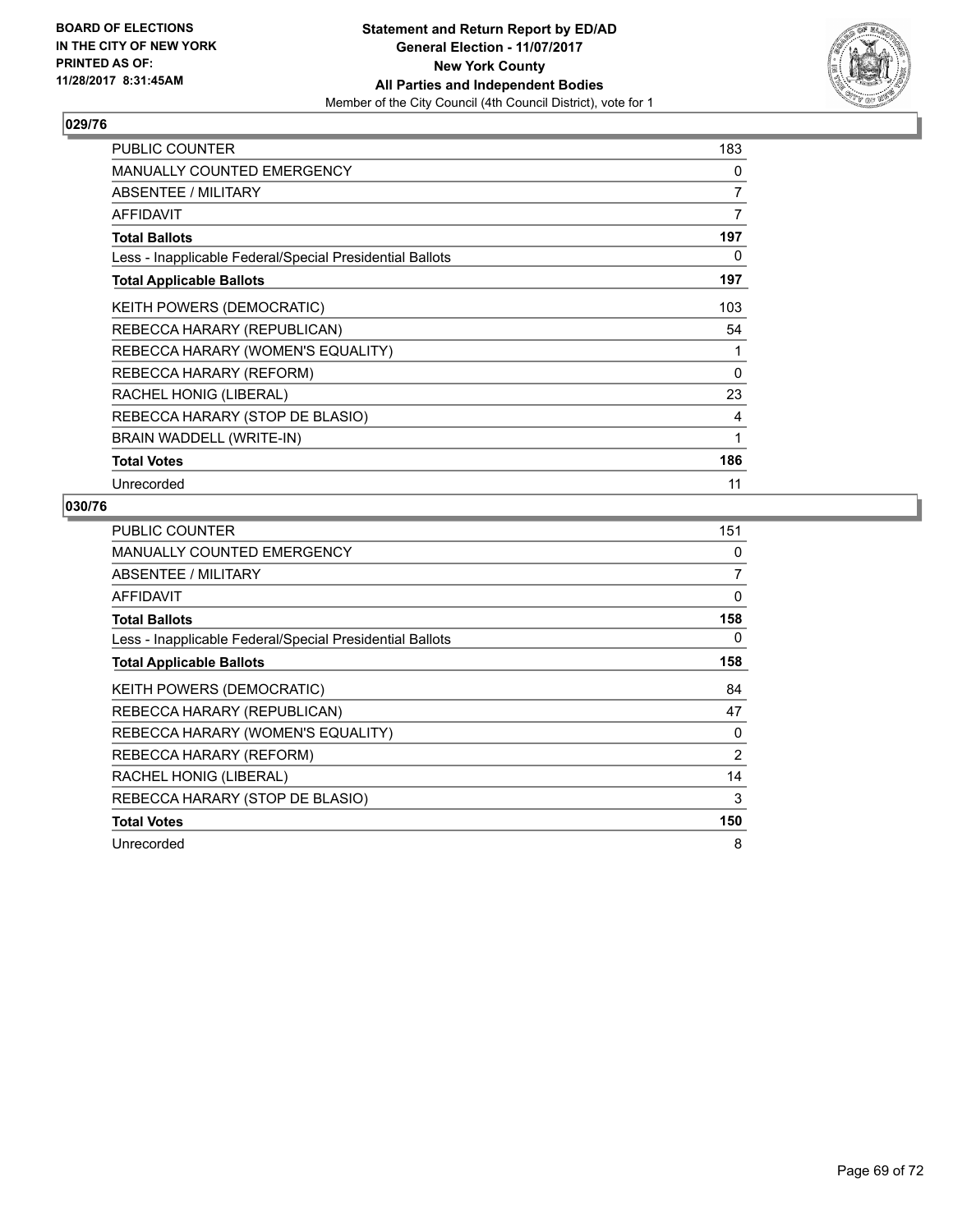

| PUBLIC COUNTER                                           | 183 |
|----------------------------------------------------------|-----|
| MANUALLY COUNTED EMERGENCY                               | 0   |
| ABSENTEE / MILITARY                                      | 7   |
| AFFIDAVIT                                                | 7   |
| <b>Total Ballots</b>                                     | 197 |
| Less - Inapplicable Federal/Special Presidential Ballots | 0   |
| <b>Total Applicable Ballots</b>                          | 197 |
| <b>KEITH POWERS (DEMOCRATIC)</b>                         | 103 |
| REBECCA HARARY (REPUBLICAN)                              | 54  |
| REBECCA HARARY (WOMEN'S EQUALITY)                        | 1   |
| REBECCA HARARY (REFORM)                                  | 0   |
| RACHEL HONIG (LIBERAL)                                   | 23  |
| REBECCA HARARY (STOP DE BLASIO)                          | 4   |
| BRAIN WADDELL (WRITE-IN)                                 | 1   |
| <b>Total Votes</b>                                       | 186 |
| Unrecorded                                               | 11  |

| <b>PUBLIC COUNTER</b>                                    | 151            |
|----------------------------------------------------------|----------------|
| <b>MANUALLY COUNTED EMERGENCY</b>                        | 0              |
| ABSENTEE / MILITARY                                      | 7              |
| AFFIDAVIT                                                | 0              |
| <b>Total Ballots</b>                                     | 158            |
| Less - Inapplicable Federal/Special Presidential Ballots | 0              |
| <b>Total Applicable Ballots</b>                          | 158            |
| <b>KEITH POWERS (DEMOCRATIC)</b>                         | 84             |
| REBECCA HARARY (REPUBLICAN)                              | 47             |
| REBECCA HARARY (WOMEN'S EQUALITY)                        | 0              |
| REBECCA HARARY (REFORM)                                  | $\overline{2}$ |
| RACHEL HONIG (LIBERAL)                                   | 14             |
| REBECCA HARARY (STOP DE BLASIO)                          | 3              |
| <b>Total Votes</b>                                       | 150            |
| Unrecorded                                               | 8              |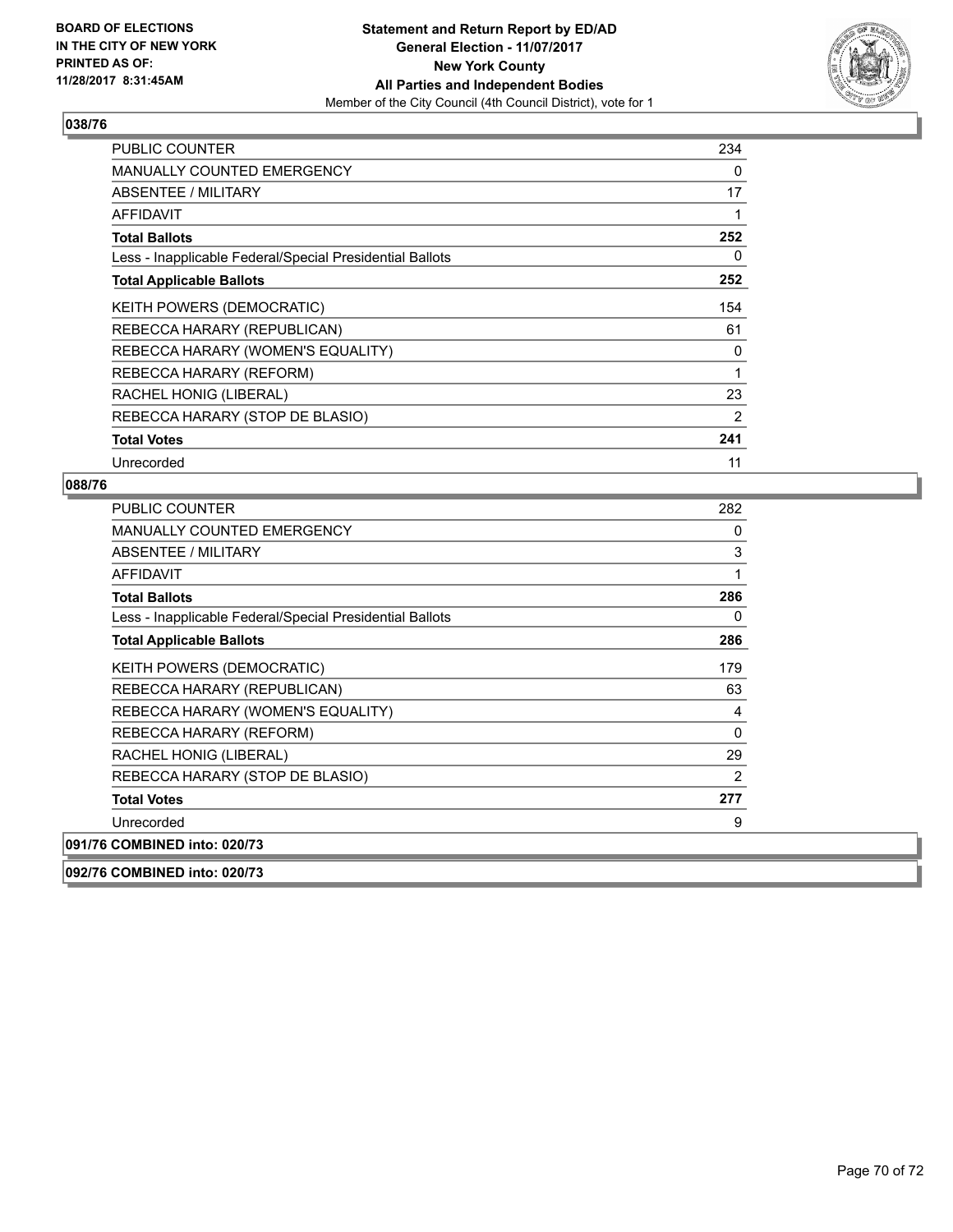

| <b>PUBLIC COUNTER</b>                                    | 234 |
|----------------------------------------------------------|-----|
| <b>MANUALLY COUNTED EMERGENCY</b>                        | 0   |
| ABSENTEE / MILITARY                                      | 17  |
| <b>AFFIDAVIT</b>                                         | 1   |
| <b>Total Ballots</b>                                     | 252 |
| Less - Inapplicable Federal/Special Presidential Ballots | 0   |
| <b>Total Applicable Ballots</b>                          | 252 |
| KEITH POWERS (DEMOCRATIC)                                | 154 |
| REBECCA HARARY (REPUBLICAN)                              | 61  |
| REBECCA HARARY (WOMEN'S EQUALITY)                        | 0   |
| REBECCA HARARY (REFORM)                                  | 1   |
| RACHEL HONIG (LIBERAL)                                   | 23  |
| REBECCA HARARY (STOP DE BLASIO)                          | 2   |
| <b>Total Votes</b>                                       | 241 |
| Unrecorded                                               | 11  |

| <b>PUBLIC COUNTER</b>                                    | 282 |
|----------------------------------------------------------|-----|
| <b>MANUALLY COUNTED EMERGENCY</b>                        | 0   |
| ABSENTEE / MILITARY                                      | 3   |
| <b>AFFIDAVIT</b>                                         | 1   |
| <b>Total Ballots</b>                                     | 286 |
| Less - Inapplicable Federal/Special Presidential Ballots | 0   |
| <b>Total Applicable Ballots</b>                          | 286 |
| KEITH POWERS (DEMOCRATIC)                                | 179 |
| REBECCA HARARY (REPUBLICAN)                              | 63  |
| REBECCA HARARY (WOMEN'S EQUALITY)                        | 4   |
| REBECCA HARARY (REFORM)                                  | 0   |
| RACHEL HONIG (LIBERAL)                                   | 29  |
| REBECCA HARARY (STOP DE BLASIO)                          | 2   |
| <b>Total Votes</b>                                       | 277 |
| Unrecorded                                               | 9   |
| 091/76 COMBINED into: 020/73                             |     |
| 092/76 COMBINED into: 020/73                             |     |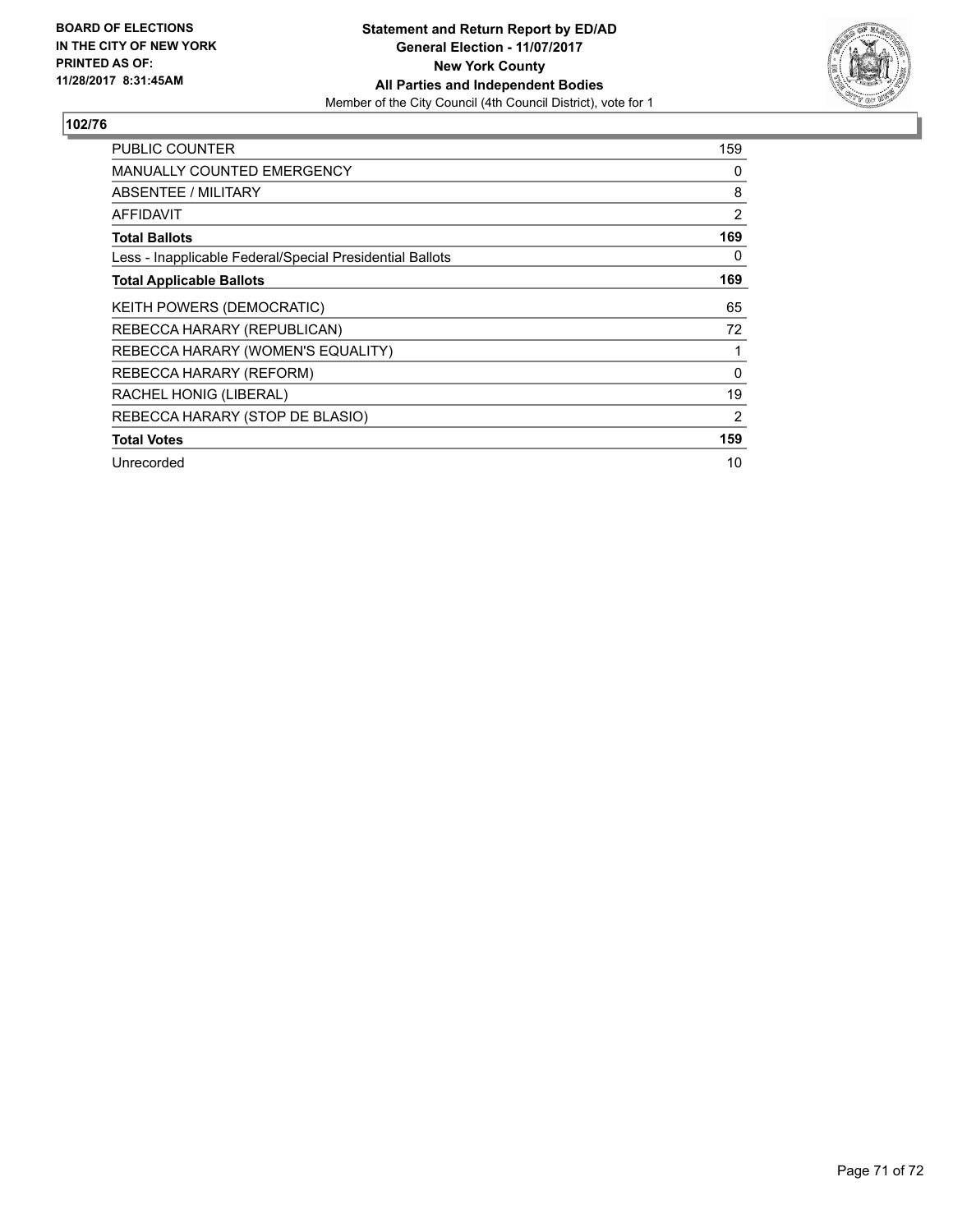

| <b>PUBLIC COUNTER</b>                                    | 159 |
|----------------------------------------------------------|-----|
| <b>MANUALLY COUNTED EMERGENCY</b>                        | 0   |
| <b>ABSENTEE / MILITARY</b>                               | 8   |
| AFFIDAVIT                                                | 2   |
| <b>Total Ballots</b>                                     | 169 |
| Less - Inapplicable Federal/Special Presidential Ballots | 0   |
| <b>Total Applicable Ballots</b>                          | 169 |
| KEITH POWERS (DEMOCRATIC)                                | 65  |
| REBECCA HARARY (REPUBLICAN)                              | 72  |
| REBECCA HARARY (WOMEN'S EQUALITY)                        | 1   |
| REBECCA HARARY (REFORM)                                  | 0   |
| RACHEL HONIG (LIBERAL)                                   | 19  |
| REBECCA HARARY (STOP DE BLASIO)                          | 2   |
| <b>Total Votes</b>                                       | 159 |
| Unrecorded                                               | 10  |